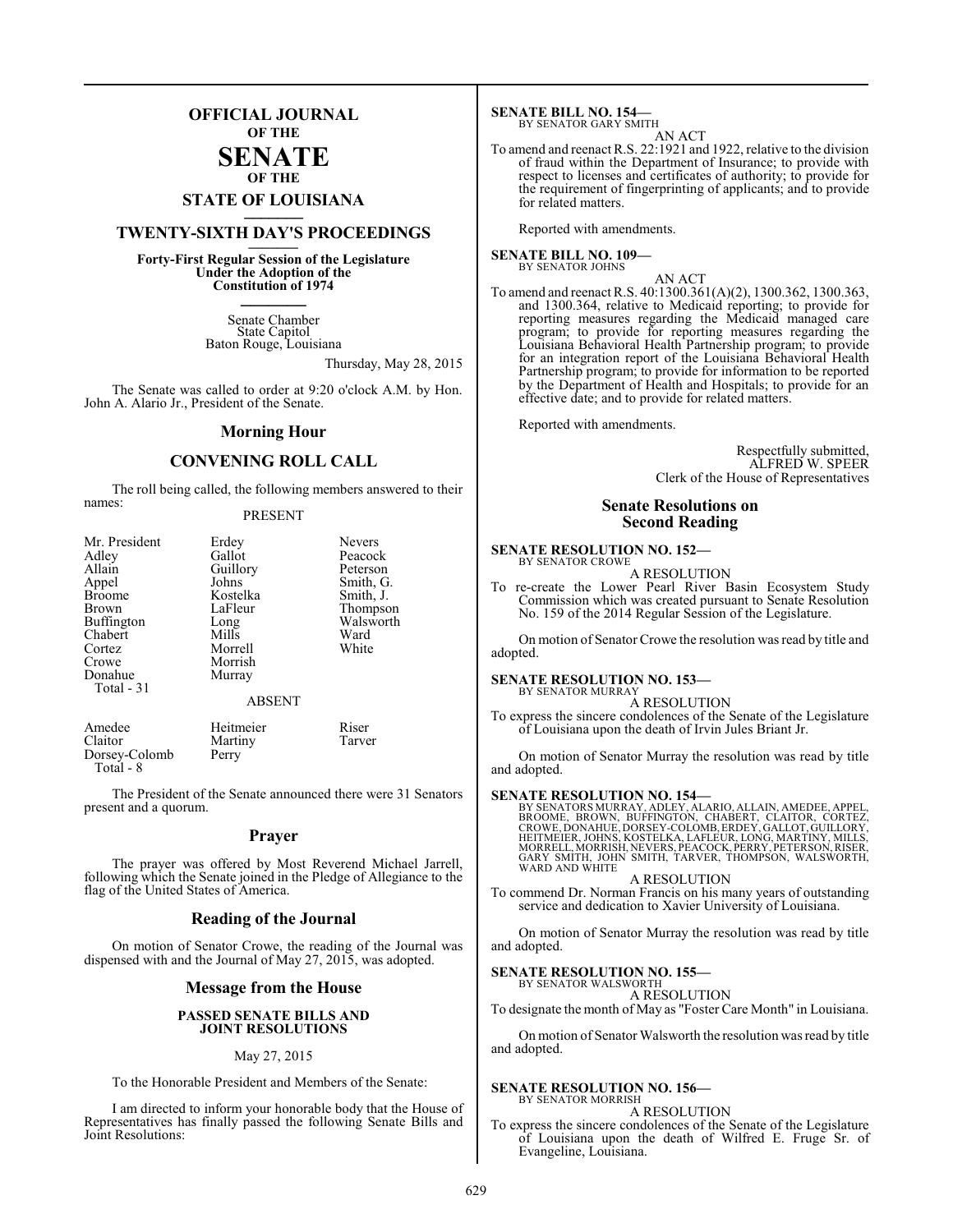### **OFFICIAL JOURNAL OF THE**

#### **SENATE OF THE**

# **STATE OF LOUISIANA \_\_\_\_\_\_\_**

### **TWENTY-SIXTH DAY'S PROCEEDINGS \_\_\_\_\_\_\_**

**Forty-First Regular Session of the Legislature Under the Adoption of the Constitution of 1974 \_\_\_\_\_\_\_**

> Senate Chamber State Capitol Baton Rouge, Louisiana

> > Thursday, May 28, 2015

The Senate was called to order at 9:20 o'clock A.M. by Hon. John A. Alario Jr., President of the Senate.

#### **Morning Hour**

### **CONVENING ROLL CALL**

The roll being called, the following members answered to their names:

#### PRESENT

| Mr. President | Erdey         | <b>Nevers</b> |
|---------------|---------------|---------------|
| Adley         | Gallot        | Peacock       |
| Allain        | Guillory      | Peterson      |
| Appel         | Johns         | Smith, G.     |
| <b>Broome</b> | Kostelka      | Smith, J.     |
| Brown         | LaFleur       | Thompson      |
| Buffington    | Long          | Walsworth     |
| Chabert       | Mills         | Ward          |
| Cortez        | Morrell       | White         |
| Crowe         | Morrish       |               |
| Donahue       | Murray        |               |
| Total - 31    |               |               |
|               | <b>ABSENT</b> |               |
| Amedee        | Heitmeier     | Riser         |
| Claitor       | Martiny       | Tarver        |
| Dorsey-Colomb | Perry         |               |

The President of the Senate announced there were 31 Senators present and a quorum.

Dorsey-Colomb Total - 8

#### **Prayer**

The prayer was offered by Most Reverend Michael Jarrell, following which the Senate joined in the Pledge of Allegiance to the flag of the United States of America.

#### **Reading of the Journal**

On motion of Senator Crowe, the reading of the Journal was dispensed with and the Journal of May 27, 2015, was adopted.

#### **Message from the House**

#### **PASSED SENATE BILLS AND JOINT RESOLUTIONS**

#### May 27, 2015

To the Honorable President and Members of the Senate:

I am directed to inform your honorable body that the House of Representatives has finally passed the following Senate Bills and Joint Resolutions:

**SENATE BILL NO. 154—** BY SENATOR GARY SMITH

#### AN ACT To amend and reenact R.S. 22:1921 and 1922, relative to the division of fraud within the Department of Insurance; to provide with respect to licenses and certificates of authority; to provide for the requirement of fingerprinting of applicants; and to provide for related matters.

Reported with amendments.

**SENATE BILL NO. 109—** BY SENATOR JOHNS

AN ACT

To amend and reenact R.S. 40:1300.361(A)(2), 1300.362, 1300.363, and 1300.364, relative to Medicaid reporting; to provide for reporting measures regarding the Medicaid managed care program; to provide for reporting measures regarding the Louisiana Behavioral Health Partnership program; to provide for an integration report of the Louisiana Behavioral Health Partnership program; to provide for information to be reported by the Department of Health and Hospitals; to provide for an effective date; and to provide for related matters.

Reported with amendments.

Respectfully submitted, ALFRED W. SPEER Clerk of the House of Representatives

#### **Senate Resolutions on Second Reading**

#### **SENATE RESOLUTION NO. 152—** BY SENATOR CROWE

A RESOLUTION

To re-create the Lower Pearl River Basin Ecosystem Study Commission which was created pursuant to Senate Resolution No. 159 of the 2014 Regular Session of the Legislature.

On motion of Senator Crowe the resolution was read by title and adopted.

#### **SENATE RESOLUTION NO. 153—**

#### BY SENATOR MURRAY A RESOLUTION

To express the sincere condolences of the Senate of the Legislature of Louisiana upon the death of Irvin Jules Briant Jr.

On motion of Senator Murray the resolution was read by title and adopted.

#### **SENATE RESOLUTION NO. 154—**

BY SENATORS MURRAY, ADLEY, ALARIO, ALLAIN, AMEDEE, APPEL,<br>BROOME, BROWN, BUFFINGTON, CHABERT, CLAITOR, CORTEZ,<br>CROWE, DONAHUE, DORSEY-COLOMB, ERDEY, GALLOT, GUILLORY, HEITMEIER, JOHNS, KOSTELKA, LAFLEUR, LONG, MARTINY, MILLS,<br>MORRELL, MORRISH, NEVERS, PEACOCK, PERRY, PETERSON, RISER,<br>GARY SMITH, JOHN SMITH, TARVER, THOMPSON, WALSWORTH,<br>WARD AND WHITE

A RESOLUTION To commend Dr. Norman Francis on his many years of outstanding service and dedication to Xavier University of Louisiana.

On motion of Senator Murray the resolution was read by title and adopted.

#### **SENATE RESOLUTION NO. 155—**

BY SENATOR WALSWORTH A RESOLUTION

To designate the month of May as "Foster Care Month" in Louisiana.

On motion of Senator Walsworth the resolution was read by title and adopted.

#### **SENATE RESOLUTION NO. 156—**

BY SENATOR MORRISH A RESOLUTION

To express the sincere condolences of the Senate of the Legislature of Louisiana upon the death of Wilfred E. Fruge Sr. of Evangeline, Louisiana.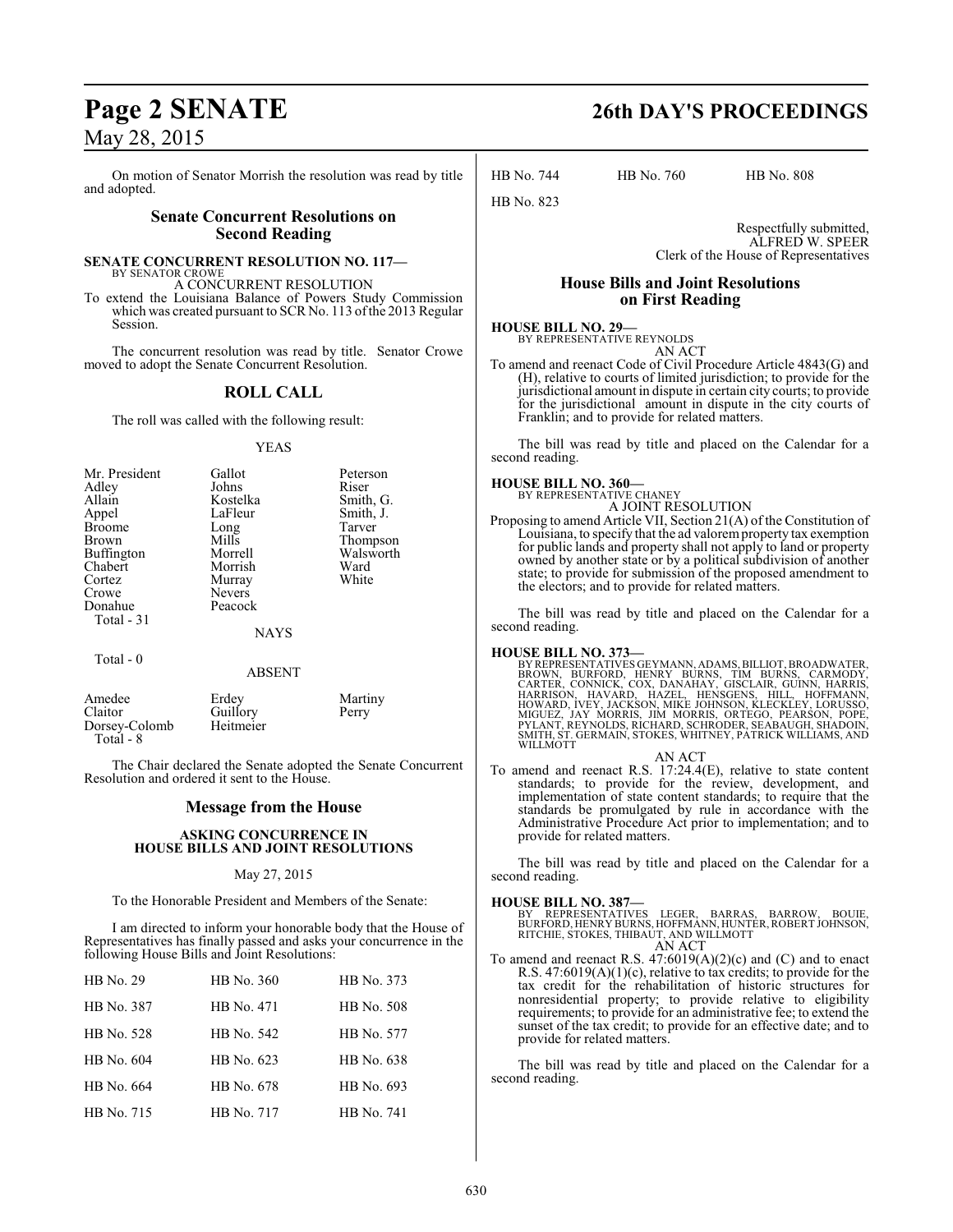On motion of Senator Morrish the resolution was read by title and adopted.

### **Senate Concurrent Resolutions on Second Reading**

**SENATE CONCURRENT RESOLUTION NO. 117—** BY SENATOR CROWE

A CONCURRENT RESOLUTION

To extend the Louisiana Balance of Powers Study Commission which was created pursuant to SCR No. 113 of the 2013 Regular Session.

The concurrent resolution was read by title. Senator Crowe moved to adopt the Senate Concurrent Resolution.

### **ROLL CALL**

The roll was called with the following result:

#### YEAS

| Mr. President     | Gallot        | Peterson  |
|-------------------|---------------|-----------|
| Adley             | Johns         | Riser     |
| Allain            | Kostelka      | Smith, G. |
| Appel             | LaFleur       | Smith, J. |
| <b>Broome</b>     | Long          | Tarver    |
| Brown             | Mills         | Thompson  |
| <b>Buffington</b> | Morrell       | Walsworth |
| Chabert           | Morrish       | Ward      |
| Cortez            | Murray        | White     |
| Crowe             | <b>Nevers</b> |           |
| Donahue           | Peacock       |           |
| Total - 31        |               |           |
|                   | <b>NAYS</b>   |           |
| Total - 0         |               |           |
|                   | ABSENT        |           |

| Amedee        | Erdey     | Martiny |
|---------------|-----------|---------|
| Claitor       | Guillory  | Perry   |
| Dorsey-Colomb | Heitmeier |         |
| Total - 8     |           |         |

The Chair declared the Senate adopted the Senate Concurrent Resolution and ordered it sent to the House.

#### **Message from the House**

#### **ASKING CONCURRENCE IN HOUSE BILLS AND JOINT RESOLUTIONS**

#### May 27, 2015

To the Honorable President and Members of the Senate:

I am directed to inform your honorable body that the House of Representatives has finally passed and asks your concurrence in the following House Bills and Joint Resolutions:

| HB No. 29  | HB No. 360 | HB No. 373 |
|------------|------------|------------|
| HB No. 387 | HB No. 471 | HB No. 508 |
| HB No. 528 | HB No. 542 | HB No. 577 |
| HB No. 604 | HB No. 623 | HB No. 638 |
| HB No. 664 | HB No. 678 | HB No. 693 |
| HB No. 715 | HB No. 717 | HB No. 741 |

# **Page 2 SENATE 26th DAY'S PROCEEDINGS**

HB No. 744 HB No. 760 HB No. 808

Respectfully submitted, ALFRED W. SPEER Clerk of the House of Representatives

#### **House Bills and Joint Resolutions on First Reading**

#### **HOUSE BILL NO. 29—** BY REPRESENTATIVE REYNOLDS AN ACT

HB No. 823

To amend and reenact Code of Civil Procedure Article 4843(G) and (H), relative to courts of limited jurisdiction; to provide for the jurisdictional amount in dispute in certain city courts; to provide for the jurisdictional amount in dispute in the city courts of Franklin; and to provide for related matters.

The bill was read by title and placed on the Calendar for a second reading.

# **HOUSE BILL NO. 360—** BY REPRESENTATIVE CHANEY

A JOINT RESOLUTION

Proposing to amend Article VII, Section 21(A) of the Constitution of Louisiana, to specify that the ad valorem property tax exemption for public lands and property shall not apply to land or property owned by another state or by a political subdivision of another state; to provide for submission of the proposed amendment to the electors; and to provide for related matters.

The bill was read by title and placed on the Calendar for a second reading.

#### **HOUSE BILL NO. 373—**

BY REPRESENTATIVES GEYMANN, ADAMS, BILLIOT, BROADWATER,<br>BROWN, BURFORD, HENRY BURNS, TIM BURNS, CARMODY,<br>CARTER, CONNICK, COX, DANAHAY, GISCLAIR, GUINN, HARRIS,<br>HARRISON, HAVARD, HAZEL, HENSGENS, HILL, HOFFMANN,<br>HOWARD, IV WILLMOTT

AN ACT To amend and reenact R.S. 17:24.4(E), relative to state content standards; to provide for the review, development, and implementation of state content standards; to require that the standards be promulgated by rule in accordance with the Administrative Procedure Act prior to implementation; and to provide for related matters.

The bill was read by title and placed on the Calendar for a second reading.

#### **HOUSE BILL NO. 387—**

BY REPRESENTATIVES LEGER, BARRAS, BARROW, BOUIE, BURFORD, HENRY BURNS, HOFFMANN, HUNTER,ROBERT JOHNSON, RITCHIE, STOKES, THIBAUT, AND WILLMOTT AN ACT

To amend and reenact R.S. 47:6019(A)(2)(c) and (C) and to enact R.S. 47:6019(A)(1)(c), relative to tax credits; to provide for the tax credit for the rehabilitation of historic structures for nonresidential property; to provide relative to eligibility requirements; to provide for an administrative fee; to extend the sunset of the tax credit; to provide for an effective date; and to provide for related matters.

The bill was read by title and placed on the Calendar for a second reading.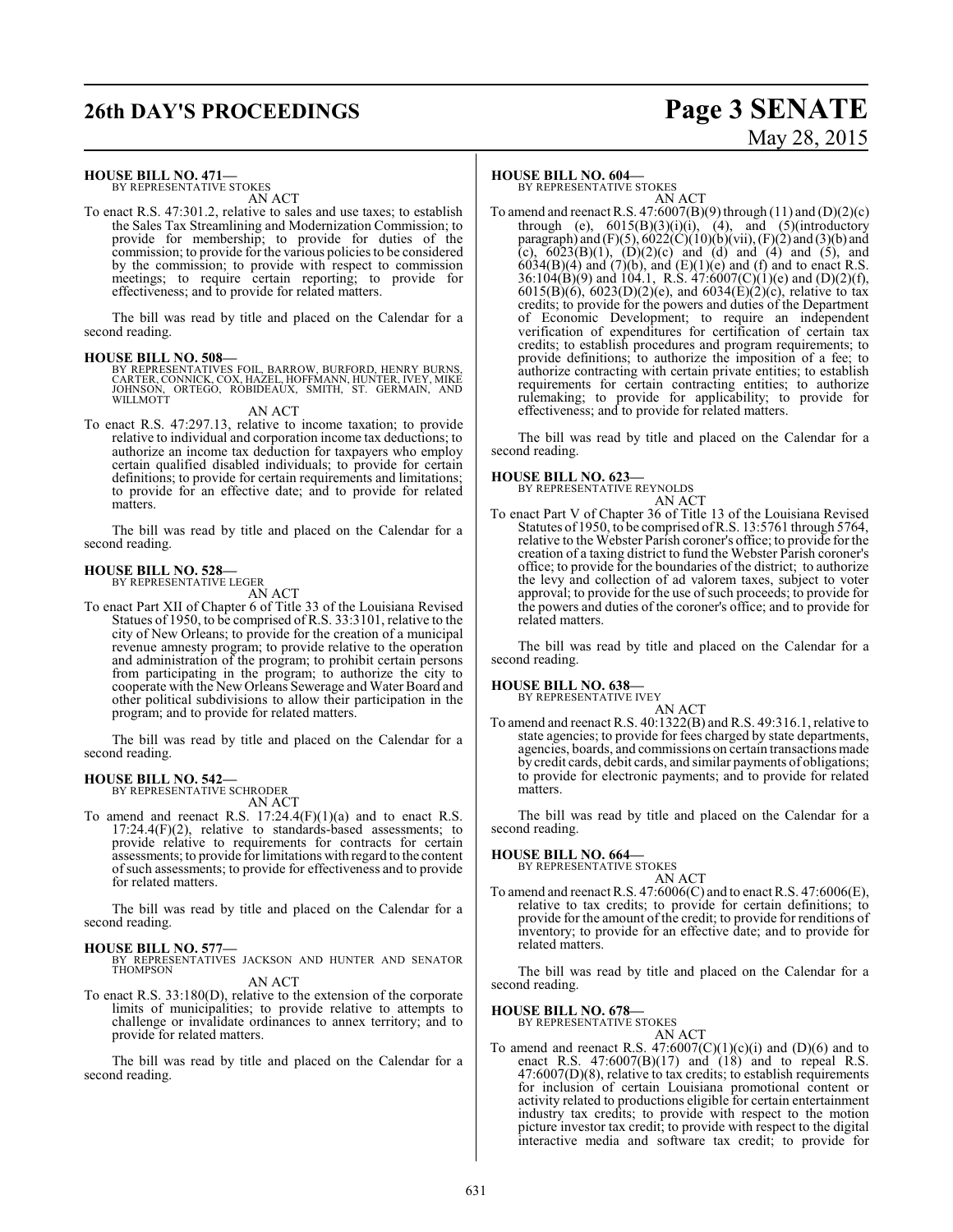# **26th DAY'S PROCEEDINGS Page 3 SENATE**

# May 28, 2015

#### **HOUSE BILL NO. 471—**

BY REPRESENTATIVE STOKES AN ACT

To enact R.S. 47:301.2, relative to sales and use taxes; to establish the Sales Tax Streamlining and Modernization Commission; to provide for membership; to provide for duties of the commission; to provide for the various policies to be considered by the commission; to provide with respect to commission meetings; to require certain reporting; to provide for effectiveness; and to provide for related matters.

The bill was read by title and placed on the Calendar for a second reading.

**HOUSE BILL NO. 508—**<br>BY REPRESENTATIVES FOIL, BARROW, BURFORD, HENRY BURNS, CARTER, CONNICK, COX, HAZEL, HOFFMANN, HUNTER, IVEY, MIKE<br>JOHNSON, ORTEGO, ROBIDEAUX, SMITH, ST. GERMAIN, AND<br>WILLMOTT

AN ACT

To enact R.S. 47:297.13, relative to income taxation; to provide relative to individual and corporation income tax deductions; to authorize an income tax deduction for taxpayers who employ certain qualified disabled individuals; to provide for certain definitions; to provide for certain requirements and limitations; to provide for an effective date; and to provide for related matters.

The bill was read by title and placed on the Calendar for a second reading.

#### **HOUSE BILL NO. 528—** BY REPRESENTATIVE LEGER

AN ACT

To enact Part XII of Chapter 6 of Title 33 of the Louisiana Revised Statues of 1950, to be comprised of R.S. 33:3101, relative to the city of New Orleans; to provide for the creation of a municipal revenue amnesty program; to provide relative to the operation and administration of the program; to prohibit certain persons from participating in the program; to authorize the city to cooperate with the New Orleans Sewerage and Water Board and other political subdivisions to allow their participation in the program; and to provide for related matters.

The bill was read by title and placed on the Calendar for a second reading.

# **HOUSE BILL NO. 542—** BY REPRESENTATIVE SCHRODER

AN ACT To amend and reenact R.S.  $17:24.4(F)(1)(a)$  and to enact R.S.  $17:24.4(F)(2)$ , relative to standards-based assessments; to provide relative to requirements for contracts for certain assessments; to provide for limitations with regard to the content ofsuch assessments; to provide for effectiveness and to provide for related matters.

The bill was read by title and placed on the Calendar for a second reading.

#### **HOUSE BILL NO. 577—**

BY REPRESENTATIVES JACKSON AND HUNTER AND SENATOR THOMPSON AN ACT

To enact R.S. 33:180(D), relative to the extension of the corporate limits of municipalities; to provide relative to attempts to challenge or invalidate ordinances to annex territory; and to provide for related matters.

The bill was read by title and placed on the Calendar for a second reading.

#### **HOUSE BILL NO. 604—**

BY REPRESENTATIVE STOKES AN ACT

To amend and reenact R.S.  $47:6007(B)(9)$  through  $(11)$  and  $(D)(2)(c)$ through (e),  $6015(B)(3)(i)(i)$ ,  $(4)$ , and  $(5)(introductory)$ paragraph) and (F)(5),  $6022(C)(10)(b)(vi)$ , (F)(2) and (3)(b) and (c),  $6023(B)(1)$ ,  $(D)(2)(c)$  and  $(d)$  and  $(4)$  and  $(5)$ , and  $6034(B)(4)$  and  $(7)(b)$ , and  $(E)(1)(e)$  and  $(f)$  and to enact R.S.  $36:104(B)(9)$  and  $104.1$ , R.S.  $47:6007(C)(1)(e)$  and  $(D)(2)(f)$ , 6015(B)(6), 6023(D)(2)(e), and 6034(E)(2)(c), relative to tax credits; to provide for the powers and duties of the Department of Economic Development; to require an independent verification of expenditures for certification of certain tax credits; to establish procedures and program requirements; to provide definitions; to authorize the imposition of a fee; to authorize contracting with certain private entities; to establish requirements for certain contracting entities; to authorize rulemaking; to provide for applicability; to provide for effectiveness; and to provide for related matters.

The bill was read by title and placed on the Calendar for a second reading.

### **HOUSE BILL NO. 623—** BY REPRESENTATIVE REYNOLDS

AN ACT

To enact Part V of Chapter 36 of Title 13 of the Louisiana Revised Statutes of 1950, to be comprised ofR.S. 13:5761 through 5764, relative to the Webster Parish coroner's office; to provide for the creation of a taxing district to fund the Webster Parish coroner's office; to provide for the boundaries of the district; to authorize the levy and collection of ad valorem taxes, subject to voter approval; to provide for the use of such proceeds; to provide for the powers and duties of the coroner's office; and to provide for related matters.

The bill was read by title and placed on the Calendar for a second reading.

#### **HOUSE BILL NO. 638—**

BY REPRESENTATIVE IVEY

AN ACT To amend and reenact R.S. 40:1322(B) and R.S. 49:316.1, relative to state agencies; to provide for fees charged by state departments, agencies, boards, and commissions on certain transactions made by credit cards, debit cards, and similar payments of obligations; to provide for electronic payments; and to provide for related matters.

The bill was read by title and placed on the Calendar for a second reading.

### **HOUSE BILL NO. 664—** BY REPRESENTATIVE STOKES

AN ACT To amend and reenact R.S. 47:6006(C) and to enact R.S. 47:6006(E), relative to tax credits; to provide for certain definitions; to provide for the amount of the credit; to provide for renditions of inventory; to provide for an effective date; and to provide for related matters.

The bill was read by title and placed on the Calendar for a second reading.

### **HOUSE BILL NO. 678—** BY REPRESENTATIVE STOKES

AN ACT To amend and reenact R.S.  $47:6007(C)(1)(c)(i)$  and  $(D)(6)$  and to enact R.S.  $47:6007(B)(17)$  and  $(18)$  and to repeal R.S. 47:6007(D)(8), relative to tax credits; to establish requirements for inclusion of certain Louisiana promotional content or activity related to productions eligible for certain entertainment industry tax credits; to provide with respect to the motion picture investor tax credit; to provide with respect to the digital interactive media and software tax credit; to provide for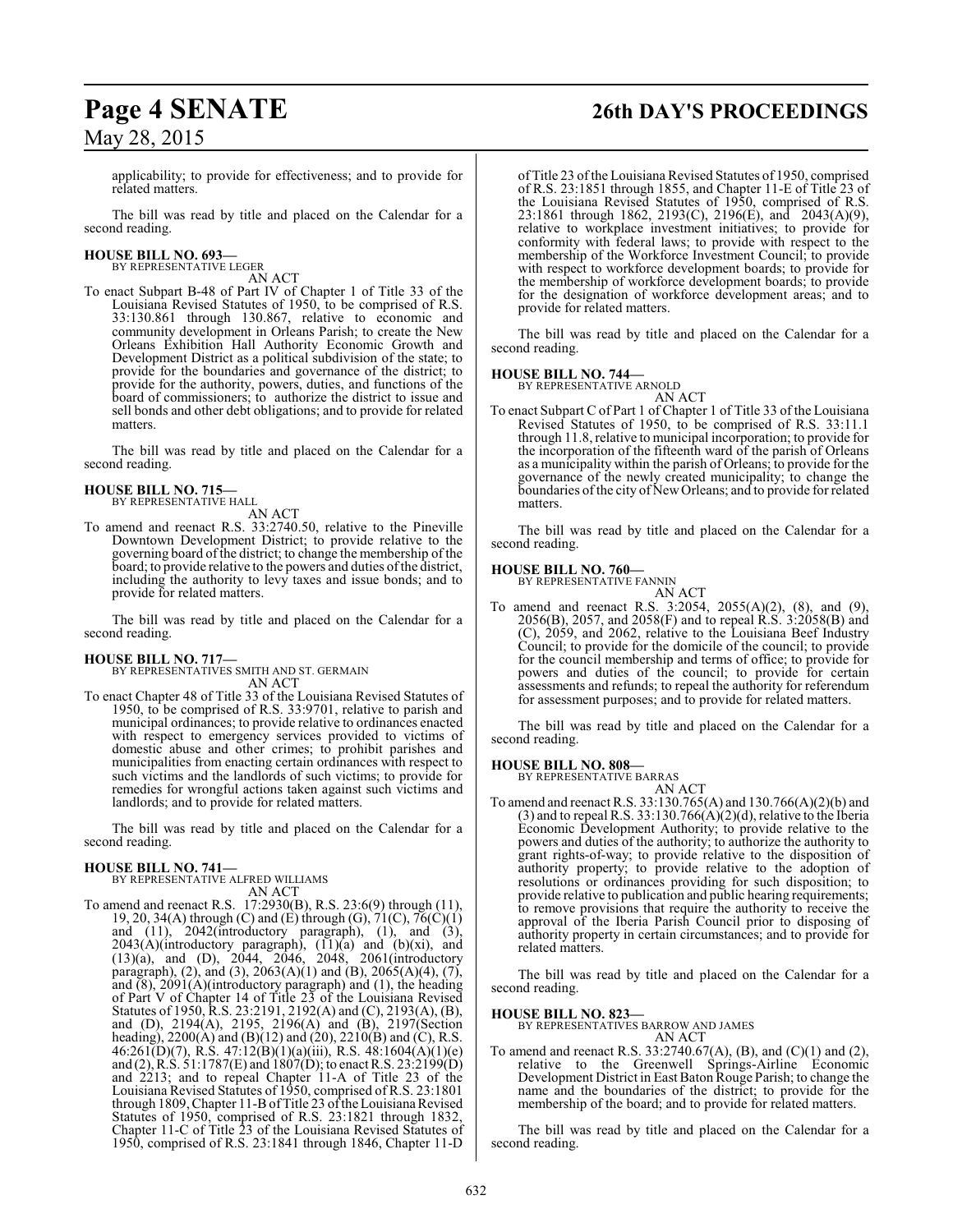# **Page 4 SENATE 26th DAY'S PROCEEDINGS**

May 28, 2015

applicability; to provide for effectiveness; and to provide for related matters.

The bill was read by title and placed on the Calendar for a second reading.

#### **HOUSE BILL NO. 693—** BY REPRESENTATIVE LEGER

AN ACT

To enact Subpart B-48 of Part IV of Chapter 1 of Title 33 of the Louisiana Revised Statutes of 1950, to be comprised of R.S. 33:130.861 through 130.867, relative to economic and community development in Orleans Parish; to create the New Orleans Exhibition Hall Authority Economic Growth and Development District as a political subdivision of the state; to provide for the boundaries and governance of the district; to provide for the authority, powers, duties, and functions of the board of commissioners; to authorize the district to issue and sell bonds and other debt obligations; and to provide for related matters.

The bill was read by title and placed on the Calendar for a second reading.

### **HOUSE BILL NO. 715—**

BY REPRESENTATIVE HALL

AN ACT

To amend and reenact R.S. 33:2740.50, relative to the Pineville Downtown Development District; to provide relative to the governing board of the district; to change the membership of the board; to provide relative to the powers and duties ofthe district, including the authority to levy taxes and issue bonds; and to provide for related matters.

The bill was read by title and placed on the Calendar for a second reading.

**HOUSE BILL NO. 717—** BY REPRESENTATIVES SMITH AND ST. GERMAIN AN ACT

To enact Chapter 48 of Title 33 of the Louisiana Revised Statutes of 1950, to be comprised of R.S. 33:9701, relative to parish and municipal ordinances; to provide relative to ordinances enacted with respect to emergency services provided to victims of domestic abuse and other crimes; to prohibit parishes and municipalities from enacting certain ordinances with respect to such victims and the landlords of such victims; to provide for remedies for wrongful actions taken against such victims and landlords; and to provide for related matters.

The bill was read by title and placed on the Calendar for a second reading.

## **HOUSE BILL NO. 741—** BY REPRESENTATIVE ALFRED WILLIAMS

AN ACT

To amend and reenact R.S. 17:2930(B), R.S. 23:6(9) through (11), 19, 20, 34(A) through (C) and (E) through (G),  $71(C)$ ,  $76(\dot{C})(1)$ and (11), 2042(introductory paragraph), (1), and (3),  $2043(A)$ (introductory paragraph),  $(11)(a)$  and  $(b)(xi)$ , and  $(13)(a)$ , and  $(D)$ ,  $2044$ ,  $2046$ ,  $2048$ ,  $2061$ (introductory paragraph), (2), and (3), 2063(A)(1) and (B), 2065(A)(4), (7), and  $(8)$ , 2091 $(A)$ (introductory paragraph) and  $(1)$ , the heading of Part V of Chapter 14 of Title 23 of the Louisiana Revised Statutes of 1950, R.S. 23:2191, 2192(A) and (C), 2193(A), (B), and (D), 2194(A), 2195, 2196(A) and (B), 2197(Section heading), 2200(A) and (B)(12) and (20), 2210(B) and (C), R.S.  $46:261\text{(\text{D})(7)}$ , R.S.  $47:12\text{(\text{B})(1)(a)(iii)}$ , R.S.  $48:1604\text{(\text{A})(1)(e)}$ and (2), R.S. 51:1787(E) and 1807(D); to enact R.S. 23:2199(D) and 2213; and to repeal Chapter 11-A of Title 23 of the Louisiana Revised Statutes of 1950, comprised of R.S. 23:1801 through 1809, Chapter 11-B of Title 23 of the Louisiana Revised Statutes of 1950, comprised of R.S. 23:1821 through 1832, Chapter 11-C of Title 23 of the Louisiana Revised Statutes of 1950, comprised of R.S. 23:1841 through 1846, Chapter 11-D

of Title 23 of the Louisiana Revised Statutes of 1950, comprised of R.S. 23:1851 through 1855, and Chapter 11-E of Title 23 of the Louisiana Revised Statutes of 1950, comprised of R.S. 23:1861 through 1862, 2193(C), 2196(E), and 2043(A)(9), relative to workplace investment initiatives; to provide for conformity with federal laws; to provide with respect to the membership of the Workforce Investment Council; to provide with respect to workforce development boards; to provide for the membership of workforce development boards; to provide for the designation of workforce development areas; and to provide for related matters.

The bill was read by title and placed on the Calendar for a second reading.

### **HOUSE BILL NO. 744—**

BY REPRESENTATIVE ARNOLD

AN ACT To enact Subpart C of Part 1 of Chapter 1 of Title 33 of the Louisiana Revised Statutes of 1950, to be comprised of R.S. 33:11.1 through 11.8, relative to municipal incorporation; to provide for the incorporation of the fifteenth ward of the parish of Orleans as a municipality within the parish of Orleans; to provide for the governance of the newly created municipality; to change the boundaries ofthe city of NewOrleans; and to provide for related matters.

The bill was read by title and placed on the Calendar for a second reading.

#### **HOUSE BILL NO. 760—**

BY REPRESENTATIVE FANNIN

AN ACT To amend and reenact R.S. 3:2054, 2055(A)(2), (8), and (9), 2056(B), 2057, and 2058(F) and to repeal R.S. 3:2058(B) and (C), 2059, and 2062, relative to the Louisiana Beef Industry Council; to provide for the domicile of the council; to provide for the council membership and terms of office; to provide for powers and duties of the council; to provide for certain assessments and refunds; to repeal the authority for referendum for assessment purposes; and to provide for related matters.

The bill was read by title and placed on the Calendar for a second reading.

# **HOUSE BILL NO. 808—** BY REPRESENTATIVE BARRAS

AN ACT

To amend and reenact R.S. 33:130.765(A) and 130.766(A)(2)(b) and  $(3)$  and to repeal R.S. 33:130.766 $(A)(2)(d)$ , relative to the Iberia Economic Development Authority; to provide relative to the powers and duties of the authority; to authorize the authority to grant rights-of-way; to provide relative to the disposition of authority property; to provide relative to the adoption of resolutions or ordinances providing for such disposition; to provide relative to publication and public hearing requirements; to remove provisions that require the authority to receive the approval of the Iberia Parish Council prior to disposing of authority property in certain circumstances; and to provide for related matters.

The bill was read by title and placed on the Calendar for a second reading.

#### **HOUSE BILL NO. 823—**

BY REPRESENTATIVES BARROW AND JAMES

AN ACT To amend and reenact R.S. 33:2740.67(A), (B), and (C)(1) and (2), relative to the Greenwell Springs-Airline Economic Development District in East Baton Rouge Parish; to change the name and the boundaries of the district; to provide for the membership of the board; and to provide for related matters.

The bill was read by title and placed on the Calendar for a second reading.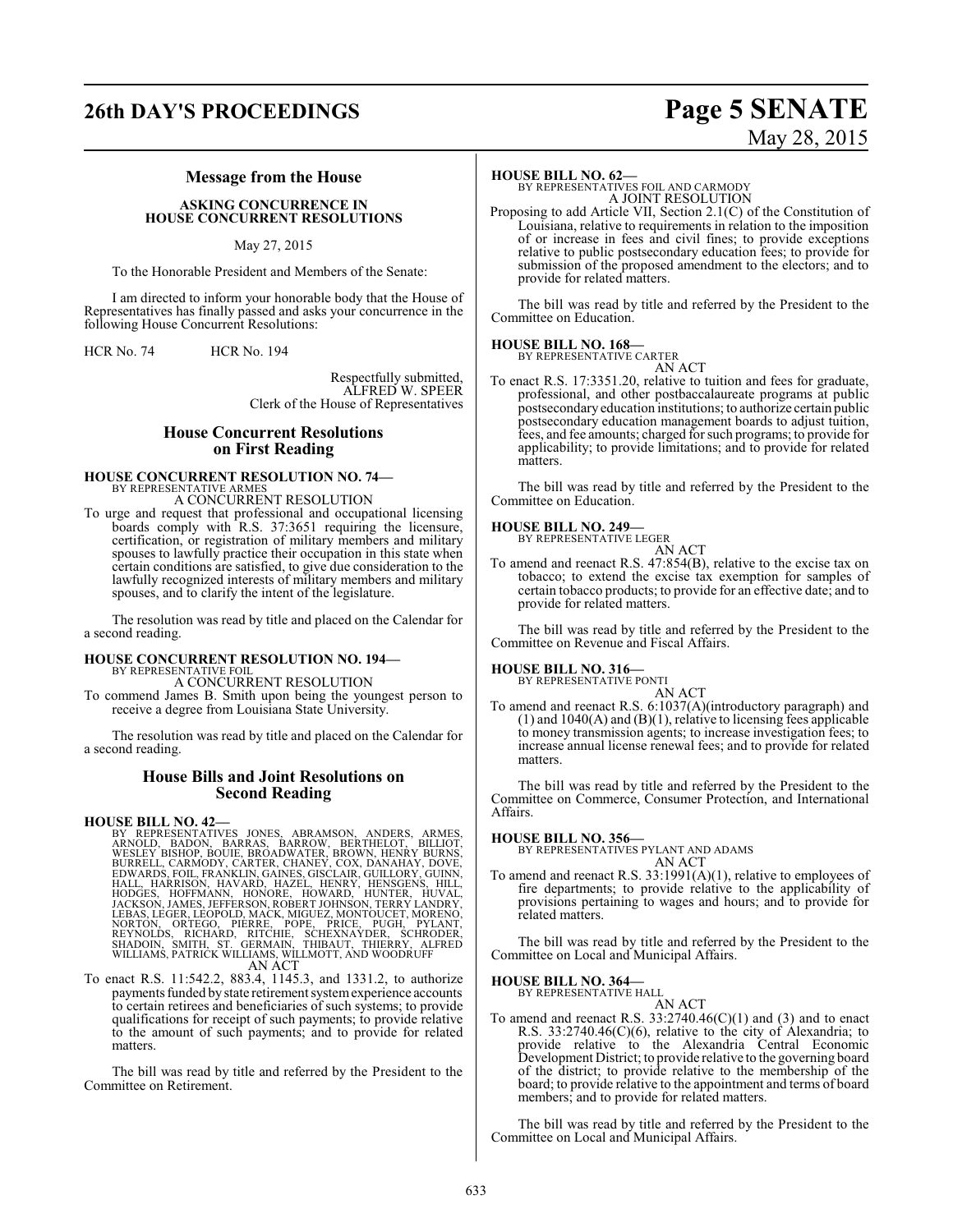# **26th DAY'S PROCEEDINGS Page 5 SENATE**

# May 28, 2015

#### **Message from the House**

#### **ASKING CONCURRENCE IN HOUSE CONCURRENT RESOLUTIONS**

#### May 27, 2015

To the Honorable President and Members of the Senate:

I am directed to inform your honorable body that the House of Representatives has finally passed and asks your concurrence in the following House Concurrent Resolutions:

HCR No. 74 HCR No. 194

Respectfully submitted, ALFRED W. SPEER Clerk of the House of Representatives

### **House Concurrent Resolutions on First Reading**

# **HOUSE CONCURRENT RESOLUTION NO. 74—** BY REPRESENTATIVE ARMES

A CONCURRENT RESOLUTION

To urge and request that professional and occupational licensing boards comply with R.S. 37:3651 requiring the licensure, certification, or registration of military members and military spouses to lawfully practice their occupation in this state when certain conditions are satisfied, to give due consideration to the lawfully recognized interests of military members and military spouses, and to clarify the intent of the legislature.

The resolution was read by title and placed on the Calendar for a second reading.

# **HOUSE CONCURRENT RESOLUTION NO. 194—** BY REPRESENTATIVE FOIL

A CONCURRENT RESOLUTION

To commend James B. Smith upon being the youngest person to receive a degree from Louisiana State University.

The resolution was read by title and placed on the Calendar for a second reading.

#### **House Bills and Joint Resolutions on Second Reading**

**HOUSE BILL NO. 42—**<br>BY REPRESENTATIVES JONES, ABRAMSON, ANDERS, ARMES, ARNOLD, BADON, BARRAS, BARROW, BERTHELOT, BILLIOT, WESLEY BISHOP, BOUIE, BROADWATER, EROWN, HENRY BURNS, BURRELL, CARMODY, CARTER, CHANEY, COX, DANAHA

To enact R.S. 11:542.2, 883.4, 1145.3, and 1331.2, to authorize payments funded by state retirement systemexperience accounts payments funded by state retirement system experience accounts to certain retirees and beneficiaries of such systems; to provide qualifications for receipt of such payments; to provide relative to the amount of such payments; and to provide for related matters.

The bill was read by title and referred by the President to the Committee on Retirement.

#### **HOUSE BILL NO. 62—**

BY REPRESENTATIVES FOIL AND CARMODY A JOINT RESOLUTION

Proposing to add Article VII, Section 2.1(C) of the Constitution of Louisiana, relative to requirements in relation to the imposition of or increase in fees and civil fines; to provide exceptions relative to public postsecondary education fees; to provide for submission of the proposed amendment to the electors; and to provide for related matters.

The bill was read by title and referred by the President to the Committee on Education.

#### **HOUSE BILL NO. 168—** BY REPRESENTATIVE CARTER



To enact R.S. 17:3351.20, relative to tuition and fees for graduate, professional, and other postbaccalaureate programs at public postsecondary education institutions; to authorize certain public postsecondary education management boards to adjust tuition, fees, and fee amounts; charged for such programs; to provide for applicability; to provide limitations; and to provide for related matters.

The bill was read by title and referred by the President to the Committee on Education.

### **HOUSE BILL NO. 249—** BY REPRESENTATIVE LEGER

AN ACT To amend and reenact R.S. 47:854(B), relative to the excise tax on tobacco; to extend the excise tax exemption for samples of certain tobacco products; to provide for an effective date; and to provide for related matters.

The bill was read by title and referred by the President to the Committee on Revenue and Fiscal Affairs.

**HOUSE BILL NO. 316—**

BY REPRESENTATIVE PONTI

AN ACT To amend and reenact R.S. 6:1037(A)(introductory paragraph) and  $(1)$  and  $1040(A)$  and  $(B)(1)$ , relative to licensing fees applicable to money transmission agents; to increase investigation fees; to increase annual license renewal fees; and to provide for related matters.

The bill was read by title and referred by the President to the Committee on Commerce, Consumer Protection, and International Affairs.

**HOUSE BILL NO. 356—** BY REPRESENTATIVES PYLANT AND ADAMS AN ACT

To amend and reenact R.S. 33:1991(A)(1), relative to employees of fire departments; to provide relative to the applicability of provisions pertaining to wages and hours; and to provide for related matters.

The bill was read by title and referred by the President to the Committee on Local and Municipal Affairs.

**HOUSE BILL NO. 364—**

BY REPRESENTATIVE HALL AN ACT

To amend and reenact R.S.  $33:2740.46(C)(1)$  and (3) and to enact R.S. 33:2740.46(C)(6), relative to the city of Alexandria; to provide relative to the Alexandria Central Economic Development District; to provide relative to the governing board of the district; to provide relative to the membership of the board; to provide relative to the appointment and terms of board members; and to provide for related matters.

The bill was read by title and referred by the President to the Committee on Local and Municipal Affairs.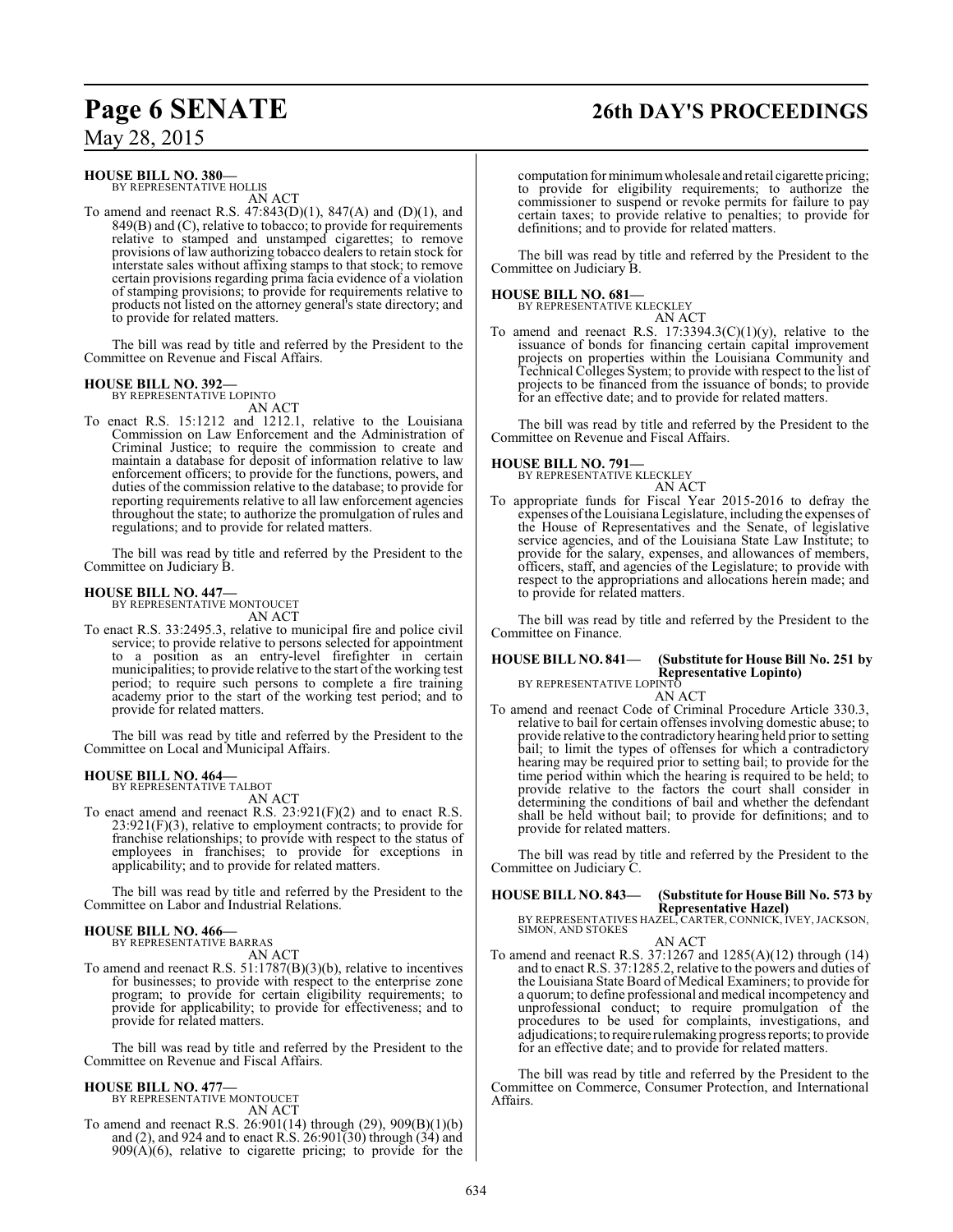## **Page 6 SENATE 26th DAY'S PROCEEDINGS**

May 28, 2015

**HOUSE BILL NO. 380—** BY REPRESENTATIVE HOLLIS AN ACT

To amend and reenact R.S. 47:843(D)(1), 847(A) and (D)(1), and 849(B) and (C), relative to tobacco; to provide for requirements relative to stamped and unstamped cigarettes; to remove provisions of law authorizing tobacco dealers to retain stock for interstate sales without affixing stamps to that stock; to remove certain provisions regarding prima facia evidence of a violation of stamping provisions; to provide for requirements relative to products not listed on the attorney general's state directory; and to provide for related matters.

The bill was read by title and referred by the President to the Committee on Revenue and Fiscal Affairs.

#### **HOUSE BILL NO. 392—**

BY REPRESENTATIVE LOPINTO AN ACT

To enact R.S. 15:1212 and 1212.1, relative to the Louisiana Commission on Law Enforcement and the Administration of Criminal Justice; to require the commission to create and maintain a database for deposit of information relative to law enforcement officers; to provide for the functions, powers, and duties of the commission relative to the database; to provide for reporting requirements relative to all law enforcement agencies throughout the state; to authorize the promulgation of rules and regulations; and to provide for related matters.

The bill was read by title and referred by the President to the Committee on Judiciary B.

#### **HOUSE BILL NO. 447—**

BY REPRESENTATIVE MONTOUCET AN ACT

To enact R.S. 33:2495.3, relative to municipal fire and police civil service; to provide relative to persons selected for appointment to a position as an entry-level firefighter in certain municipalities; to provide relative to the start of the working test period; to require such persons to complete a fire training academy prior to the start of the working test period; and to provide for related matters.

The bill was read by title and referred by the President to the Committee on Local and Municipal Affairs.

#### **HOUSE BILL NO. 464—**

BY REPRESENTATIVE TALBOT AN ACT

To enact amend and reenact R.S. 23:921(F)(2) and to enact R.S.  $23:921(F)(3)$ , relative to employment contracts; to provide for franchise relationships; to provide with respect to the status of employees in franchises; to provide for exceptions in applicability; and to provide for related matters.

The bill was read by title and referred by the President to the Committee on Labor and Industrial Relations.

### **HOUSE BILL NO. 466—**

BY REPRESENTATIVE BARRAS AN ACT

To amend and reenact R.S. 51:1787(B)(3)(b), relative to incentives for businesses; to provide with respect to the enterprise zone program; to provide for certain eligibility requirements; to provide for applicability; to provide for effectiveness; and to provide for related matters.

The bill was read by title and referred by the President to the Committee on Revenue and Fiscal Affairs.

#### **HOUSE BILL NO. 477—**

BY REPRESENTATIVE MONTOUCET AN ACT

To amend and reenact R.S. 26:901(14) through (29), 909(B)(1)(b) and (2), and 924 and to enact R.S.  $26:901(30)$  through  $(34)$  and  $909(A)(6)$ , relative to cigarette pricing; to provide for the computation for minimumwholesale and retail cigarette pricing; to provide for eligibility requirements; to authorize the commissioner to suspend or revoke permits for failure to pay certain taxes; to provide relative to penalties; to provide for definitions; and to provide for related matters.

The bill was read by title and referred by the President to the Committee on Judiciary B.

#### **HOUSE BILL NO. 681—**

BY REPRESENTATIVE KLECKLEY AN ACT

To amend and reenact R.S.  $17:3394.3(C)(1)(y)$ , relative to the issuance of bonds for financing certain capital improvement projects on properties within the Louisiana Community and Technical Colleges System; to provide with respect to the list of projects to be financed from the issuance of bonds; to provide for an effective date; and to provide for related matters.

The bill was read by title and referred by the President to the Committee on Revenue and Fiscal Affairs.

**HOUSE BILL NO. 791—** BY REPRESENTATIVE KLECKLEY

### AN ACT

To appropriate funds for Fiscal Year 2015-2016 to defray the expenses ofthe Louisiana Legislature, including the expenses of the House of Representatives and the Senate, of legislative service agencies, and of the Louisiana State Law Institute; to provide for the salary, expenses, and allowances of members, officers, staff, and agencies of the Legislature; to provide with respect to the appropriations and allocations herein made; and to provide for related matters.

The bill was read by title and referred by the President to the Committee on Finance.

#### **HOUSE BILL NO. 841— (Substitute for House Bill No. 251 by Representative Lopinto)**

BY REPRESENTATIVE LOPINTO

AN ACT To amend and reenact Code of Criminal Procedure Article 330.3, relative to bail for certain offenses involving domestic abuse; to provide relative to the contradictory hearing held prior to setting bail; to limit the types of offenses for which a contradictory hearing may be required prior to setting bail; to provide for the time period within which the hearing is required to be held; to provide relative to the factors the court shall consider in determining the conditions of bail and whether the defendant shall be held without bail; to provide for definitions; and to provide for related matters.

The bill was read by title and referred by the President to the Committee on Judiciary C.

**HOUSE BILL NO. 843— (Substitute for House Bill No. 573 by Representative Hazel)**

BY REPRESENTATIVES HAZEL, CARTER, CONNICK, IVEY, JACKSON, SIMON, AND STOKES AN ACT

To amend and reenact R.S. 37:1267 and 1285(A)(12) through (14) and to enact R.S. 37:1285.2, relative to the powers and duties of the Louisiana State Board of Medical Examiners; to provide for a quorum; to define professional and medical incompetency and unprofessional conduct; to require promulgation of the procedures to be used for complaints, investigations, and adjudications; to require rulemaking progress reports; to provide for an effective date; and to provide for related matters.

The bill was read by title and referred by the President to the Committee on Commerce, Consumer Protection, and International Affairs.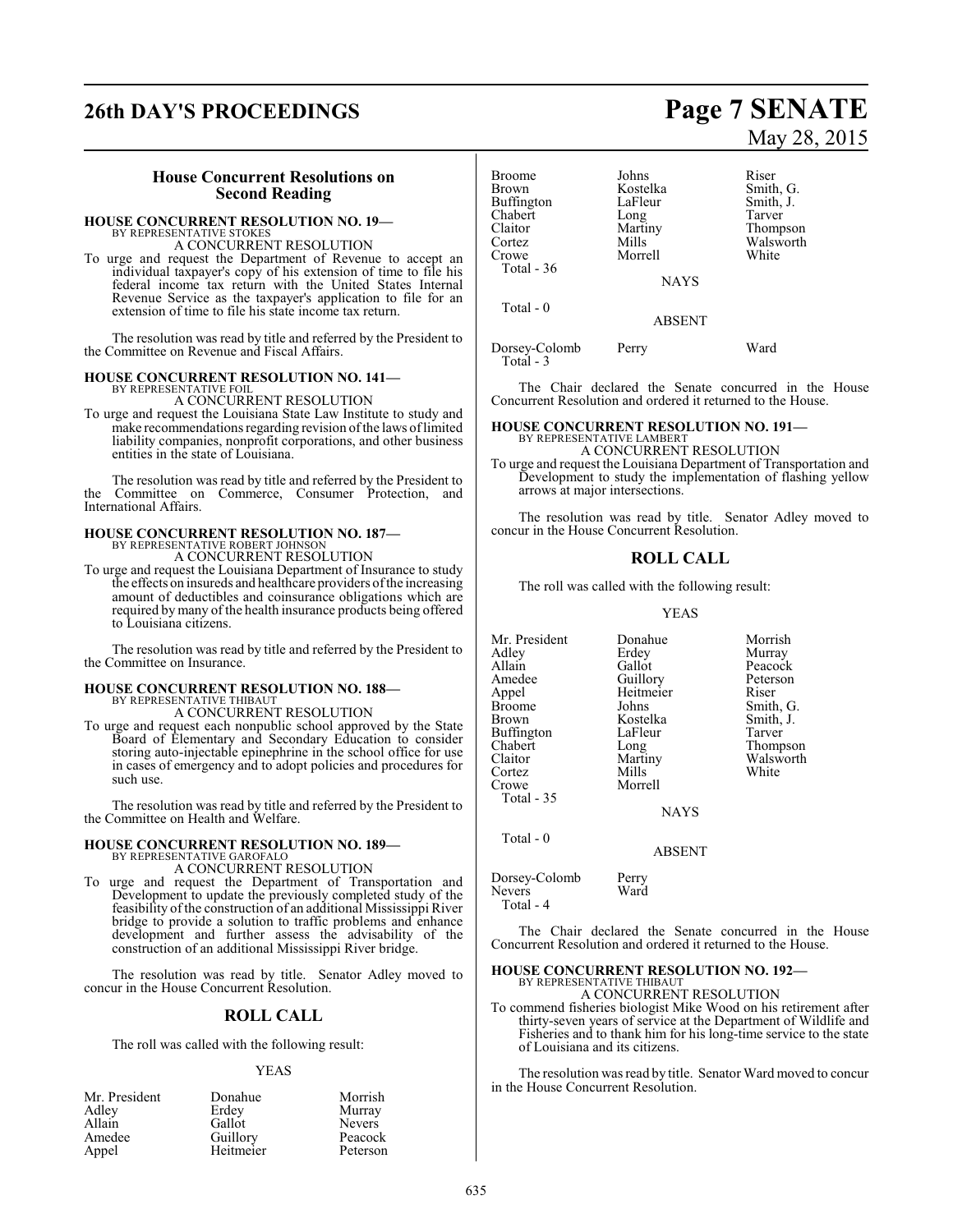# **26th DAY'S PROCEEDINGS Page 7 SENATE**

#### **House Concurrent Resolutions on Second Reading**

#### **HOUSE CONCURRENT RESOLUTION NO. 19—**

BY REPRESENTATIVE STOKES A CONCURRENT RESOLUTION

To urge and request the Department of Revenue to accept an individual taxpayer's copy of his extension of time to file his federal income tax return with the United States Internal Revenue Service as the taxpayer's application to file for an extension of time to file his state income tax return.

The resolution was read by title and referred by the President to the Committee on Revenue and Fiscal Affairs.

#### **HOUSE CONCURRENT RESOLUTION NO. 141—** BY REPRESENTATIVE FOIL

A CONCURRENT RESOLUTION

To urge and request the Louisiana State Law Institute to study and make recommendations regarding revision of the laws of limited liability companies, nonprofit corporations, and other business entities in the state of Louisiana.

The resolution was read by title and referred by the President to the Committee on Commerce, Consumer Protection, and International Affairs.

#### **HOUSE CONCURRENT RESOLUTION NO. 187—** BY REPRESENTATIVE ROBERT JOHNSON A CONCURRENT RESOLUTION

To urge and request the Louisiana Department of Insurance to study

the effects on insureds and healthcare providers ofthe increasing amount of deductibles and coinsurance obligations which are required by many of the health insurance products being offered to Louisiana citizens.

The resolution was read by title and referred by the President to the Committee on Insurance.

#### **HOUSE CONCURRENT RESOLUTION NO. 188—** BY REPRESENTATIVE THIBAUT

A CONCURRENT RESOLUTION

To urge and request each nonpublic school approved by the State Board of Elementary and Secondary Education to consider storing auto-injectable epinephrine in the school office for use in cases of emergency and to adopt policies and procedures for such use.

The resolution was read by title and referred by the President to the Committee on Health and Welfare.

### **HOUSE CONCURRENT RESOLUTION NO. 189—** BY REPRESENTATIVE GAROFALO A CONCURRENT RESOLUTION

To urge and request the Department of Transportation and Development to update the previously completed study of the feasibility of the construction of an additional Mississippi River bridge to provide a solution to traffic problems and enhance development and further assess the advisability of the construction of an additional Mississippi River bridge.

The resolution was read by title. Senator Adley moved to concur in the House Concurrent Resolution.

### **ROLL CALL**

The roll was called with the following result:

#### YEAS

| Mr. President | Donahue   | Morrish       |
|---------------|-----------|---------------|
| Adley         | Erdey     | Murray        |
| Allain        | Gallot    | <b>Nevers</b> |
| Amedee        | Guillory  | Peacock       |
| Appel         | Heitmeier | Peterson      |

# May 28, 2015

| <b>Broome</b> | Johns         | Riser     |
|---------------|---------------|-----------|
| <b>Brown</b>  | Kostelka      | Smith, G. |
| Buffington    | LaFleur       | Smith, J. |
| Chabert       | Long          | Tarver    |
| Claitor       | Martiny       | Thompson  |
| Cortez        | Mills         | Walsworth |
| Crowe         | Morrell       | White     |
| Total - 36    |               |           |
|               | <b>NAYS</b>   |           |
| Total - 0     |               |           |
|               | <b>ABSENT</b> |           |

Dorsey-Colomb Perry Ward Total - 3

The Chair declared the Senate concurred in the House Concurrent Resolution and ordered it returned to the House.

### **HOUSE CONCURRENT RESOLUTION NO. 191—**

BY REPRESENTATIVE LAMBERT A CONCURRENT RESOLUTION

To urge and request the Louisiana Department of Transportation and Development to study the implementation of flashing yellow arrows at major intersections.

The resolution was read by title. Senator Adley moved to concur in the House Concurrent Resolution.

#### **ROLL CALL**

The roll was called with the following result:

YEAS

Mr. President Donahue Morrish<br>Adley Erdey Murray Adley Erdey Murray Amedee Guillory Peterson<br>Appel Heitmeier Riser Appel Heitmeier<br>Broome Johns Broome Johns Smith, G.<br>Brown Kostelka Smith, J. Buffington LaFle<br>Chabert Long Chabert Long Thompson<br>Claitor Martiny Walsworth Cortez<br>Crowe Total - 35

Total - 0

Morrell

Gallot Peacock<br>
Guillory Peterson Kostelka Smith,<br>LaFleur Tarver Martiny Walsworth<br>
Mills White

**NAYS** 

ABSENT

Dorsey-Colomb Perry<br>Nevers Ward Nevers Total - 4

The Chair declared the Senate concurred in the House Concurrent Resolution and ordered it returned to the House.

### **HOUSE CONCURRENT RESOLUTION NO. 192—** BY REPRESENTATIVE THIBAUT

A CONCURRENT RESOLUTION

To commend fisheries biologist Mike Wood on his retirement after thirty-seven years of service at the Department of Wildlife and Fisheries and to thank him for his long-time service to the state of Louisiana and its citizens.

The resolution was read by title. Senator Ward moved to concur in the House Concurrent Resolution.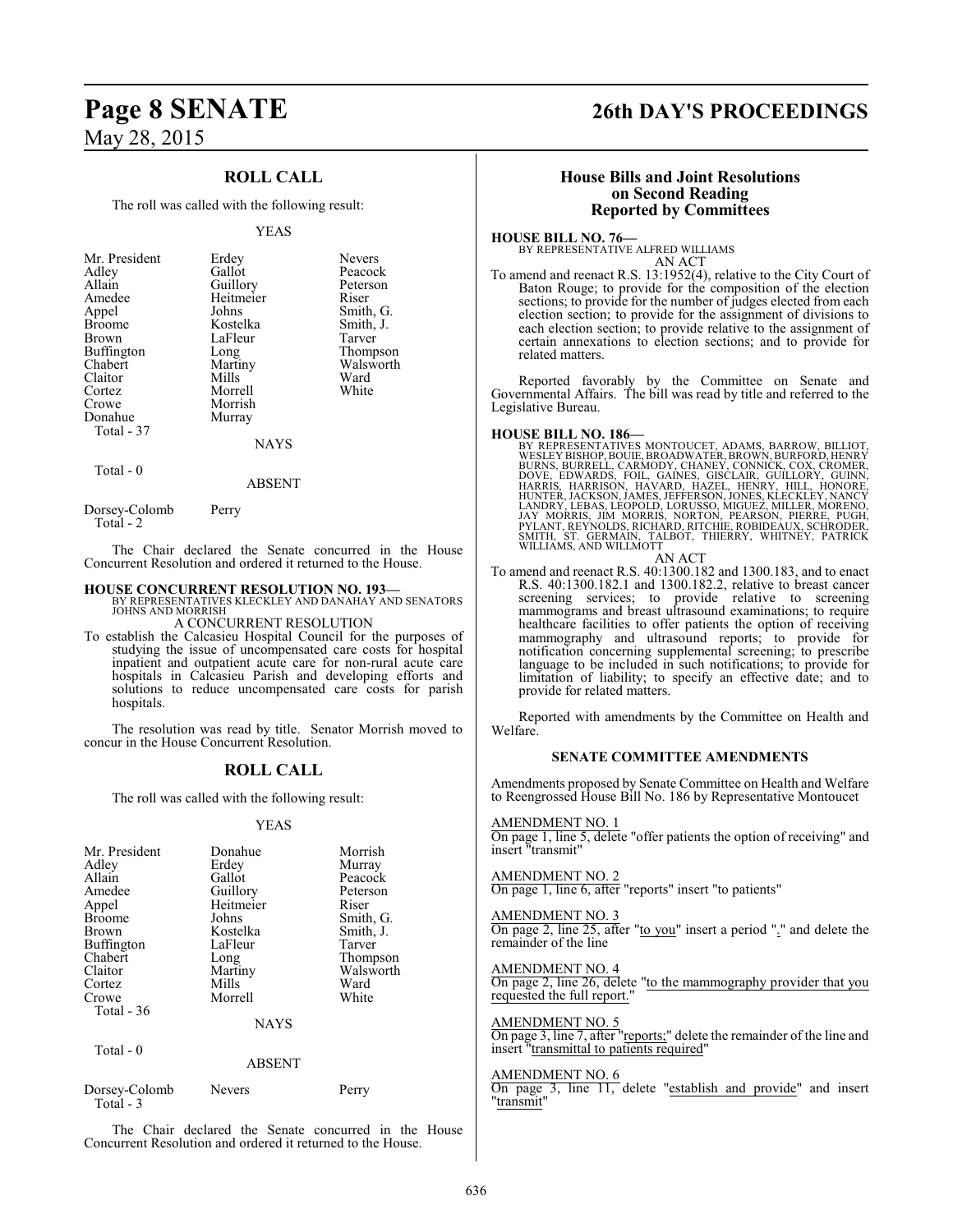### **ROLL CALL**

The roll was called with the following result:

#### YEAS

| Mr. President | Erdey     | <b>Nevers</b> |
|---------------|-----------|---------------|
| Adley         | Gallot    | Peacock       |
| Allain        | Guillory  | Peterson      |
| Amedee        | Heitmeier | Riser         |
| Appel         | Johns     | Smith, G.     |
| <b>Broome</b> | Kostelka  | Smith, J.     |
| Brown         | LaFleur   | Tarver        |
| Buffington    | Long      | Thompson      |
| Chabert       | Martiny   | Walsworth     |
| Claitor       | Mills     | Ward          |
| Cortez        | Morrell   | White         |
| Crowe         | Morrish   |               |
| Donahue       | Murray    |               |
| Total - 37    |           |               |
|               | NAYS      |               |

Total - 0

ABSENT

Dorsey-Colomb Perry Total - 2

The Chair declared the Senate concurred in the House Concurrent Resolution and ordered it returned to the House.

#### **HOUSE CONCURRENT RESOLUTION NO. 193—**

BY REPRESENTATIVES KLECKLEY AND DANAHAY AND SENATORS JOHNS AND MORRISH

A CONCURRENT RESOLUTION To establish the Calcasieu Hospital Council for the purposes of studying the issue of uncompensated care costs for hospital inpatient and outpatient acute care for non-rural acute care hospitals in Calcasieu Parish and developing efforts and solutions to reduce uncompensated care costs for parish hospitals.

The resolution was read by title. Senator Morrish moved to concur in the House Concurrent Resolution.

### **ROLL CALL**

The roll was called with the following result:

#### YEAS

| Mr. President<br>Adley<br>Allain<br>Amedee<br>Appel<br><b>Broome</b><br><b>Brown</b><br><b>Buffington</b><br>Chabert<br>Claitor<br>Cortez<br>Crowe<br>Total $-36$ | Donahue<br>Erdey<br>Gallot<br>Guillory<br>Heitmeier<br>Johns<br>Kostelka<br>LaFleur<br>Long<br>Martiny<br>Mills<br>Morrell | Morrish<br>Murray<br>Peacock<br>Peterson<br>Riser<br>Smith, G.<br>Smith, J.<br>Tarver<br>Thompson<br>Walsworth<br>Ward<br>White |
|-------------------------------------------------------------------------------------------------------------------------------------------------------------------|----------------------------------------------------------------------------------------------------------------------------|---------------------------------------------------------------------------------------------------------------------------------|
|                                                                                                                                                                   | <b>NAYS</b>                                                                                                                |                                                                                                                                 |

| отан |  |
|------|--|
|------|--|

ABSENT Dorsey-Colomb Nevers Perry Total - 3

The Chair declared the Senate concurred in the House Concurrent Resolution and ordered it returned to the House.

### **Page 8 SENATE 26th DAY'S PROCEEDINGS**

#### **House Bills and Joint Resolutions on Second Reading Reported by Committees**

**HOUSE BILL NO. 76—** BY REPRESENTATIVE ALFRED WILLIAMS

AN ACT

To amend and reenact R.S. 13:1952(4), relative to the City Court of Baton Rouge; to provide for the composition of the election sections; to provide for the number of judges elected from each election section; to provide for the assignment of divisions to each election section; to provide relative to the assignment of certain annexations to election sections; and to provide for related matters.

Reported favorably by the Committee on Senate and Governmental Affairs. The bill was read by title and referred to the Legislative Bureau.

- **HOUSE BILL NO. 186—**<br>BY REPRESENTATIVES MONTOUCET, ADAMS, BARROW, BILLIOT,<br>WESLEY BISHOP, BOUIE, BROADWATER, BROWN, BURFORD, HENRY<br>BURNS, BURRELL, CARMODY, CHANEY, CONNICK, COX, CROMER,<br>DOVE, EDWARDS, FOIL, GAINES, GISCLA SMITH, ST. GERMAIN, TALBOT, THIERRY, WHITNEY, PATRICK WILLIAMS, AND WILLMOTT AN ACT
- To amend and reenact R.S. 40:1300.182 and 1300.183, and to enact R.S. 40:1300.182.1 and 1300.182.2, relative to breast cancer screening services; to provide relative to screening mammograms and breast ultrasound examinations; to require healthcare facilities to offer patients the option of receiving mammography and ultrasound reports; to provide for notification concerning supplemental screening; to prescribe language to be included in such notifications; to provide for limitation of liability; to specify an effective date; and to provide for related matters.

Reported with amendments by the Committee on Health and Welfare.

#### **SENATE COMMITTEE AMENDMENTS**

Amendments proposed by Senate Committee on Health and Welfare to Reengrossed House Bill No. 186 by Representative Montoucet

#### AMENDMENT NO. 1

On page 1, line 5, delete "offer patients the option of receiving" and insert "transmit"

#### AMENDMENT NO. 2

On page 1, line 6, after "reports" insert "to patients"

#### AMENDMENT NO. 3

On page 2, line 25, after "to you" insert a period "." and delete the remainder of the line

#### AMENDMENT NO. 4

On page 2, line 26, delete "to the mammography provider that you requested the full report.

#### AMENDMENT NO. 5

On page 3, line 7, after "reports;" delete the remainder of the line and insert "transmittal to patients required"

#### AMENDMENT NO. 6

On page 3, line 11, delete "establish and provide" and insert "transmit"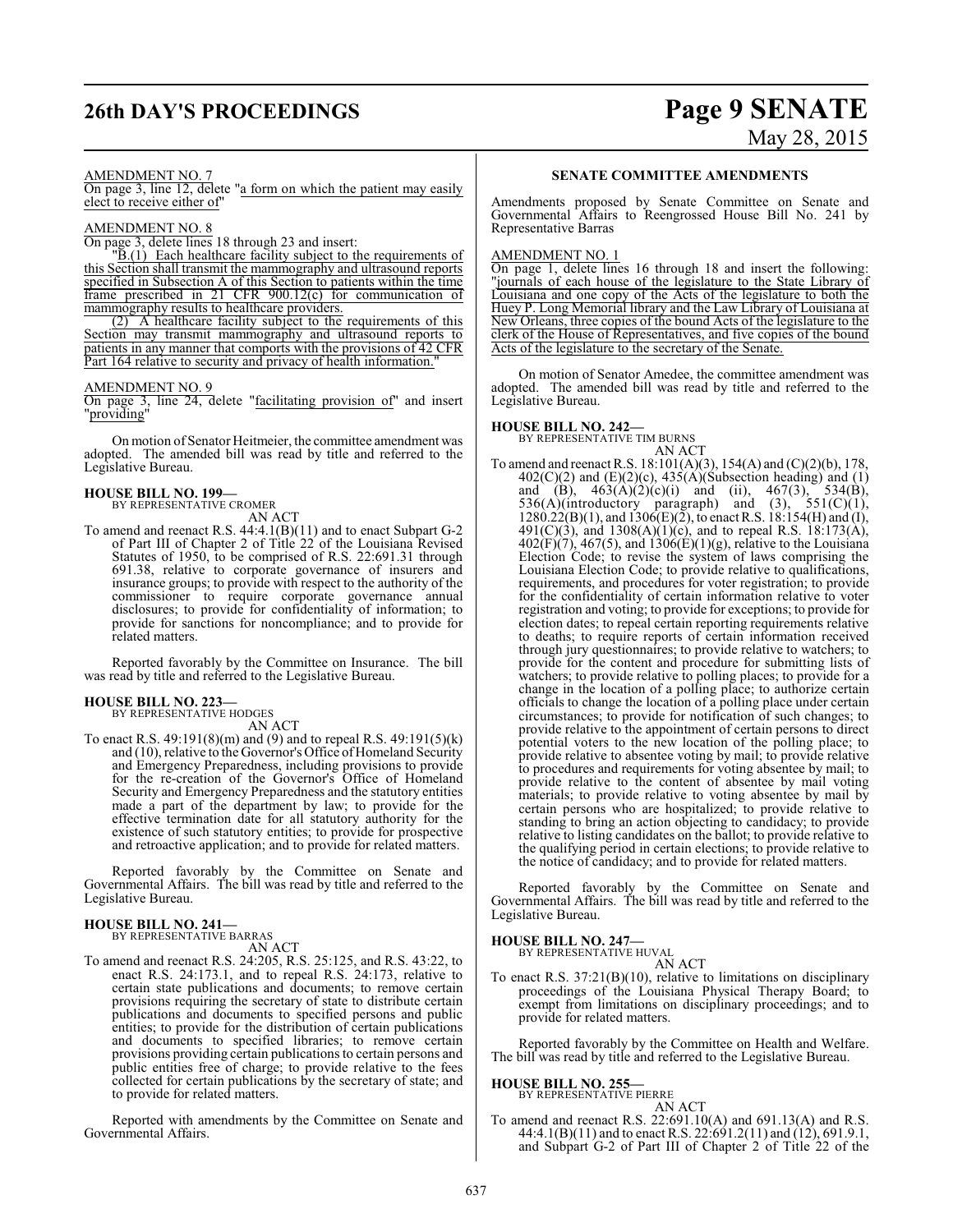# **26th DAY'S PROCEEDINGS Page 9 SENATE**

# May 28, 2015

#### AMENDMENT NO. 7

On page 3, line 12, delete "a form on which the patient may easily elect to receive either of"

#### AMENDMENT NO. 8

On page 3, delete lines 18 through 23 and insert:

 $\overline{B(1)}$  Each healthcare facility subject to the requirements of this Section shall transmit the mammography and ultrasound reports specified in Subsection A of this Section to patients within the time frame prescribed in 21 CFR 900.12(c) for communication of mammography results to healthcare providers.

(2) A healthcare facility subject to the requirements of this Section may transmit mammography and ultrasound reports to patients in any manner that comports with the provisions of 42 CFR Part 164 relative to security and privacy of health information.

#### AMENDMENT NO. 9

On page 3, line 24, delete "facilitating provision of" and insert "providing"

On motion of Senator Heitmeier, the committee amendment was adopted. The amended bill was read by title and referred to the Legislative Bureau.

#### **HOUSE BILL NO. 199—**

BY REPRESENTATIVE CROMER

AN ACT

To amend and reenact R.S. 44:4.1(B)(11) and to enact Subpart G-2 of Part III of Chapter 2 of Title 22 of the Louisiana Revised Statutes of 1950, to be comprised of R.S. 22:691.31 through 691.38, relative to corporate governance of insurers and insurance groups; to provide with respect to the authority of the commissioner to require corporate governance annual disclosures; to provide for confidentiality of information; to provide for sanctions for noncompliance; and to provide for related matters.

Reported favorably by the Committee on Insurance. The bill was read by title and referred to the Legislative Bureau.

#### **HOUSE BILL NO. 223—** BY REPRESENTATIVE HODGES

AN ACT

To enact R.S. 49:191(8)(m) and (9) and to repeal R.S. 49:191(5)(k) and (10), relative to the Governor's Office of Homeland Security and Emergency Preparedness, including provisions to provide for the re-creation of the Governor's Office of Homeland Security and Emergency Preparedness and the statutory entities made a part of the department by law; to provide for the effective termination date for all statutory authority for the existence of such statutory entities; to provide for prospective and retroactive application; and to provide for related matters.

Reported favorably by the Committee on Senate and Governmental Affairs. The bill was read by title and referred to the Legislative Bureau.

#### **HOUSE BILL NO. 241—** BY REPRESENTATIVE BARRAS

AN ACT

To amend and reenact R.S. 24:205, R.S. 25:125, and R.S. 43:22, to enact R.S. 24:173.1, and to repeal R.S. 24:173, relative to certain state publications and documents; to remove certain provisions requiring the secretary of state to distribute certain publications and documents to specified persons and public entities; to provide for the distribution of certain publications and documents to specified libraries; to remove certain provisions providing certain publications to certain persons and public entities free of charge; to provide relative to the fees collected for certain publications by the secretary of state; and to provide for related matters.

Reported with amendments by the Committee on Senate and Governmental Affairs.

#### **SENATE COMMITTEE AMENDMENTS**

Amendments proposed by Senate Committee on Senate and Governmental Affairs to Reengrossed House Bill No. 241 by Representative Barras

#### AMENDMENT NO. 1

On page 1, delete lines 16 through 18 and insert the following: "journals of each house of the legislature to the State Library of Louisiana and one copy of the Acts of the legislature to both the Huey P. Long Memorial library and the Law Library of Louisiana at New Orleans, three copies of the bound Acts of the legislature to the clerk of the House of Representatives, and five copies of the bound Acts of the legislature to the secretary of the Senate.

On motion of Senator Amedee, the committee amendment was adopted. The amended bill was read by title and referred to the Legislative Bureau.

#### **HOUSE BILL NO. 242—**

BY REPRESENTATIVE TIM BURNS AN ACT

To amend and reenact R.S. 18:101(A)(3), 154(A) and (C)(2)(b), 178,  $402(C)(2)$  and  $(E)(2)(c)$ ,  $435(A)(Subsection heading)$  and  $(1)$ and (B),  $463(A)(2)(c)(i)$  and (ii),  $467(3)$ ,  $534(B)$ , 536(A)(introductory paragraph) and (3),  $551(C)(1)$ ,  $1280.22(B)(1)$ , and  $1306(E)(2)$ , to enact R.S.  $18:154(H)$  and (I),  $491(C)(3)$ , and  $1308(A)(1)(c)$ , and to repeal R.S. 18:173(A),  $402(F)(7)$ ,  $467(5)$ , and  $1306(E)(1)(g)$ , relative to the Louisiana Election Code; to revise the system of laws comprising the Louisiana Election Code; to provide relative to qualifications, requirements, and procedures for voter registration; to provide for the confidentiality of certain information relative to voter registration and voting; to provide for exceptions; to provide for election dates; to repeal certain reporting requirements relative to deaths; to require reports of certain information received through jury questionnaires; to provide relative to watchers; to provide for the content and procedure for submitting lists of watchers; to provide relative to polling places; to provide for a change in the location of a polling place; to authorize certain officials to change the location of a polling place under certain circumstances; to provide for notification of such changes; to provide relative to the appointment of certain persons to direct potential voters to the new location of the polling place; to provide relative to absentee voting by mail; to provide relative to procedures and requirements for voting absentee by mail; to provide relative to the content of absentee by mail voting materials; to provide relative to voting absentee by mail by certain persons who are hospitalized; to provide relative to standing to bring an action objecting to candidacy; to provide relative to listing candidates on the ballot; to provide relative to the qualifying period in certain elections; to provide relative to the notice of candidacy; and to provide for related matters.

Reported favorably by the Committee on Senate and Governmental Affairs. The bill was read by title and referred to the Legislative Bureau.

### **HOUSE BILL NO. 247—** BY REPRESENTATIVE HUVAL

AN ACT

To enact R.S. 37:21(B)(10), relative to limitations on disciplinary proceedings of the Louisiana Physical Therapy Board; to exempt from limitations on disciplinary proceedings; and to provide for related matters.

Reported favorably by the Committee on Health and Welfare. The bill was read by title and referred to the Legislative Bureau.

#### **HOUSE BILL NO. 255—**

BY REPRESENTATIVE PIERRE

AN ACT To amend and reenact R.S. 22:691.10(A) and 691.13(A) and R.S. 44:4.1(B)(11) and to enact R.S. 22:691.2(11) and (12), 691.9.1, and Subpart G-2 of Part III of Chapter 2 of Title 22 of the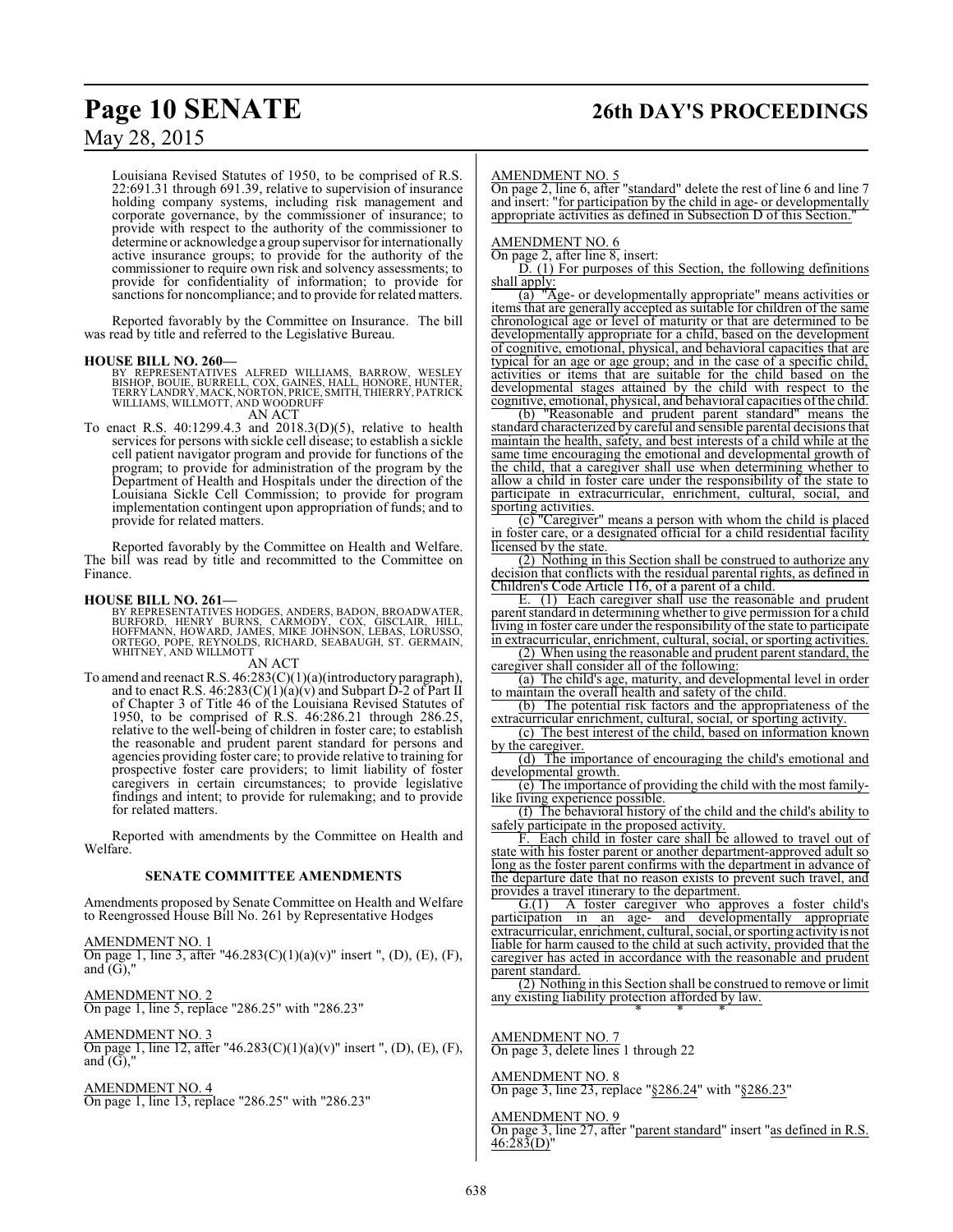Louisiana Revised Statutes of 1950, to be comprised of R.S. 22:691.31 through 691.39, relative to supervision of insurance holding company systems, including risk management and corporate governance, by the commissioner of insurance; to provide with respect to the authority of the commissioner to determine or acknowledge a group supervisor for internationally active insurance groups; to provide for the authority of the commissioner to require own risk and solvency assessments; to provide for confidentiality of information; to provide for sanctions for noncompliance; and to provide for related matters.

Reported favorably by the Committee on Insurance. The bill was read by title and referred to the Legislative Bureau.

#### **HOUSE BILL NO. 260—**

BY REPRESENTATIVES ALFRED WILLIAMS, BARROW, WESLEY<br>BISHOP, BOUIE, BURRELL, COX, GAINES, HALL, HONORE, HUNTER,<br>TERRY LANDRY, MACK,NORTON, PRICE,SMITH, THIERRY, PATRICK<br>WILLIAMS, WILLMOTT, AND WOODRUFF

AN ACT

To enact R.S. 40:1299.4.3 and 2018.3(D)(5), relative to health services for persons with sickle cell disease; to establish a sickle cell patient navigator program and provide for functions of the program; to provide for administration of the program by the Department of Health and Hospitals under the direction of the Louisiana Sickle Cell Commission; to provide for program implementation contingent upon appropriation of funds; and to provide for related matters.

Reported favorably by the Committee on Health and Welfare. The bill was read by title and recommitted to the Committee on Finance.

#### **HOUSE BILL NO. 261—**

BY REPRESENTATIVES HODGES, ANDERS, BADON, BROADWATER,<br>BURFORD, HENRY BURNS, CARMODY, COX, GISCLAIR, HILL,<br>HOFFMANN, HOWARD, JAMES, MIKE JOHNSON, LEBAS, LORUSSO,<br>ORTEGO, PÓPE, REYNOLDS, RICHARD, SEABAUGH, ST. GERMAIN,<br>WHITN

AN ACT

To amend and reenact R.S. 46:283(C)(1)(a)(introductory paragraph), and to enact R.S. 46:283(C)(1)(a)(v) and Subpart D-2 of Part II of Chapter 3 of Title 46 of the Louisiana Revised Statutes of 1950, to be comprised of R.S. 46:286.21 through 286.25, relative to the well-being of children in foster care; to establish the reasonable and prudent parent standard for persons and agencies providing foster care; to provide relative to training for prospective foster care providers; to limit liability of foster caregivers in certain circumstances; to provide legislative findings and intent; to provide for rulemaking; and to provide for related matters.

Reported with amendments by the Committee on Health and Welfare.

#### **SENATE COMMITTEE AMENDMENTS**

Amendments proposed by Senate Committee on Health and Welfare to Reengrossed House Bill No. 261 by Representative Hodges

AMENDMENT NO. 1 On page 1, line 3, after "46.283(C)(1)(a)(v)" insert ", (D), (E), (F), and  $(G)$ ,"

AMENDMENT NO. 2 On page 1, line 5, replace "286.25" with "286.23"

AMENDMENT NO. 3 On page 1, line 12, after "46.283(C)(1)(a)(v)" insert ", (D), (E), (F), and  $(G)$ ,"

AMENDMENT NO. 4 On page 1, line 13, replace "286.25" with "286.23"

# **Page 10 SENATE 26th DAY'S PROCEEDINGS**

#### AMENDMENT NO. 5

On page 2, line 6, after "standard" delete the rest of line 6 and line 7 and insert: "for participation by the child in age- or developmentally appropriate activities as defined in Subsection D of this Section."

AMENDMENT NO. 6

On page 2, after line 8, insert:

D. (1) For purposes of this Section, the following definitions shall apply:

(a) "Age- or developmentally appropriate" means activities or items that are generally accepted as suitable for children of the same chronological age or level of maturity or that are determined to be developmentally appropriate for a child, based on the development of cognitive, emotional, physical, and behavioral capacities that are typical for an age or age group; and in the case of a specific child, activities or items that are suitable for the child based on the developmental stages attained by the child with respect to the cognitive, emotional, physical, and behavioral capacities ofthe child.

(b) "Reasonable and prudent parent standard" means the standard characterized by careful and sensible parental decisions that maintain the health, safety, and best interests of a child while at the same time encouraging the emotional and developmental growth of the child, that a caregiver shall use when determining whether to allow a child in foster care under the responsibility of the state to participate in extracurricular, enrichment, cultural, social, and sporting activities.

(c) "Caregiver" means a person with whom the child is placed in foster care, or a designated official for a child residential facility licensed by the state.

(2) Nothing in this Section shall be construed to authorize any decision that conflicts with the residual parental rights, as defined in Children's Code Article 116, of a parent of a child.

E. (1) Each caregiver shall use the reasonable and prudent parent standard in determining whether to give permission for a child living in foster care under the responsibility of the state to participate in extracurricular, enrichment, cultural, social, or sporting activities.

(2) When using the reasonable and prudent parent standard, the caregiver shall consider all of the following:

(a) The child's age, maturity, and developmental level in order to maintain the overall health and safety of the child.

(b) The potential risk factors and the appropriateness of the extracurricular enrichment, cultural, social, or sporting activity.

(c) The best interest of the child, based on information known by the caregiver.

(d) The importance of encouraging the child's emotional and developmental growth.

(e) The importance of providing the child with the most familylike living experience possible.

(f) The behavioral history of the child and the child's ability to safely participate in the proposed activity.

F. Each child in foster care shall be allowed to travel out of state with his foster parent or another department-approved adult so long as the foster parent confirms with the department in advance of the departure date that no reason exists to prevent such travel, and provides a travel itinerary to the department.

G.(1) A foster caregiver who approves a foster child's participation in an age- and developmentally appropriate extracurricular, enrichment, cultural, social, or sporting activityis not liable for harm caused to the child at such activity, provided that the caregiver has acted in accordance with the reasonable and prudent parent standard.

(2) Nothing in this Section shall be construed to remove or limit any existing liability protection afforded by law. \* \* \*

AMENDMENT NO. 7 On page 3, delete lines 1 through 22

### AMENDMENT NO. 8

On page 3, line 23, replace "§286.24" with "§286.23"

AMENDMENT NO. 9

On page 3, line 27, after "parent standard" insert "as defined in R.S.  $46:283(D)''$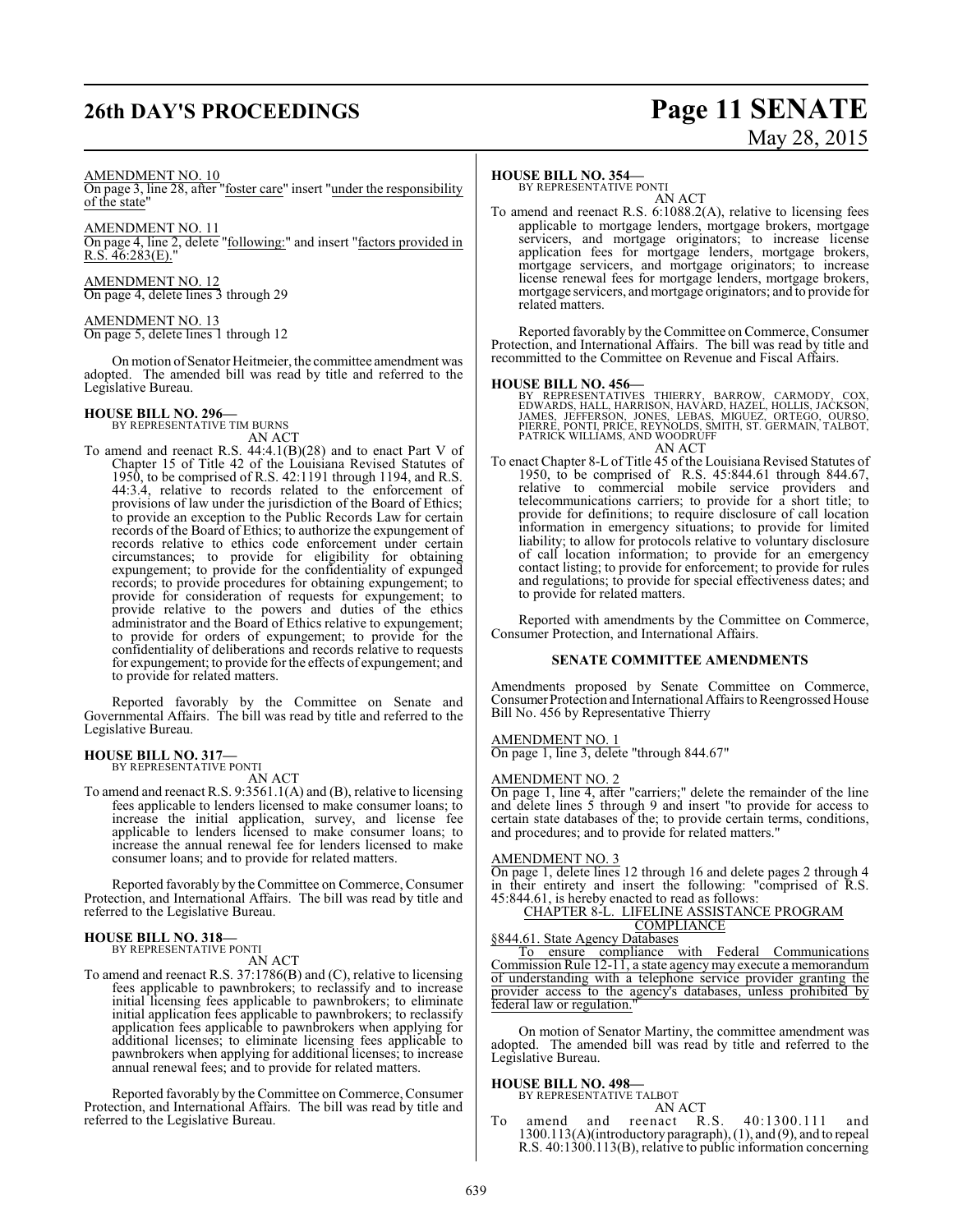## **26th DAY'S PROCEEDINGS Page 11 SENATE**

# May 28, 2015

#### AMENDMENT NO. 10

On page 3, line 28, after "foster care" insert "under the responsibility of the state"

#### AMENDMENT NO. 11

On page 4, line 2, delete "following:" and insert "factors provided in  $R.S. 46:283(E).$ 

AMENDMENT NO. 12 On page 4, delete lines 3 through 29

### AMENDMENT NO. 13

On page 5, delete lines 1 through 12

On motion of Senator Heitmeier, the committee amendment was adopted. The amended bill was read by title and referred to the Legislative Bureau.

# **HOUSE BILL NO. 296—** BY REPRESENTATIVE TIM BURNS

AN ACT

To amend and reenact R.S. 44:4.1(B)(28) and to enact Part V of Chapter 15 of Title 42 of the Louisiana Revised Statutes of 1950, to be comprised of R.S. 42:1191 through 1194, and R.S. 44:3.4, relative to records related to the enforcement of provisions of law under the jurisdiction of the Board of Ethics; to provide an exception to the Public Records Law for certain records of the Board of Ethics; to authorize the expungement of records relative to ethics code enforcement under certain circumstances; to provide for eligibility for obtaining expungement; to provide for the confidentiality of expunged records; to provide procedures for obtaining expungement; to provide for consideration of requests for expungement; to provide relative to the powers and duties of the ethics administrator and the Board of Ethics relative to expungement; to provide for orders of expungement; to provide for the confidentiality of deliberations and records relative to requests for expungement; to provide for the effects of expungement; and to provide for related matters.

Reported favorably by the Committee on Senate and Governmental Affairs. The bill was read by title and referred to the Legislative Bureau.

#### **HOUSE BILL NO. 317—** BY REPRESENTATIVE PONTI

AN ACT

To amend and reenact R.S. 9:3561.1(A) and (B), relative to licensing fees applicable to lenders licensed to make consumer loans; to increase the initial application, survey, and license fee applicable to lenders licensed to make consumer loans; to increase the annual renewal fee for lenders licensed to make consumer loans; and to provide for related matters.

Reported favorably by the Committee on Commerce, Consumer Protection, and International Affairs. The bill was read by title and referred to the Legislative Bureau.

### **HOUSE BILL NO. 318—** BY REPRESENTATIVE PONTI

AN ACT

To amend and reenact R.S. 37:1786(B) and (C), relative to licensing fees applicable to pawnbrokers; to reclassify and to increase initial licensing fees applicable to pawnbrokers; to eliminate initial application fees applicable to pawnbrokers; to reclassify application fees applicable to pawnbrokers when applying for additional licenses; to eliminate licensing fees applicable to pawnbrokers when applying for additional licenses; to increase annual renewal fees; and to provide for related matters.

Reported favorably by the Committee on Commerce, Consumer Protection, and International Affairs. The bill was read by title and referred to the Legislative Bureau.

#### **HOUSE BILL NO. 354—**

BY REPRESENTATIVE PONTI AN ACT

To amend and reenact R.S. 6:1088.2(A), relative to licensing fees applicable to mortgage lenders, mortgage brokers, mortgage servicers, and mortgage originators; to increase license application fees for mortgage lenders, mortgage brokers, mortgage servicers, and mortgage originators; to increase license renewal fees for mortgage lenders, mortgage brokers, mortgage servicers, and mortgage originators; and to provide for related matters.

Reported favorably by the Committee on Commerce, Consumer Protection, and International Affairs. The bill was read by title and recommitted to the Committee on Revenue and Fiscal Affairs.

#### **HOUSE BILL NO. 456—**

BY REPRESENTATIVES THIERRY, BARROW, CARMODY, COX,<br>EDWARDS,HALL,HARRISON,HAVARD,HAZEL,HOLLIS,JACKSON,<br>JAMES, JEFFERSON,JONES, LEBAS, MIGUEZ, ORTEGO, OURSO,<br>PIERRE,PONTI,PRICE,REYNOLDS,SMITH,ST.GERMAIN,TALBOT,<br>PATRICK WILLIA AN ACT

To enact Chapter 8-L of Title 45 of the Louisiana Revised Statutes of 1950, to be comprised of R.S. 45:844.61 through 844.67, relative to commercial mobile service providers and telecommunications carriers; to provide for a short title; to provide for definitions; to require disclosure of call location information in emergency situations; to provide for limited liability; to allow for protocols relative to voluntary disclosure of call location information; to provide for an emergency contact listing; to provide for enforcement; to provide for rules and regulations; to provide for special effectiveness dates; and to provide for related matters.

Reported with amendments by the Committee on Commerce, Consumer Protection, and International Affairs.

#### **SENATE COMMITTEE AMENDMENTS**

Amendments proposed by Senate Committee on Commerce, Consumer Protection and International Affairs to Reengrossed House Bill No. 456 by Representative Thierry

#### AMENDMENT NO. 1

On page 1, line 3, delete "through 844.67"

#### AMENDMENT NO. 2

On page 1, line 4, after "carriers;" delete the remainder of the line and delete lines 5 through 9 and insert "to provide for access to certain state databases of the; to provide certain terms, conditions, and procedures; and to provide for related matters."

#### AMENDMENT NO. 3

On page 1, delete lines 12 through 16 and delete pages 2 through 4 in their entirety and insert the following: "comprised of R.S. 45:844.61, is hereby enacted to read as follows:

#### CHAPTER 8-L. LIFELINE ASSISTANCE PROGRAM COMPLIANCE

§844.61. State Agency Databases

To ensure compliance with Federal Communications Commission Rule 12-11, a state agency may execute a memorandum of understanding with a telephone service provider granting the provider access to the agency's databases, unless prohibited by federal law or regulation.

On motion of Senator Martiny, the committee amendment was adopted. The amended bill was read by title and referred to the Legislative Bureau.

#### **HOUSE BILL NO. 498—** BY REPRESENTATIVE TALBOT

AN ACT

To amend and reenact R.S. 40:1300.111 and 1300.113(A)(introductory paragraph), (1), and (9), and to repeal R.S. 40:1300.113(B), relative to public information concerning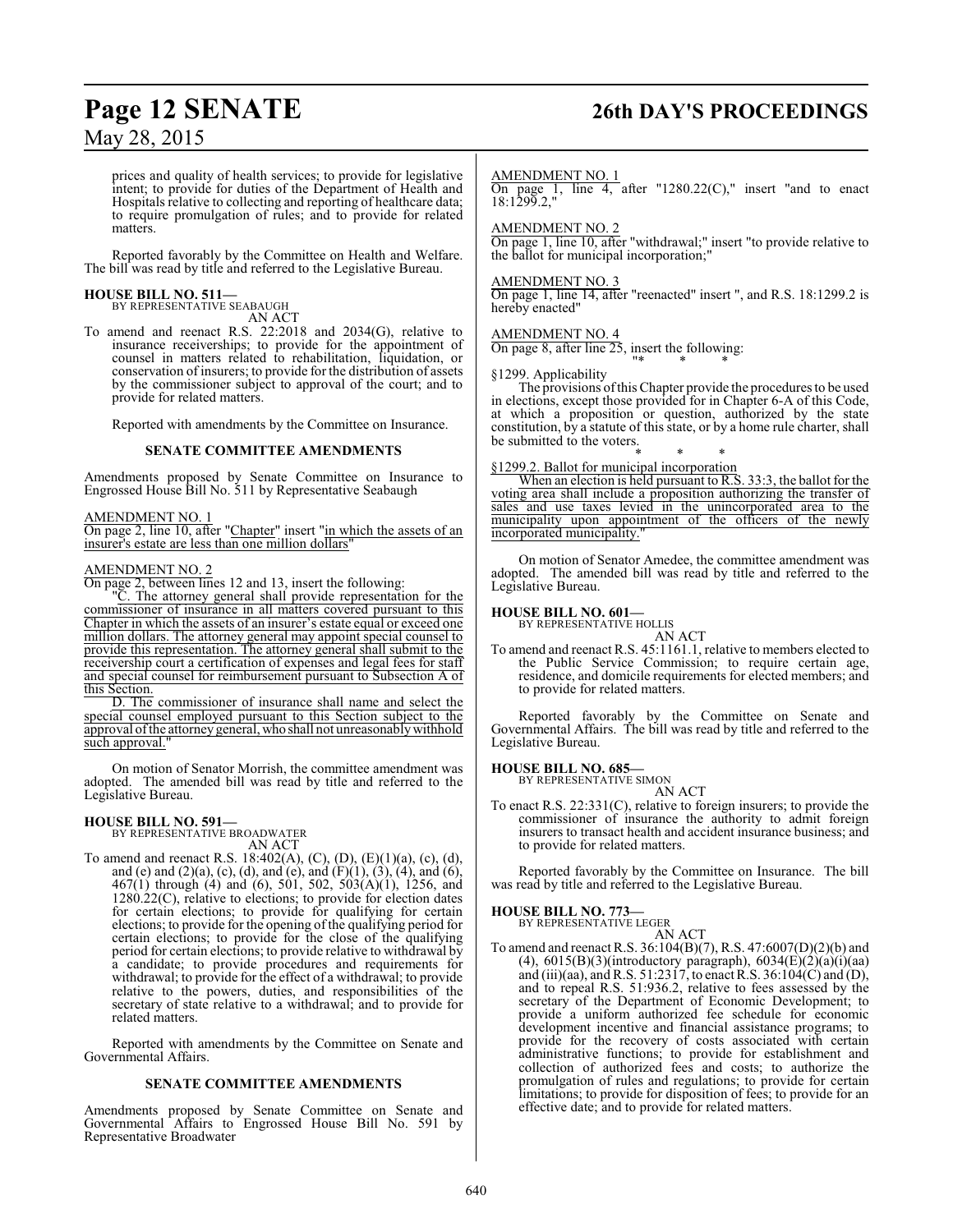## **Page 12 SENATE 26th DAY'S PROCEEDINGS**

May 28, 2015

prices and quality of health services; to provide for legislative intent; to provide for duties of the Department of Health and Hospitals relative to collecting and reporting of healthcare data; to require promulgation of rules; and to provide for related matters.

Reported favorably by the Committee on Health and Welfare. The bill was read by title and referred to the Legislative Bureau.

### **HOUSE BILL NO. 511—**

BY REPRESENTATIVE SEABAUGH AN ACT

To amend and reenact R.S. 22:2018 and 2034(G), relative to insurance receiverships; to provide for the appointment of counsel in matters related to rehabilitation, liquidation, or conservation of insurers; to provide for the distribution of assets by the commissioner subject to approval of the court; and to provide for related matters.

Reported with amendments by the Committee on Insurance.

#### **SENATE COMMITTEE AMENDMENTS**

Amendments proposed by Senate Committee on Insurance to Engrossed House Bill No. 511 by Representative Seabaugh

AMENDMENT NO. 1

On page 2, line 10, after "Chapter" insert "in which the assets of an insurer's estate are less than one million dollars"

#### AMENDMENT NO. 2

On page 2, between lines 12 and 13, insert the following:

"C. The attorney general shall provide representation for the commissioner of insurance in all matters covered pursuant to this Chapter in which the assets of an insurer's estate equal or exceed one million dollars. The attorney general may appoint special counsel to provide this representation. The attorney general shall submit to the receivership court a certification of expenses and legal fees for staff and special counsel for reimbursement pursuant to Subsection A of this Section.

D. The commissioner of insurance shall name and select the special counsel employed pursuant to this Section subject to the approval of the attorney general, who shall not unreasonably withhold such approval."

On motion of Senator Morrish, the committee amendment was adopted. The amended bill was read by title and referred to the Legislative Bureau.

### **HOUSE BILL NO. 591—**

BY REPRESENTATIVE BROADWATER AN ACT

To amend and reenact R.S. 18:402(A), (C), (D), (E)(1)(a), (c), (d), and (e) and  $(2)(a)$ , (c), (d), and (e), and  $(F)(1)$ ,  $(3)$ ,  $(4)$ , and  $(6)$ , 467(1) through (4) and (6), 501, 502, 503(A)(1), 1256, and 1280.22(C), relative to elections; to provide for election dates for certain elections; to provide for qualifying for certain elections; to provide for the opening of the qualifying period for certain elections; to provide for the close of the qualifying period for certain elections; to provide relative to withdrawal by a candidate; to provide procedures and requirements for withdrawal; to provide for the effect of a withdrawal; to provide relative to the powers, duties, and responsibilities of the secretary of state relative to a withdrawal; and to provide for related matters.

Reported with amendments by the Committee on Senate and Governmental Affairs.

#### **SENATE COMMITTEE AMENDMENTS**

Amendments proposed by Senate Committee on Senate and Governmental Affairs to Engrossed House Bill No. 591 by Representative Broadwater

#### AMENDMENT NO. 1

On page 1, line 4, after "1280.22 $(C)$ ," insert "and to enact 18:1299.2,"

#### AMENDMENT NO. 2

On page 1, line 10, after "withdrawal;" insert "to provide relative to the ballot for municipal incorporation;"

#### AMENDMENT NO. 3

On page 1, line 14, after "reenacted" insert ", and R.S. 18:1299.2 is hereby enacted"

#### AMENDMENT NO. 4

On page 8, after line 25, insert the following: "\* \* \*

#### §1299. Applicability

The provisions ofthis Chapter provide the procedures to be used in elections, except those provided for in Chapter 6-A of this Code, at which a proposition or question, authorized by the state constitution, by a statute of this state, or by a home rule charter, shall be submitted to the voters.

#### \* \* \* §1299.2. Ballot for municipal incorporation

When an election is held pursuant to R.S. 33:3, the ballot for the voting area shall include a proposition authorizing the transfer of sales and use taxes levied in the unincorporated area to the municipality upon appointment of the officers of the newly incorporated municipality."

On motion of Senator Amedee, the committee amendment was adopted. The amended bill was read by title and referred to the Legislative Bureau.

#### **HOUSE BILL NO. 601—**

BY REPRESENTATIVE HOLLIS AN ACT

To amend and reenact R.S. 45:1161.1, relative to members elected to the Public Service Commission; to require certain age, residence, and domicile requirements for elected members; and to provide for related matters.

Reported favorably by the Committee on Senate and Governmental Affairs. The bill was read by title and referred to the Legislative Bureau.

## **HOUSE BILL NO. 685—** BY REPRESENTATIVE SIMON

AN ACT

To enact R.S. 22:331(C), relative to foreign insurers; to provide the commissioner of insurance the authority to admit foreign insurers to transact health and accident insurance business; and to provide for related matters.

Reported favorably by the Committee on Insurance. The bill was read by title and referred to the Legislative Bureau.

#### **HOUSE BILL NO. 773—**

BY REPRESENTATIVE LEGER AN ACT

To amend and reenact R.S. 36:104(B)(7), R.S. 47:6007(D)(2)(b) and (4),  $6015(B)(3)$ (introductory paragraph),  $6034(E)(2)(a)(i)(aa)$ and (iii)(aa), and R.S. 51:2317, to enact R.S. 36:104(C) and (D), and to repeal R.S. 51:936.2, relative to fees assessed by the secretary of the Department of Economic Development; to provide a uniform authorized fee schedule for economic development incentive and financial assistance programs; to provide for the recovery of costs associated with certain administrative functions; to provide for establishment and collection of authorized fees and costs; to authorize the promulgation of rules and regulations; to provide for certain limitations; to provide for disposition of fees; to provide for an effective date; and to provide for related matters.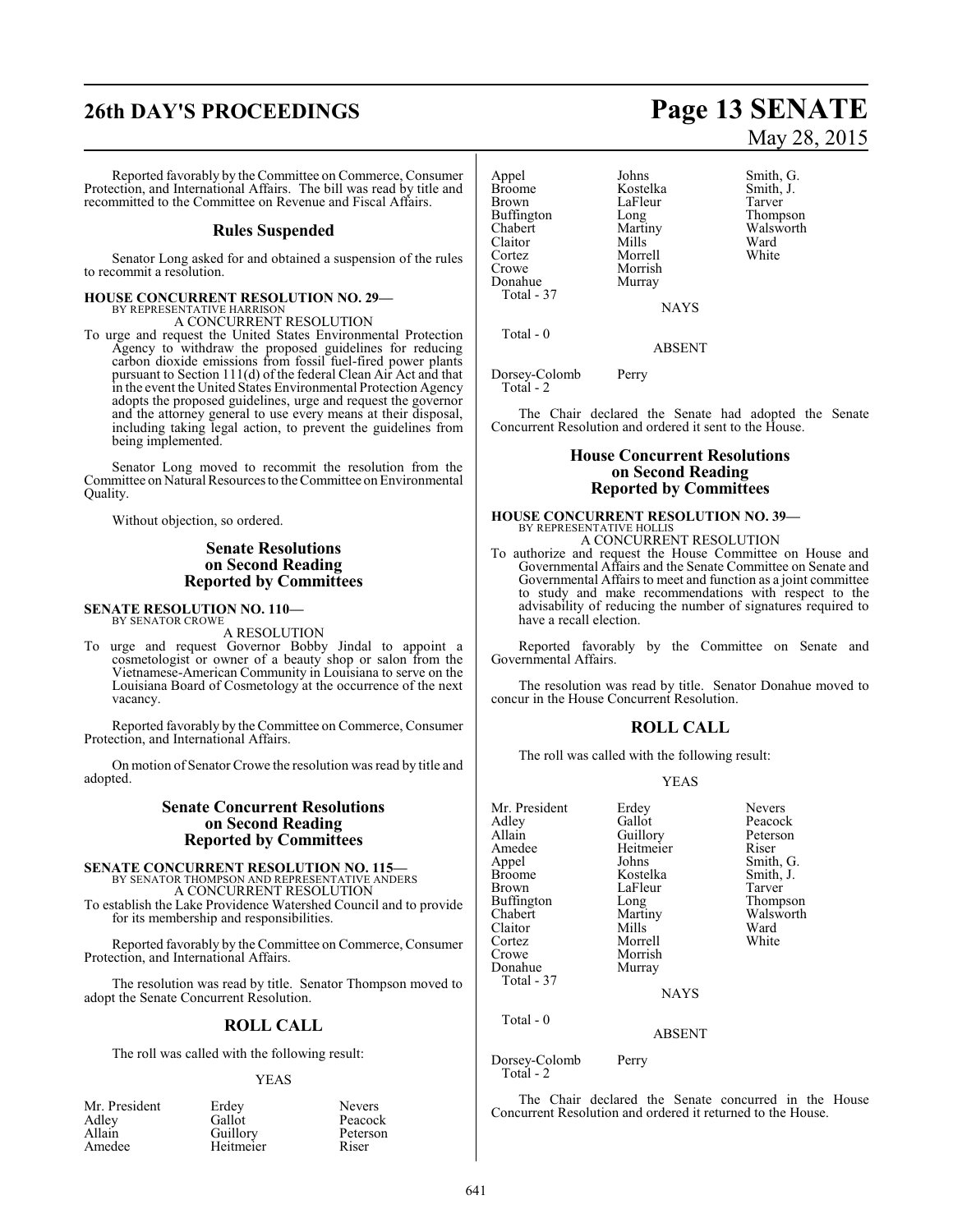# **26th DAY'S PROCEEDINGS Page 13 SENATE**

Reported favorably by theCommittee on Commerce, Consumer Protection, and International Affairs. The bill was read by title and recommitted to the Committee on Revenue and Fiscal Affairs.

#### **Rules Suspended**

Senator Long asked for and obtained a suspension of the rules to recommit a resolution.

#### **HOUSE CONCURRENT RESOLUTION NO. 29—**

BY REPRESENTATIVE HARRISON A CONCURRENT RESOLUTION

To urge and request the United States Environmental Protection Agency to withdraw the proposed guidelines for reducing carbon dioxide emissions from fossil fuel-fired power plants pursuant to Section 111(d) of the federal Clean Air Act and that in the event the United States Environmental Protection Agency adopts the proposed guidelines, urge and request the governor and the attorney general to use every means at their disposal, including taking legal action, to prevent the guidelines from being implemented.

Senator Long moved to recommit the resolution from the Committee on Natural Resources to the Committee on Environmental Quality.

Without objection, so ordered.

#### **Senate Resolutions on Second Reading Reported by Committees**

#### **SENATE RESOLUTION NO. 110—**

BY SENATOR CROWE A RESOLUTION

To urge and request Governor Bobby Jindal to appoint a cosmetologist or owner of a beauty shop or salon from the Vietnamese-American Community in Louisiana to serve on the Louisiana Board of Cosmetology at the occurrence of the next vacancy.

Reported favorably by theCommittee on Commerce, Consumer Protection, and International Affairs.

On motion of Senator Crowe the resolution was read by title and adopted.

#### **Senate Concurrent Resolutions on Second Reading Reported by Committees**

**SENATE CONCURRENT RESOLUTION NO. 115—**<br>BY SENATOR THOMPSON AND REPRESENTATIVE ANDERS<br>A CONCURRENT RESOLUTION

To establish the Lake Providence Watershed Council and to provide for its membership and responsibilities.

Reported favorably by the Committee on Commerce, Consumer Protection, and International Affairs.

The resolution was read by title. Senator Thompson moved to adopt the Senate Concurrent Resolution.

#### **ROLL CALL**

The roll was called with the following result:

#### YEAS

| Mr. President |  |
|---------------|--|
| Adley         |  |
| Allain        |  |
| Amedee        |  |

Erdey Nevers<br>Gallot Peacoc Guillory Peters<br>
Heitmeier Riser Heitmeier

Peacock<br>Peterson

# May 28, 2015

Appel Johns Smith, G.<br>Broome Kostelka Smith, J. Broome Kostelka Smith,<br>Brown LaFleur Tarver Brown LaFleur<br>Buffington Long Buffington Long Thompson<br>
Chabert Martiny Walsworth Claitor Mills Ward<br>Cortez Morrell White Crowe Morrish<br>
Donahue Murray Total - 37

Total - 0

Morrell Murray

Martiny Walsworth<br>
Mills Ward

**NAYS** 

ABSENT

Dorsey-Colomb Perry Total - 2

The Chair declared the Senate had adopted the Senate Concurrent Resolution and ordered it sent to the House.

#### **House Concurrent Resolutions on Second Reading Reported by Committees**

#### **HOUSE CONCURRENT RESOLUTION NO. 39—** BY REPRESENTATIVE HOLLIS

A CONCURRENT RESOLUTION

To authorize and request the House Committee on House and Governmental Affairs and the Senate Committee on Senate and Governmental Affairs to meet and function as a joint committee to study and make recommendations with respect to the advisability of reducing the number of signatures required to have a recall election.

Reported favorably by the Committee on Senate and Governmental Affairs.

The resolution was read by title. Senator Donahue moved to concur in the House Concurrent Resolution.

### **ROLL CALL**

The roll was called with the following result:

#### YEAS

| Mr. President     | Erdey       | <b>Nevers</b> |
|-------------------|-------------|---------------|
| Adley             | Gallot      | Peacock       |
| Allain            | Guillory    | Peterson      |
| Amedee            | Heitmeier   | Riser         |
| Appel             | Johns       | Smith, G.     |
| <b>Broome</b>     | Kostelka    | Smith, J.     |
| Brown             | LaFleur     | Tarver        |
| <b>Buffington</b> | Long        | Thompson      |
| Chabert           | Martiny     | Walsworth     |
| Claitor           | Mills       | Ward          |
| Cortez            | Morrell     | White         |
| Crowe             | Morrish     |               |
| Donahue           | Murray      |               |
| Total - 37        |             |               |
|                   | <b>NAYS</b> |               |
| Total $-0$        |             |               |
|                   | ABSENT      |               |

Dorsey-Colomb Perry Total - 2

The Chair declared the Senate concurred in the House Concurrent Resolution and ordered it returned to the House.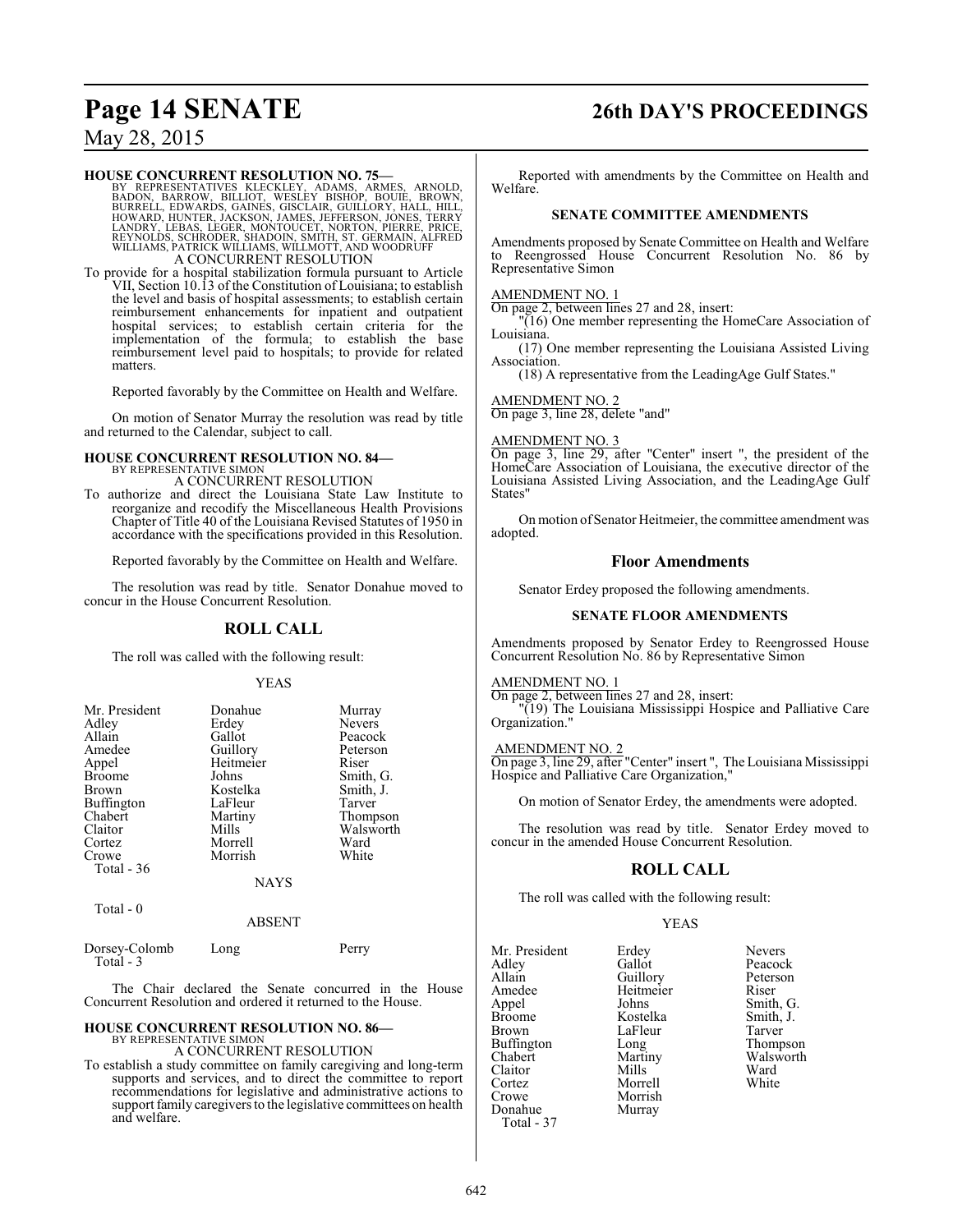### **Page 14 SENATE 26th DAY'S PROCEEDINGS**

May 28, 2015

#### **HOUSE CONCURRENT RESOLUTION NO. 75—**

BY REPRESENTATIVES KLECKLEY, ADAMS, ARMES, ARNOLD,<br>BADON, BARROW, BILLIOT, WESLEY BISHOP, BOUIE, BROWN,<br>BURRELL, EDWARDS, GAINES, GISCLAIR, GUILLORY, HALL, HILL,<br>HOWARD, HUNTER, JACKSON, JAMES, JEFFERSON, JÓNES, TERRY<br>LAND A CONCURRENT RESOLUTION

To provide for a hospital stabilization formula pursuant to Article VII, Section 10.13 of the Constitution of Louisiana; to establish the level and basis of hospital assessments; to establish certain reimbursement enhancements for inpatient and outpatient hospital services; to establish certain criteria for the implementation of the formula; to establish the base reimbursement level paid to hospitals; to provide for related matters.

Reported favorably by the Committee on Health and Welfare.

On motion of Senator Murray the resolution was read by title and returned to the Calendar, subject to call.

#### **HOUSE CONCURRENT RESOLUTION NO. 84—**

BY REPRESENTATIVE SIMON A CONCURRENT RESOLUTION

To authorize and direct the Louisiana State Law Institute to reorganize and recodify the Miscellaneous Health Provisions Chapter of Title 40 of the Louisiana Revised Statutes of 1950 in accordance with the specifications provided in this Resolution.

Reported favorably by the Committee on Health and Welfare.

The resolution was read by title. Senator Donahue moved to concur in the House Concurrent Resolution.

#### **ROLL CALL**

The roll was called with the following result:

#### YEAS

| Mr. President     | Donahue     | Murray        |
|-------------------|-------------|---------------|
| Adley             | Erdey       | <b>Nevers</b> |
| Allain            | Gallot      | Peacock       |
| Amedee            | Guillory    | Peterson      |
| Appel             | Heitmeier   | Riser         |
| <b>Broome</b>     | Johns       | Smith, G.     |
| <b>Brown</b>      | Kostelka    | Smith, J.     |
| <b>Buffington</b> | LaFleur     | Tarver        |
| Chabert           | Martiny     | Thompson      |
| Claitor           | Mills       | Walsworth     |
| Cortez            | Morrell     | Ward          |
| Crowe             | Morrish     | White         |
| Total - 36        |             |               |
|                   | <b>NAYS</b> |               |

Total - 0

#### ABSENT

| Dorsey-Colomb<br>Total - 3 | Long | Perry |
|----------------------------|------|-------|
|                            |      |       |

The Chair declared the Senate concurred in the House Concurrent Resolution and ordered it returned to the House.

### **HOUSE CONCURRENT RESOLUTION NO. 86—** BY REPRESENTATIVE SIMON

A CONCURRENT RESOLUTION

To establish a study committee on family caregiving and long-term supports and services, and to direct the committee to report recommendations for legislative and administrative actions to support family caregivers to the legislative committees on health and welfare.

Reported with amendments by the Committee on Health and Welfare.

#### **SENATE COMMITTEE AMENDMENTS**

Amendments proposed by Senate Committee on Health and Welfare to Reengrossed House Concurrent Resolution No. 86 by Representative Simon

#### AMENDMENT NO. 1

On page 2, between lines 27 and 28, insert:

"(16) One member representing the HomeCare Association of Louisiana.

(17) One member representing the Louisiana Assisted Living Association.

(18) A representative from the LeadingAge Gulf States."

#### AMENDMENT NO. 2

On page 3, line 28, delete "and"

#### AMENDMENT NO. 3

On page 3, line 29, after "Center" insert ", the president of the HomeCare Association of Louisiana, the executive director of the Louisiana Assisted Living Association, and the LeadingAge Gulf States"

On motion ofSenator Heitmeier, the committee amendment was adopted.

#### **Floor Amendments**

Senator Erdey proposed the following amendments.

#### **SENATE FLOOR AMENDMENTS**

Amendments proposed by Senator Erdey to Reengrossed House Concurrent Resolution No. 86 by Representative Simon

### AMENDMENT NO. 1

On page 2, between lines 27 and 28, insert: "(19) The Louisiana Mississippi Hospice and Palliative Care Organization."

#### AMENDMENT NO. 2

On page 3, line 29, after "Center" insert ", The Louisiana Mississippi Hospice and Palliative Care Organization,"

On motion of Senator Erdey, the amendments were adopted.

The resolution was read by title. Senator Erdey moved to concur in the amended House Concurrent Resolution.

#### **ROLL CALL**

The roll was called with the following result:

Heitmeier<br>Johns

Murray

#### YEAS

Mr. President Erdey Nevers<br>Adley Gallot Peacoc Adley Gallot Peacock<br>Allain Guillory Peterson Allain Guillory Peterson<br>Amedee Heitmeier Riser Appel Johns Smith, G.<br>Broome Kostelka Smith, J. Broome Kostelka Smith,<br>Brown LaFleur Tarver Buffington Long<br>Chabert Martiny Claitor Mills Ward<br>Cortez Morrell White Cortez Morrell<br>Crowe Morrish Crowe Morrish<br>
Donahue Murray Total - 37

LaFleur Tarver<br>
Long Thompson Martiny Walsworth<br>
Mills Ward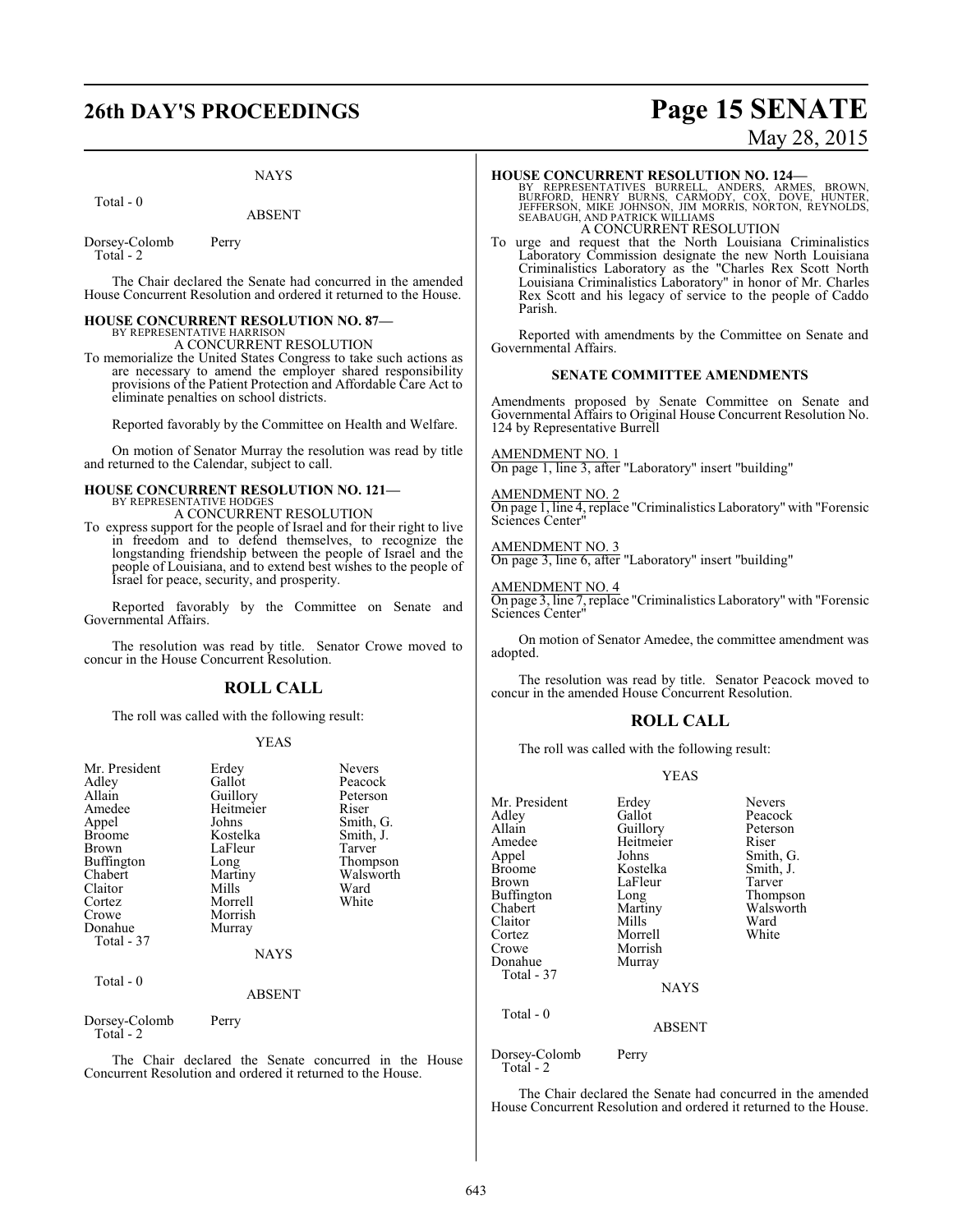#### NAYS

Total - 0

ABSENT

Dorsey-Colomb Perry Total - 2

The Chair declared the Senate had concurred in the amended House Concurrent Resolution and ordered it returned to the House.

#### **HOUSE CONCURRENT RESOLUTION NO. 87—**

BY REPRESENTATIVE HARRISON A CONCURRENT RESOLUTION

To memorialize the United States Congress to take such actions as are necessary to amend the employer shared responsibility provisions of the Patient Protection and Affordable Care Act to eliminate penalties on school districts.

Reported favorably by the Committee on Health and Welfare.

On motion of Senator Murray the resolution was read by title and returned to the Calendar, subject to call.

# **HOUSE CONCURRENT RESOLUTION NO. 121—** BY REPRESENTATIVE HODGES

A CONCURRENT RESOLUTION

To express support for the people of Israel and for their right to live in freedom and to defend themselves, to recognize the longstanding friendship between the people of Israel and the people of Louisiana, and to extend best wishes to the people of Israel for peace, security, and prosperity.

Reported favorably by the Committee on Senate and Governmental Affairs.

The resolution was read by title. Senator Crowe moved to concur in the House Concurrent Resolution.

#### **ROLL CALL**

The roll was called with the following result:

#### YEAS

| Mr. President              | Erdey         | <b>Nevers</b> |
|----------------------------|---------------|---------------|
| Adley                      | Gallot        | Peacock       |
| Allain                     |               |               |
|                            | Guillory      | Peterson      |
| Amedee                     | Heitmeier     | Riser         |
| Appel                      | Johns         | Smith, G.     |
| <b>Broome</b>              | Kostelka      | Smith, J.     |
| Brown                      | LaFleur       | Tarver        |
| <b>Buffington</b>          | Long          | Thompson      |
| Chabert                    | Martiny       | Walsworth     |
| Claitor                    | Mills         | Ward          |
| Cortez                     | Morrell       | White         |
| Crowe                      | Morrish       |               |
| Donahue                    | Murray        |               |
| Total - 37                 |               |               |
|                            | NAYS          |               |
| Total - 0                  |               |               |
|                            | <b>ABSENT</b> |               |
| Dorsey-Colomb<br>Total - 2 | Perry         |               |
| .                          |               | $- -$         |

The Chair declared the Senate concurred in the House Concurrent Resolution and ordered it returned to the House.

### **26th DAY'S PROCEEDINGS Page 15 SENATE** May 28, 2015

#### **HOUSE CONCURRENT RESOLUTION NO. 124—**

BY REPRESENTATIVES BURRELL, ANDERS, ARMES, BROWN,<br>BURFORD, HENRY BURNS, CARMODY, COX, DOVE, HUNTER,<br>JEFFERSON, MIKE JOHNSON, JIM MORRIS, NORTON, REYNOLDS,<br>SEABAUGH, AND PATRICK WILLIAMS A CONCURRENT RESOLUTION

To urge and request that the North Louisiana Criminalistics Laboratory Commission designate the new North Louisiana Criminalistics Laboratory as the "Charles Rex Scott North Louisiana Criminalistics Laboratory" in honor of Mr. Charles Rex Scott and his legacy of service to the people of Caddo Parish.

Reported with amendments by the Committee on Senate and Governmental Affairs.

#### **SENATE COMMITTEE AMENDMENTS**

Amendments proposed by Senate Committee on Senate and Governmental Affairs to Original House Concurrent Resolution No. 124 by Representative Burrell

AMENDMENT NO. 1

On page 1, line 3, after "Laboratory" insert "building"

AMENDMENT NO. 2 On page 1, line 4, replace "Criminalistics Laboratory" with "Forensic Sciences Center"

AMENDMENT NO. 3 On page 3, line 6, after "Laboratory" insert "building"

AMENDMENT NO. 4

On page 3, line 7, replace "Criminalistics Laboratory" with "Forensic Sciences Center"

On motion of Senator Amedee, the committee amendment was adopted.

The resolution was read by title. Senator Peacock moved to concur in the amended House Concurrent Resolution.

#### **ROLL CALL**

The roll was called with the following result:

#### YEAS

| Mr. President<br>Adley<br>Allain<br>Amedee<br>Appel<br><b>Broome</b><br>Brown<br>Buffington<br>Chabert<br>Claitor<br>Cortez<br>Crowe<br>Donahue<br>Total - 37<br>$Total - 0$ | Erdey<br>Gallot<br>Guillory<br>Heitmeier<br>Johns<br>Kostelka<br>LaFleur<br>Long<br>Martiny<br>Mills<br>Morrell<br>Morrish<br>Murray<br><b>NAYS</b><br>ABSENT | <b>Nevers</b><br>Peacock<br>Peterson<br>Riser<br>Smith, G.<br>Smith, J.<br>Tarver<br>Thompson<br>Walsworth<br>Ward<br>White |
|------------------------------------------------------------------------------------------------------------------------------------------------------------------------------|---------------------------------------------------------------------------------------------------------------------------------------------------------------|-----------------------------------------------------------------------------------------------------------------------------|
| Dorsey-Colomb                                                                                                                                                                | Perry                                                                                                                                                         |                                                                                                                             |
| Total - 2                                                                                                                                                                    |                                                                                                                                                               |                                                                                                                             |

The Chair declared the Senate had concurred in the amended House Concurrent Resolution and ordered it returned to the House.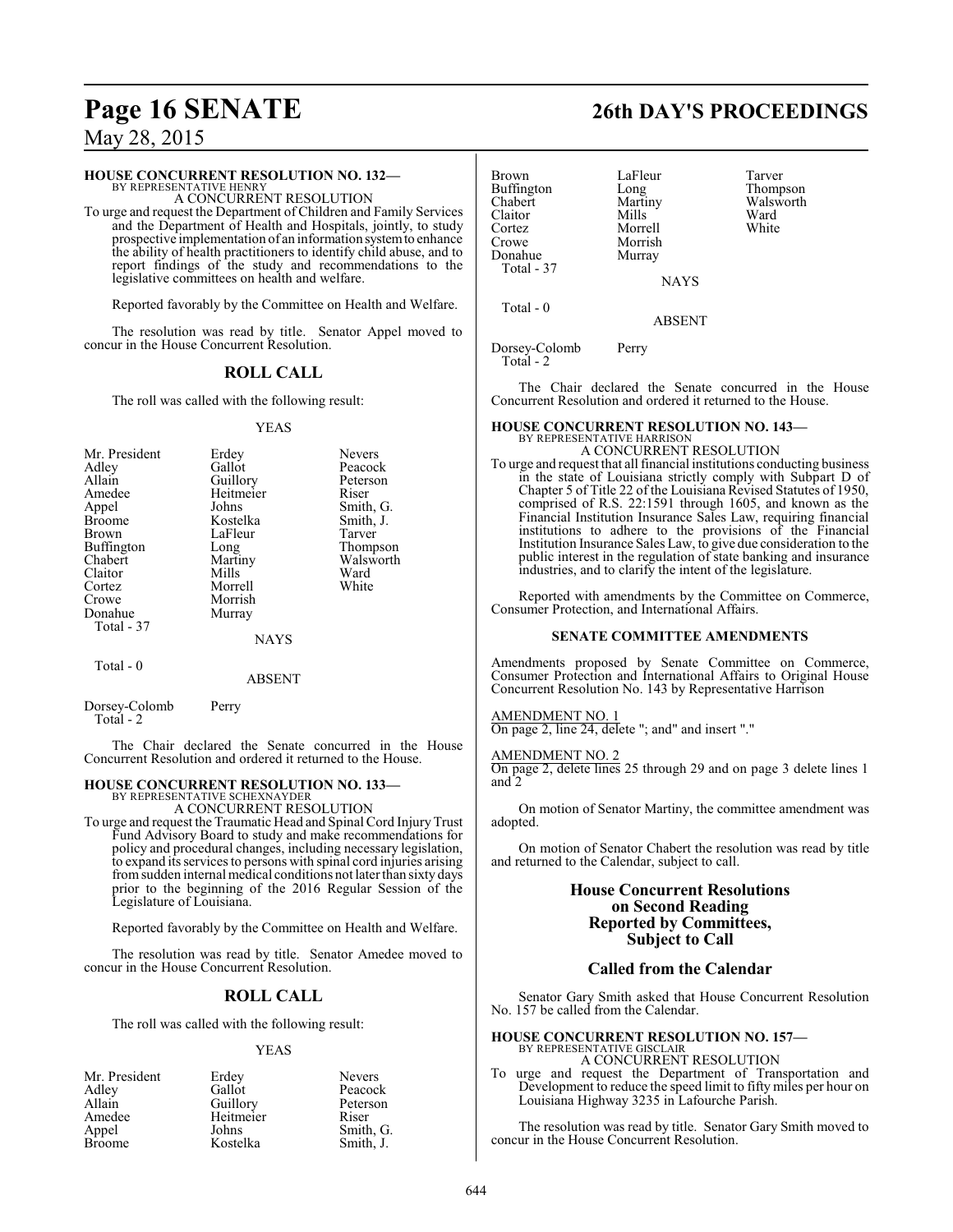#### **HOUSE CONCURRENT RESOLUTION NO. 132—**

BY REPRESENTATIVE HENRY A CONCURRENT RESOLUTION

To urge and request the Department of Children and Family Services and the Department of Health and Hospitals, jointly, to study prospective implementation of an information systemto enhance the ability of health practitioners to identify child abuse, and to report findings of the study and recommendations to the legislative committees on health and welfare.

Reported favorably by the Committee on Health and Welfare.

The resolution was read by title. Senator Appel moved to concur in the House Concurrent Resolution.

### **ROLL CALL**

The roll was called with the following result:

#### YEAS

| Mr. President<br>Adley<br>Allain<br>Amedee<br>Appel<br><b>Broome</b><br><b>Brown</b><br>Buffington<br>Chabert<br>Claitor<br>Cortez<br>Crowe<br>Donahue<br>Total - 37 | Erdey<br>Gallot<br>Guillory<br>Heitmeier<br>Johns<br>Kostelka<br>LaFleur<br>Long<br>Martiny<br>Mills<br>Morrell<br>Morrish<br>Murray<br><b>NAYS</b> | <b>Nevers</b><br>Peacock<br>Peterson<br>Riser<br>Smith, G.<br>Smith, J.<br>Tarver<br>Thompson<br>Walsworth<br>Ward<br>White |
|----------------------------------------------------------------------------------------------------------------------------------------------------------------------|-----------------------------------------------------------------------------------------------------------------------------------------------------|-----------------------------------------------------------------------------------------------------------------------------|
| $Total - 0$                                                                                                                                                          |                                                                                                                                                     |                                                                                                                             |

### ABSENT

Dorsey-Colomb Perry Total - 2

The Chair declared the Senate concurred in the House Concurrent Resolution and ordered it returned to the House.

## **HOUSE CONCURRENT RESOLUTION NO. 133—**

BY REPRESENTATIVE SCHEXNAYDER A CONCURRENT RESOLUTION

To urge and request the Traumatic Head and Spinal Cord Injury Trust Fund Advisory Board to study and make recommendations for policy and procedural changes, including necessary legislation, to expand its services to persons with spinal cord injuries arising fromsudden internal medical conditions not later than sixty days prior to the beginning of the 2016 Regular Session of the Legislature of Louisiana.

Reported favorably by the Committee on Health and Welfare.

The resolution was read by title. Senator Amedee moved to concur in the House Concurrent Resolution.

### **ROLL CALL**

The roll was called with the following result:

#### YEAS

| Mr. President | Erdey     | <b>Nevers</b> |
|---------------|-----------|---------------|
| Adley         | Gallot    | Peacock       |
| Allain        | Guillory  | Peterson      |
| Amedee        | Heitmeier | Riser         |
| Appel         | Johns     | Smith, G.     |
| <b>Broome</b> | Kostelka  | Smith, J.     |

| <b>Brown</b> | LaFleur     | Tarver    |
|--------------|-------------|-----------|
| Buffington   | Long        | Thompson  |
| Chabert      | Martiny     | Walsworth |
| Claitor      | Mills       | Ward      |
| Cortez       | Morrell     | White     |
| Crowe        | Morrish     |           |
| Donahue      | Murray      |           |
| Total - 37   |             |           |
|              | <b>NAYS</b> |           |
|              |             |           |
| Total - 0    |             |           |

ABSENT

Dorsey-Colomb Perry Total - 2

The Chair declared the Senate concurred in the House Concurrent Resolution and ordered it returned to the House.

#### **HOUSE CONCURRENT RESOLUTION NO. 143—** BY REPRESENTATIVE HARRISON

A CONCURRENT RESOLUTION

To urge and request that all financial institutions conducting business in the state of Louisiana strictly comply with Subpart D of Chapter 5 of Title 22 of the Louisiana Revised Statutes of 1950, comprised of R.S. 22:1591 through 1605, and known as the Financial Institution Insurance Sales Law, requiring financial institutions to adhere to the provisions of the Financial Institution Insurance Sales Law, to give due consideration to the public interest in the regulation of state banking and insurance industries, and to clarify the intent of the legislature.

Reported with amendments by the Committee on Commerce, Consumer Protection, and International Affairs.

#### **SENATE COMMITTEE AMENDMENTS**

Amendments proposed by Senate Committee on Commerce, Consumer Protection and International Affairs to Original House Concurrent Resolution No. 143 by Representative Harrison

#### AMENDMENT NO. 1

On page 2, line 24, delete "; and" and insert "."

#### AMENDMENT NO. 2

On page 2, delete lines 25 through 29 and on page 3 delete lines 1 and 2

On motion of Senator Martiny, the committee amendment was adopted.

On motion of Senator Chabert the resolution was read by title and returned to the Calendar, subject to call.

### **House Concurrent Resolutions on Second Reading Reported by Committees, Subject to Call**

### **Called from the Calendar**

Senator Gary Smith asked that House Concurrent Resolution No. 157 be called from the Calendar.

### **HOUSE CONCURRENT RESOLUTION NO. 157—** BY REPRESENTATIVE GISCLAIR

A CONCURRENT RESOLUTION

To urge and request the Department of Transportation and Development to reduce the speed limit to fifty miles per hour on Louisiana Highway 3235 in Lafourche Parish.

The resolution was read by title. Senator Gary Smith moved to concur in the House Concurrent Resolution.

# **Page 16 SENATE 26th DAY'S PROCEEDINGS**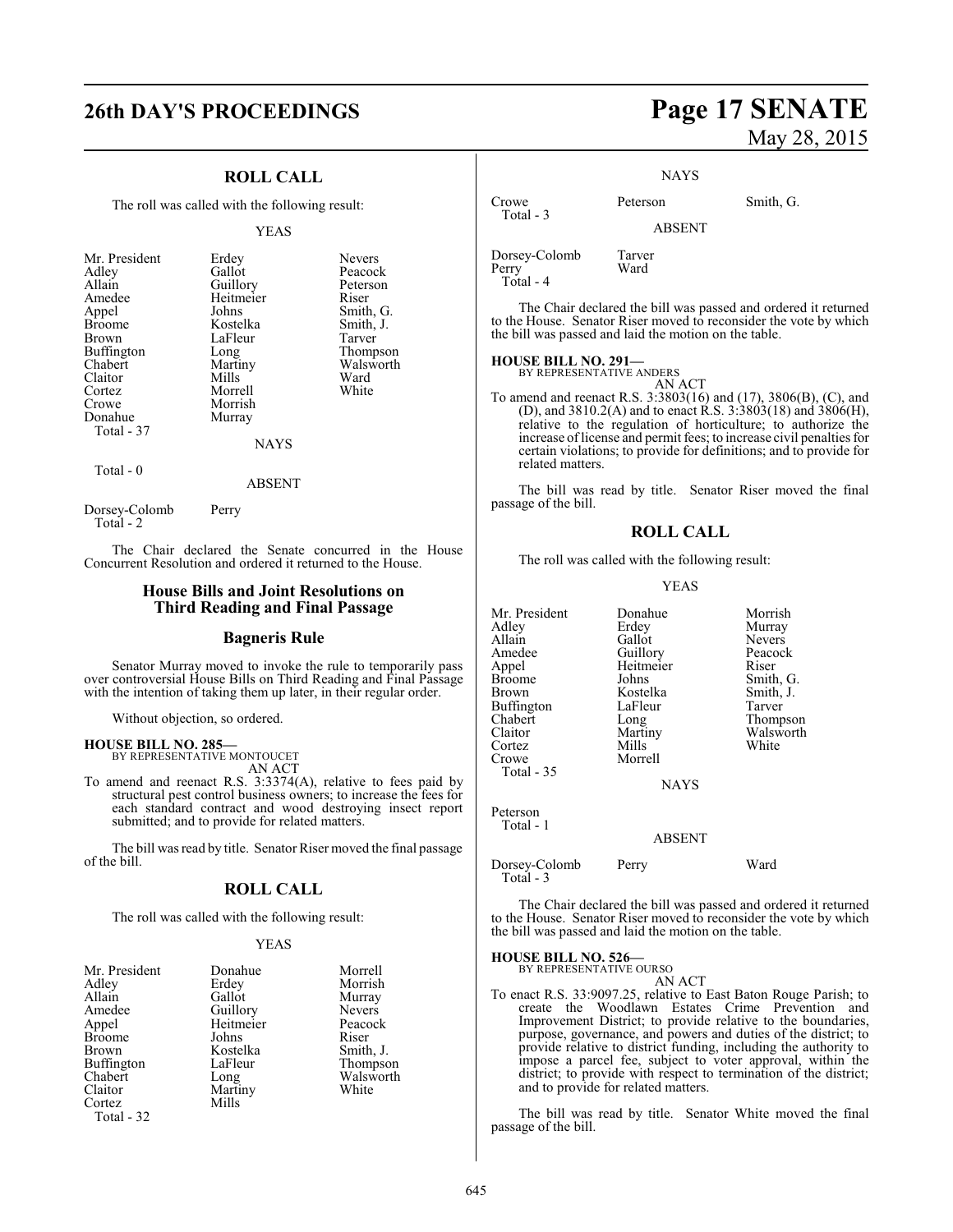### **ROLL CALL**

The roll was called with the following result:

#### YEAS

| Mr. President<br>Adley<br>Allain<br>Amedee<br>Appel<br><b>Broome</b><br><b>Brown</b><br><b>Buffington</b><br>Chabert<br>Claitor<br>Cortez<br>Crowe<br>Donahue | Erdey<br>Gallot<br>Guillory<br>Heitmeier<br>Johns<br>Kostelka<br>LaFleur<br>Long<br>Martiny<br>Mills<br>Morrell<br>Morrish<br>Murray | <b>Nevers</b><br>Peacock<br>Peterson<br>Riser<br>Smith, G.<br>Smith, J.<br>Tarver<br>Thompson<br>Walsworth<br>Ward<br>White |
|---------------------------------------------------------------------------------------------------------------------------------------------------------------|--------------------------------------------------------------------------------------------------------------------------------------|-----------------------------------------------------------------------------------------------------------------------------|
| Total - 37                                                                                                                                                    | NAYS                                                                                                                                 |                                                                                                                             |
|                                                                                                                                                               |                                                                                                                                      |                                                                                                                             |

Total - 0

ABSENT

Dorsey-Colomb Perry Total - 2

The Chair declared the Senate concurred in the House Concurrent Resolution and ordered it returned to the House.

#### **House Bills and Joint Resolutions on Third Reading and Final Passage**

#### **Bagneris Rule**

Senator Murray moved to invoke the rule to temporarily pass over controversial House Bills on Third Reading and Final Passage with the intention of taking them up later, in their regular order.

Without objection, so ordered.

### **HOUSE BILL NO. 285—** BY REPRESENTATIVE MONTOUCET

AN ACT

To amend and reenact R.S. 3:3374(A), relative to fees paid by structural pest control business owners; to increase the fees for each standard contract and wood destroying insect report submitted; and to provide for related matters.

The bill was read by title. Senator Riser moved the final passage of the bill.

### **ROLL CALL**

The roll was called with the following result:

#### YEAS

| Mr. President     | Donahue   | Morrell       |
|-------------------|-----------|---------------|
| Adley             | Erdey     | Morrish       |
| Allain            | Gallot    | Murray        |
| Amedee            | Guillory  | <b>Nevers</b> |
| Appel             | Heitmeier | Peacock       |
| <b>Broome</b>     | Johns     | Riser         |
| Brown             | Kostelka  | Smith, J.     |
| <b>Buffington</b> | LaFleur   | Thompson      |
| Chabert           | Long      | Walsworth     |
| Claitor           | Martiny   | White         |
| Cortez            | Mills     |               |
| Total - 32        |           |               |

## **26th DAY'S PROCEEDINGS Page 17 SENATE** May 28, 2015

**NAYS** 

Crowe Peterson Smith, G.

ABSENT

Dorsey-Colomb Tarver Perry Total - 4

Total - 3

The Chair declared the bill was passed and ordered it returned to the House. Senator Riser moved to reconsider the vote by which the bill was passed and laid the motion on the table.

#### **HOUSE BILL NO. 291—**

BY REPRESENTATIVE ANDERS AN ACT

To amend and reenact R.S. 3:3803(16) and (17), 3806(B), (C), and (D), and 3810.2(A) and to enact R.S. 3:3803(18) and 3806(H), relative to the regulation of horticulture; to authorize the increase oflicense and permit fees; to increase civil penalties for certain violations; to provide for definitions; and to provide for related matters.

The bill was read by title. Senator Riser moved the final passage of the bill.

### **ROLL CALL**

The roll was called with the following result:

#### YEAS

| Mr. President     | Donahue       | Morrish       |
|-------------------|---------------|---------------|
| Adley             | Erdey         | Murray        |
| Allain            | Gallot        | <b>Nevers</b> |
| Amedee            | Guillory      | Peacock       |
| Appel             | Heitmeier     | Riser         |
| <b>Broome</b>     | Johns         | Smith, G.     |
| Brown             | Kostelka      | Smith, J.     |
| <b>Buffington</b> | LaFleur       | Tarver        |
| Chabert           | Long          | Thompson      |
| Claitor           | Martiny       | Walsworth     |
| Cortez            | Mills         | White         |
| Crowe             | Morrell       |               |
| Total $-35$       |               |               |
|                   | <b>NAYS</b>   |               |
| Peterson          |               |               |
| Total - 1         |               |               |
|                   | <b>ABSENT</b> |               |
| Dorsey-Colomb     | Perry         | Ward          |

The Chair declared the bill was passed and ordered it returned to the House. Senator Riser moved to reconsider the vote by which the bill was passed and laid the motion on the table.

**HOUSE BILL NO. 526—**

Total - 3

BY REPRESENTATIVE OURSO AN ACT

To enact R.S. 33:9097.25, relative to East Baton Rouge Parish; to create the Woodlawn Estates Crime Prevention and Improvement District; to provide relative to the boundaries, purpose, governance, and powers and duties of the district; to provide relative to district funding, including the authority to impose a parcel fee, subject to voter approval, within the district; to provide with respect to termination of the district; and to provide for related matters.

The bill was read by title. Senator White moved the final passage of the bill.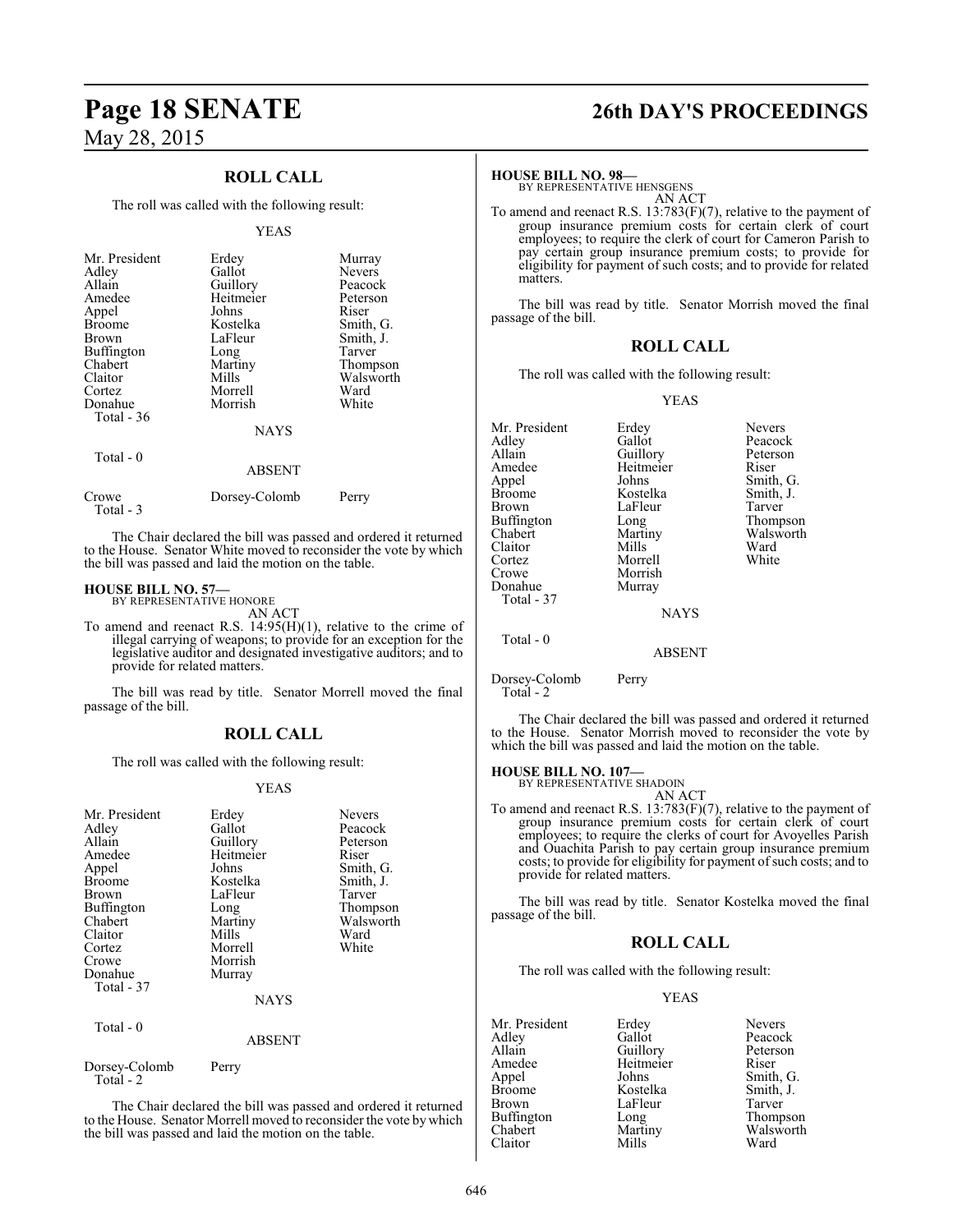### **ROLL CALL**

The roll was called with the following result:

#### YEAS

| Mr. President<br>Adley<br>Allain<br>Amedee<br>Appel<br><b>Broome</b><br><b>Brown</b><br>Buffington<br>Chabert<br>Claitor<br>Cortez<br>Donahue | Erdey<br>Gallot<br>Guillory<br>Heitmeier<br>Johns<br>Kostelka<br>LaFleur<br>Long<br>Martiny<br>Mills<br>Morrell<br>Morrish | Murray<br><b>Nevers</b><br>Peacock<br>Peterson<br>Riser<br>Smith, G.<br>Smith, J.<br>Tarver<br>Thompson<br>Walsworth<br>Ward<br>White |
|-----------------------------------------------------------------------------------------------------------------------------------------------|----------------------------------------------------------------------------------------------------------------------------|---------------------------------------------------------------------------------------------------------------------------------------|
| Total $-36$                                                                                                                                   | <b>NAYS</b>                                                                                                                |                                                                                                                                       |
| Total - 0                                                                                                                                     | ABSENT                                                                                                                     |                                                                                                                                       |

| Crowe     | Dorsey-Colomb | Perry |
|-----------|---------------|-------|
| Total - 3 |               |       |

The Chair declared the bill was passed and ordered it returned to the House. Senator White moved to reconsider the vote by which the bill was passed and laid the motion on the table.

#### **HOUSE BILL NO. 57—**

BY REPRESENTATIVE HONORE AN ACT

To amend and reenact R.S. 14:95(H)(1), relative to the crime of illegal carrying of weapons; to provide for an exception for the legislative auditor and designated investigative auditors; and to provide for related matters.

The bill was read by title. Senator Morrell moved the final passage of the bill.

#### **ROLL CALL**

The roll was called with the following result:

#### YEAS

| Mr. President<br>Adley<br>Allain<br>Amedee<br>Appel<br>Broome<br>Brown<br>Buffington<br>Chabert<br>Claitor<br>Cortez<br>Crowe<br>Donahue<br>Total - 37 | Erdey<br>Gallot<br>Guillory<br>Heitmeier<br>Johns<br>Kostelka<br>LaFleur<br>Long<br>Martiny<br>Mills<br>Morrell<br>Morrish<br>Murray<br>NAYS | <b>Nevers</b><br>Peacock<br>Peterson<br>Riser<br>Smith, G.<br>Smith, J.<br>Tarver<br>Thompson<br>Walsworth<br>Ward<br>White |
|--------------------------------------------------------------------------------------------------------------------------------------------------------|----------------------------------------------------------------------------------------------------------------------------------------------|-----------------------------------------------------------------------------------------------------------------------------|
| Total - 0                                                                                                                                              | <b>ABSENT</b>                                                                                                                                |                                                                                                                             |
| Dorsey-Colomb<br>Total - 2                                                                                                                             | Perry                                                                                                                                        |                                                                                                                             |

The Chair declared the bill was passed and ordered it returned to the House. Senator Morrell moved to reconsider the vote by which the bill was passed and laid the motion on the table.

# **Page 18 SENATE 26th DAY'S PROCEEDINGS**

#### **HOUSE BILL NO. 98—**

BY REPRESENTATIVE HENSGENS AN ACT

To amend and reenact R.S. 13:783(F)(7), relative to the payment of group insurance premium costs for certain clerk of court employees; to require the clerk of court for Cameron Parish to pay certain group insurance premium costs; to provide for eligibility for payment of such costs; and to provide for related matters.

The bill was read by title. Senator Morrish moved the final passage of the bill.

#### **ROLL CALL**

The roll was called with the following result:

#### YEAS

| Mr. President |               |           |
|---------------|---------------|-----------|
|               | Erdey         | Nevers    |
| Adlev         | Gallot        | Peacock   |
| Allain        | Guillory      | Peterson  |
| Amedee        | Heitmeier     | Riser     |
| Appel         | Johns         | Smith, G. |
| Broome        | Kostelka      | Smith, J. |
| Brown         | LaFleur       | Tarver    |
| Buffington    | Long          | Thompson  |
| Chabert       | Martiny       | Walsworth |
| Claitor       | Mills         | Ward      |
| Cortez        | Morrell       | White     |
| Crowe         | Morrish       |           |
| Donahue       | Murray        |           |
| Total - 37    |               |           |
|               | <b>NAYS</b>   |           |
| Total - 0     |               |           |
|               | <b>ABSENT</b> |           |
|               |               |           |

Dorsey-Colomb Perry Total - 2

The Chair declared the bill was passed and ordered it returned to the House. Senator Morrish moved to reconsider the vote by which the bill was passed and laid the motion on the table.

#### **HOUSE BILL NO. 107—**

BY REPRESENTATIVE SHADOIN AN ACT

To amend and reenact R.S. 13:783(F)(7), relative to the payment of group insurance premium costs for certain clerk of court employees; to require the clerks of court for Avoyelles Parish and Ouachita Parish to pay certain group insurance premium costs; to provide for eligibility for payment of such costs; and to provide for related matters.

The bill was read by title. Senator Kostelka moved the final passage of the bill.

#### **ROLL CALL**

The roll was called with the following result:

#### YEAS

| Mr. President     | Erdey     | <b>Nevers</b> |
|-------------------|-----------|---------------|
| Adley             | Gallot    | Peacock       |
| Allain            | Guillory  | Peterson      |
| Amedee            | Heitmeier | Riser         |
| Appel             | Johns     | Smith, G.     |
| <b>Broome</b>     | Kostelka  | Smith, J.     |
| <b>Brown</b>      | LaFleur   | Tarver        |
| <b>Buffington</b> | Long      | Thompson      |
| Chabert           | Martiny   | Walsworth     |
| Claitor           | Mills     | Ward          |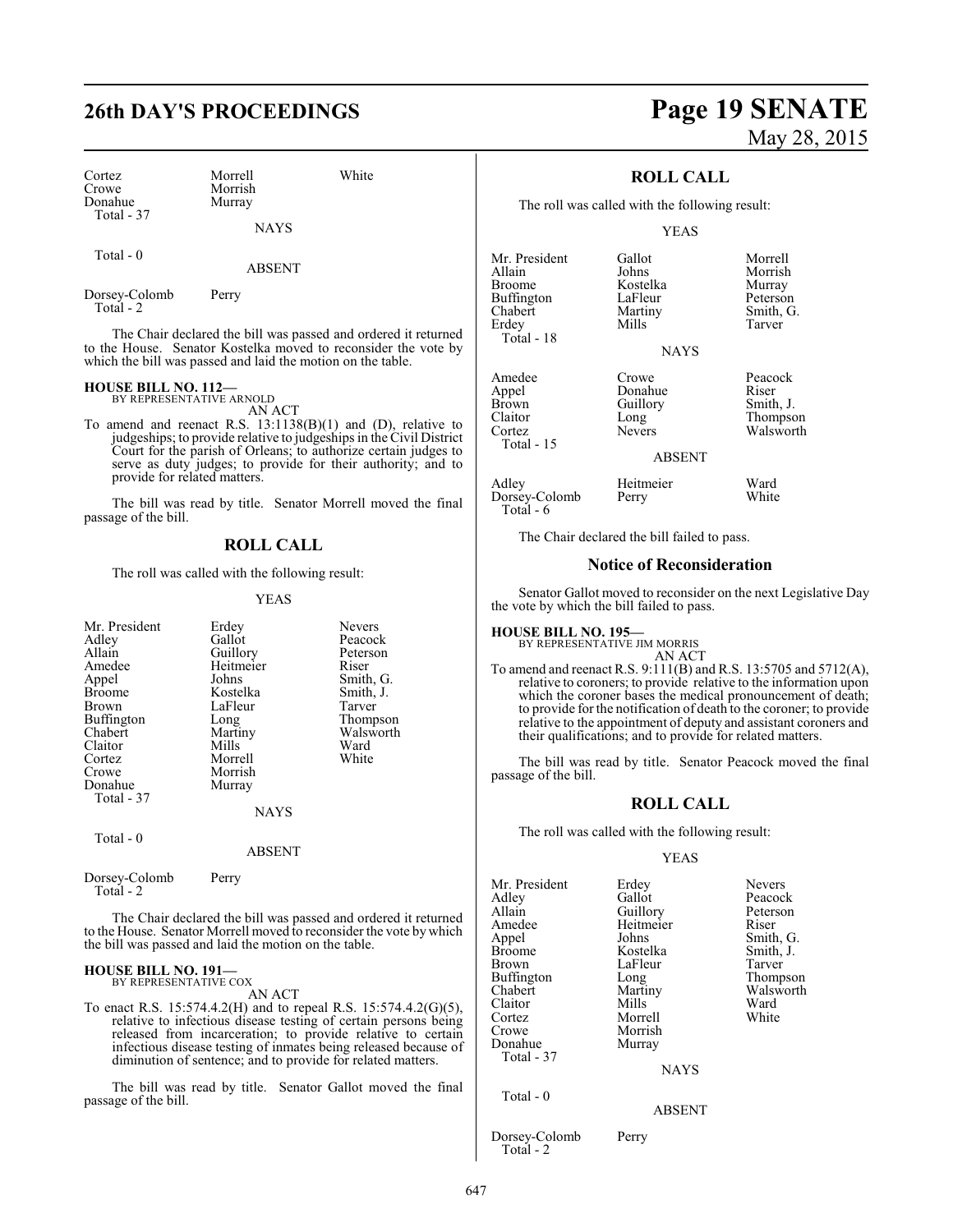## **26th DAY'S PROCEEDINGS Page 19 SENATE**

| Cortez     |  |
|------------|--|
| Crowe      |  |
| Donahue    |  |
| Total - 37 |  |

Morrell White Morrish Murray

NAYS

Total - 0

ABSENT

Dorsey-Colomb Perry Total - 2

The Chair declared the bill was passed and ordered it returned to the House. Senator Kostelka moved to reconsider the vote by which the bill was passed and laid the motion on the table.

### **HOUSE BILL NO. 112—** BY REPRESENTATIVE ARNOLD

AN ACT

To amend and reenact R.S. 13:1138(B)(1) and (D), relative to judgeships; to provide relative to judgeships in the Civil District Court for the parish of Orleans; to authorize certain judges to serve as duty judges; to provide for their authority; and to provide for related matters.

The bill was read by title. Senator Morrell moved the final passage of the bill.

#### **ROLL CALL**

The roll was called with the following result:

#### YEAS

| Mr. President<br>Adley<br>Allain<br>Amedee<br>Appel<br><b>Broome</b><br>Brown<br>Buffington<br>Chabert<br>Claitor<br>Cortez | Erdey<br>Gallot<br>Guillory<br>Heitmeier<br>Johns<br>Kostelka<br>LaFleur<br>Long<br>Martiny<br>Mills<br>Morrell | <b>Nevers</b><br>Peacock<br>Peterson<br>Riser<br>Smith, G.<br>Smith, J.<br>Tarver<br>Thompson<br>Walsworth<br>Ward<br>White |
|-----------------------------------------------------------------------------------------------------------------------------|-----------------------------------------------------------------------------------------------------------------|-----------------------------------------------------------------------------------------------------------------------------|
| Crowe<br>Donahue<br>Total - 37                                                                                              | Morrish<br>Murray<br><b>NAYS</b>                                                                                |                                                                                                                             |
| Total - 0                                                                                                                   | ABSENT                                                                                                          |                                                                                                                             |

Dorsey-Colomb Perry Total - 2

The Chair declared the bill was passed and ordered it returned to the House. Senator Morrell moved to reconsider the vote by which the bill was passed and laid the motion on the table.

### **HOUSE BILL NO. 191—** BY REPRESENTATIVE COX

AN ACT

To enact R.S. 15:574.4.2(H) and to repeal R.S. 15:574.4.2(G)(5), relative to infectious disease testing of certain persons being released from incarceration; to provide relative to certain infectious disease testing of inmates being released because of diminution of sentence; and to provide for related matters.

The bill was read by title. Senator Gallot moved the final passage of the bill.

# May 28, 2015

### **ROLL CALL**

The roll was called with the following result:

#### YEAS

| Mr. President<br>Allain<br><b>Broome</b> | Gallot<br>Johns<br>Kostelka | Morrell<br>Morrish |
|------------------------------------------|-----------------------------|--------------------|
| Buffington                               | LaFleur                     | Murray<br>Peterson |
| Chabert                                  | Martiny                     | Smith, G.          |
| Erdey                                    | Mills                       | Tarver             |
| Total - 18                               |                             |                    |
|                                          | <b>NAYS</b>                 |                    |
| Amedee                                   | Crowe                       | Peacock            |
| Appel                                    | Donahue                     | Riser              |
| <b>Brown</b>                             | Guillory                    | Smith, J.          |

Total - 15

Crowe Peacock<br>Donahue Riser Brown Guillory Smith, J.<br>Claitor Long Thompso Claitor Long Thompson<br>Cortez Nevers Walsworth Walsworth

ABSENT

| Adley         | Heitmeier | Ward  |
|---------------|-----------|-------|
| Dorsey-Colomb | Perry     | White |
| Total - 6     |           |       |

The Chair declared the bill failed to pass.

#### **Notice of Reconsideration**

Senator Gallot moved to reconsider on the next Legislative Day the vote by which the bill failed to pass.

**HOUSE BILL NO. 195—** BY REPRESENTATIVE JIM MORRIS AN ACT

To amend and reenact R.S. 9:111(B) and R.S. 13:5705 and 5712(A), relative to coroners; to provide relative to the information upon which the coroner bases the medical pronouncement of death; to provide for the notification of death to the coroner; to provide relative to the appointment of deputy and assistant coroners and their qualifications; and to provide for related matters.

The bill was read by title. Senator Peacock moved the final passage of the bill.

#### **ROLL CALL**

The roll was called with the following result:

#### YEAS

| Mr. President | Erdey         | <b>Nevers</b> |
|---------------|---------------|---------------|
| Adlev         | Gallot        | Peacock       |
| Allain        | Guillory      | Peterson      |
| Amedee        | Heitmeier     | Riser         |
| Appel         | Johns         | Smith, G.     |
| Broome        | Kostelka      | Smith, J.     |
| Brown         | LaFleur       | Tarver        |
| Buffington    | Long          | Thompson      |
| Chabert       | Martiny       | Walsworth     |
| Claitor       | <b>Mills</b>  | Ward          |
| Cortez        | Morrell       | White         |
| Crowe         | Morrish       |               |
| Donahue       | Murray        |               |
| Total - 37    |               |               |
|               | <b>NAYS</b>   |               |
| Total $-0$    | <b>ABSENT</b> |               |
|               |               |               |

Dorsey-Colomb Perry Total - 2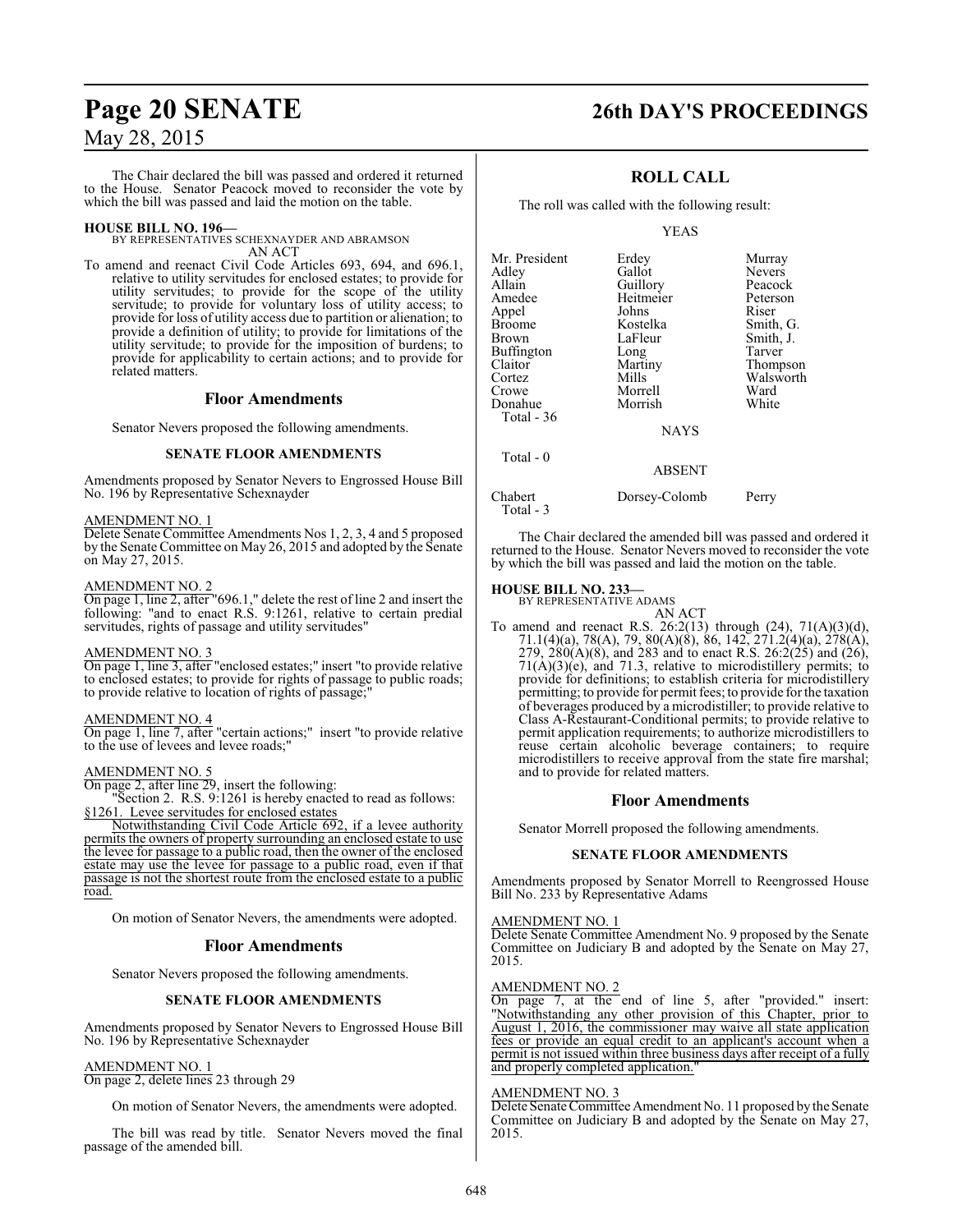The Chair declared the bill was passed and ordered it returned to the House. Senator Peacock moved to reconsider the vote by which the bill was passed and laid the motion on the table.

**HOUSE BILL NO. 196—** BY REPRESENTATIVES SCHEXNAYDER AND ABRAMSON AN ACT

To amend and reenact Civil Code Articles 693, 694, and 696.1, relative to utility servitudes for enclosed estates; to provide for utility servitudes; to provide for the scope of the utility servitude; to provide for voluntary loss of utility access; to provide for loss of utility access due to partition or alienation; to provide a definition of utility; to provide for limitations of the utility servitude; to provide for the imposition of burdens; to provide for applicability to certain actions; and to provide for related matters.

#### **Floor Amendments**

Senator Nevers proposed the following amendments.

#### **SENATE FLOOR AMENDMENTS**

Amendments proposed by Senator Nevers to Engrossed House Bill No. 196 by Representative Schexnayder

#### AMENDMENT NO. 1

Delete Senate Committee Amendments Nos 1, 2, 3, 4 and 5 proposed by the Senate Committee on May 26, 2015 and adopted by the Senate on May 27, 2015.

#### AMENDMENT NO. 2

On page 1, line 2, after "696.1," delete the rest of line 2 and insert the following: "and to enact R.S. 9:1261, relative to certain predial servitudes, rights of passage and utility servitudes"

#### AMENDMENT NO. 3

On page 1, line 3, after "enclosed estates;" insert "to provide relative to enclosed estates; to provide for rights of passage to public roads; to provide relative to location of rights of passage;

#### AMENDMENT NO. 4

On page 1, line 7, after "certain actions;" insert "to provide relative to the use of levees and levee roads;"

#### AMENDMENT NO. 5

On page 2, after line 29, insert the following:

"Section 2. R.S. 9:1261 is hereby enacted to read as follows: §1261. Levee servitudes for enclosed estates

Notwithstanding Civil Code Article 692, if a levee authority permits the owners of property surrounding an enclosed estate to use the levee for passage to a public road, then the owner of the enclosed estate may use the levee for passage to a public road, even if that passage is not the shortest route from the enclosed estate to a public road.

On motion of Senator Nevers, the amendments were adopted.

#### **Floor Amendments**

Senator Nevers proposed the following amendments.

#### **SENATE FLOOR AMENDMENTS**

Amendments proposed by Senator Nevers to Engrossed House Bill No. 196 by Representative Schexnayder

#### AMENDMENT NO. 1

On page 2, delete lines 23 through 29

On motion of Senator Nevers, the amendments were adopted.

The bill was read by title. Senator Nevers moved the final passage of the amended bill.

### **Page 20 SENATE 26th DAY'S PROCEEDINGS**

### **ROLL CALL**

The roll was called with the following result:

YEAS

| Mr. President<br>Adley<br>Allain<br>Amedee<br>Appel<br><b>Broome</b><br>Brown<br>Buffington<br>Claitor<br>Cortez<br>Crowe<br>Donahue | Erdey<br>Gallot<br>Guillory<br>Heitmeier<br>Johns<br>Kostelka<br>LaFleur<br>Long<br>Martiny<br>Mills<br>Morrell<br>Morrish | Murray<br><b>Nevers</b><br>Peacock<br>Peterson<br>Riser<br>Smith, G.<br>Smith, J.<br>Tarver<br>Thompson<br>Walsworth<br>Ward<br>White |
|--------------------------------------------------------------------------------------------------------------------------------------|----------------------------------------------------------------------------------------------------------------------------|---------------------------------------------------------------------------------------------------------------------------------------|
| Total $-36$                                                                                                                          | <b>NAYS</b>                                                                                                                |                                                                                                                                       |
| Total - 0                                                                                                                            | <b>ABSENT</b>                                                                                                              |                                                                                                                                       |

Chabert Dorsey-Colomb Perry Total - 3

The Chair declared the amended bill was passed and ordered it returned to the House. Senator Nevers moved to reconsider the vote by which the bill was passed and laid the motion on the table.

#### **HOUSE BILL NO. 233—**

BY REPRESENTATIVE ADAMS AN ACT

To amend and reenact R.S. 26:2(13) through  $(24)$ , 71(A)(3)(d), 71.1(4)(a), 78(A), 79, 80(A)(8), 86, 142, 271.2(4)(a), 278(A), 279,  $280(A)(8)$ , and 283 and to enact R.S.  $26:2(25)$  and  $(26)$ ,  $71(A)(3)(e)$ , and  $71.3$ , relative to microdistillery permits; to provide for definitions; to establish criteria for microdistillery permitting; to provide for permit fees; to provide for the taxation of beverages produced by a microdistiller; to provide relative to Class A-Restaurant-Conditional permits; to provide relative to permit application requirements; to authorize microdistillers to reuse certain alcoholic beverage containers; to require microdistillers to receive approval from the state fire marshal; and to provide for related matters.

#### **Floor Amendments**

Senator Morrell proposed the following amendments.

#### **SENATE FLOOR AMENDMENTS**

Amendments proposed by Senator Morrell to Reengrossed House Bill No. 233 by Representative Adams

#### AMENDMENT NO. 1

Delete Senate Committee Amendment No. 9 proposed by the Senate Committee on Judiciary B and adopted by the Senate on May 27, 2015.

#### AMENDMENT NO. 2

On page 7, at the end of line 5, after "provided." insert: "Notwithstanding any other provision of this Chapter, prior to August 1, 2016, the commissioner may waive all state application fees or provide an equal credit to an applicant's account when a permit is not issued within three business days after receipt of a fully and properly completed application."

#### AMENDMENT NO. 3

Delete Senate Committee Amendment No. 11 proposed by the Senate Committee on Judiciary B and adopted by the Senate on May 27, 2015.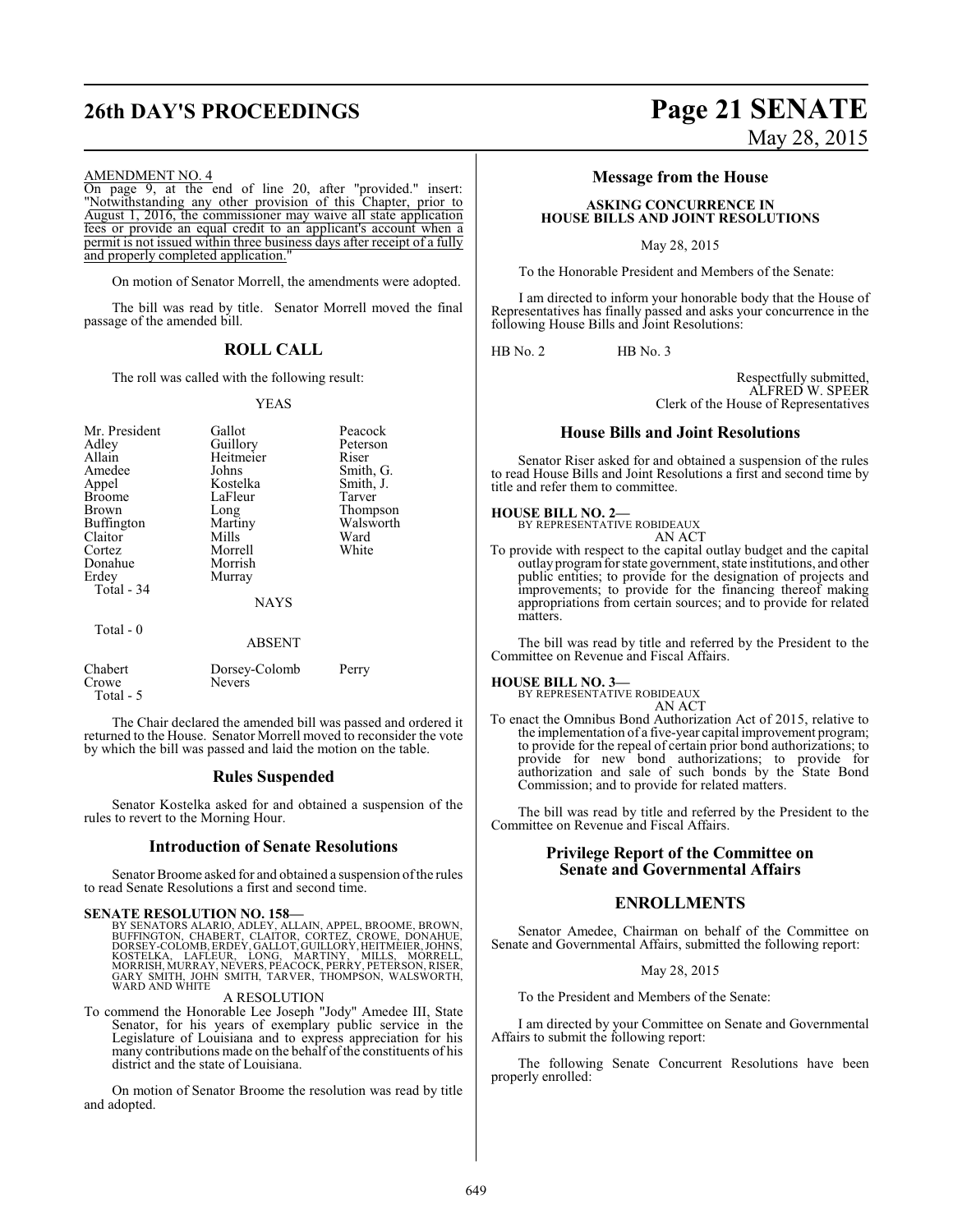#### AMENDMENT NO. 4

On page 9, at the end of line 20, after "provided." insert: "Notwithstanding any other provision of this Chapter, prior to August 1, 2016, the commissioner may waive all state application fees or provide an equal credit to an applicant's account when a permit is not issued within three business days after receipt of a fully and properly completed application."

On motion of Senator Morrell, the amendments were adopted.

The bill was read by title. Senator Morrell moved the final passage of the amended bill.

#### **ROLL CALL**

The roll was called with the following result:

#### YEAS

| Mr. President<br>Adley<br>Allain<br>Amedee<br>Appel<br><b>Broome</b><br>Brown<br>Buffington<br>Claitor<br>Cortez<br>Donahue<br>Erdey<br>Total - 34<br>Total - 0 | Gallot<br>Guillory<br>Heitmeier<br>Johns<br>Kostelka<br>LaFleur<br>Long<br>Martiny<br>Mills<br>Morrell<br>Morrish<br>Murray<br><b>NAYS</b> | Peacock<br>Peterson<br>Riser<br>Smith, G.<br>Smith, J.<br>Tarver<br>Thompson<br>Walsworth<br>Ward<br>White |
|-----------------------------------------------------------------------------------------------------------------------------------------------------------------|--------------------------------------------------------------------------------------------------------------------------------------------|------------------------------------------------------------------------------------------------------------|
|                                                                                                                                                                 | <b>ABSENT</b>                                                                                                                              |                                                                                                            |
| Chabert<br>Crowe                                                                                                                                                | Dorsey-Colomb<br>Nevers                                                                                                                    | Perry                                                                                                      |

Total - 5

The Chair declared the amended bill was passed and ordered it returned to the House. Senator Morrell moved to reconsider the vote by which the bill was passed and laid the motion on the table.

#### **Rules Suspended**

Senator Kostelka asked for and obtained a suspension of the rules to revert to the Morning Hour.

#### **Introduction of Senate Resolutions**

Senator Broome asked for and obtained a suspension of the rules to read Senate Resolutions a first and second time.

#### **SENATE RESOLUTION NO. 158—**

BY SENATORS ALARIO, ADLEY, ALLAIN, APPEL, BROOME, BROWN,<br>BUFFINGTON, CHABERT, CLAITOR, CORTEZ, CROWE, DONAHUE,<br>DORSEY-COLOMB, ERDEY, GALLOT, GUILLORY, HEITMEIER, JOHNS,<br>KOSTELKA, LAFLEUR, LONG, MARTINY, MILLS, MÖRRELL,<br>MOR

A RESOLUTION

To commend the Honorable Lee Joseph "Jody" Amedee III, State Senator, for his years of exemplary public service in the Legislature of Louisiana and to express appreciation for his many contributions made on the behalf of the constituents of his district and the state of Louisiana.

On motion of Senator Broome the resolution was read by title and adopted.

# **26th DAY'S PROCEEDINGS Page 21 SENATE** May 28, 2015

### **Message from the House**

#### **ASKING CONCURRENCE IN HOUSE BILLS AND JOINT RESOLUTIONS**

May 28, 2015

To the Honorable President and Members of the Senate:

I am directed to inform your honorable body that the House of Representatives has finally passed and asks your concurrence in the following House Bills and Joint Resolutions:

HB No. 2 HB No. 3

Respectfully submitted, ALFRED W. SPEER Clerk of the House of Representatives

#### **House Bills and Joint Resolutions**

Senator Riser asked for and obtained a suspension of the rules to read House Bills and Joint Resolutions a first and second time by title and refer them to committee.

#### **HOUSE BILL NO. 2—**

BY REPRESENTATIVE ROBIDEAUX AN ACT

To provide with respect to the capital outlay budget and the capital outlay programfor state government, state institutions, and other public entities; to provide for the designation of projects and improvements; to provide for the financing thereof making appropriations from certain sources; and to provide for related matters.

The bill was read by title and referred by the President to the Committee on Revenue and Fiscal Affairs.

### **HOUSE BILL NO. 3—** BY REPRESENTATIVE ROBIDEAUX

AN ACT

To enact the Omnibus Bond Authorization Act of 2015, relative to the implementation of a five-year capital improvement program; to provide for the repeal of certain prior bond authorizations; to provide for new bond authorizations; to provide for authorization and sale of such bonds by the State Bond Commission; and to provide for related matters.

The bill was read by title and referred by the President to the Committee on Revenue and Fiscal Affairs.

#### **Privilege Report of the Committee on Senate and Governmental Affairs**

#### **ENROLLMENTS**

Senator Amedee, Chairman on behalf of the Committee on Senate and Governmental Affairs, submitted the following report:

May 28, 2015

To the President and Members of the Senate:

I am directed by your Committee on Senate and Governmental Affairs to submit the following report:

The following Senate Concurrent Resolutions have been properly enrolled: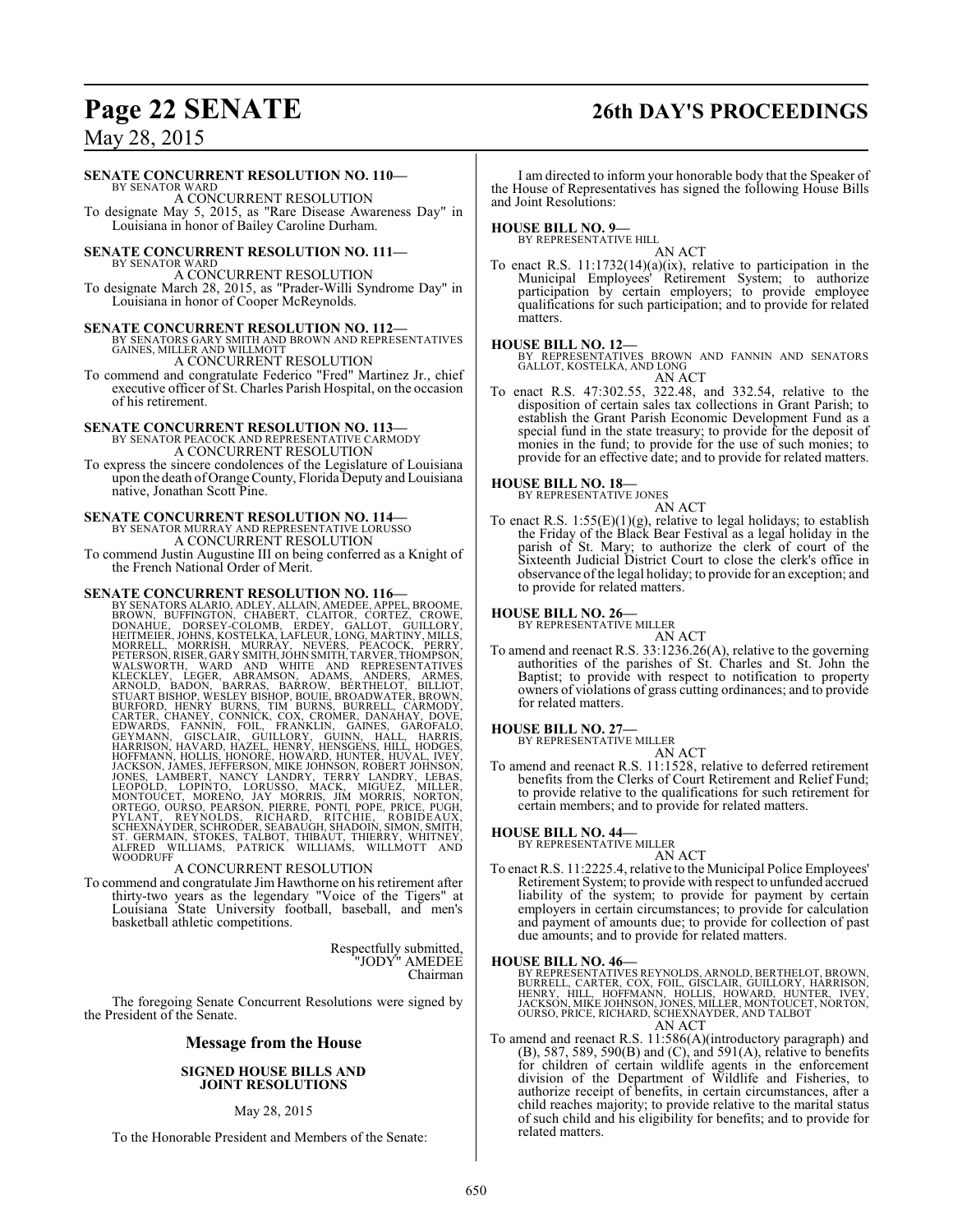# **Page 22 SENATE 26th DAY'S PROCEEDINGS**

May 28, 2015

#### **SENATE CONCURRENT RESOLUTION NO. 110—**

BY SENATOR WARD A CONCURRENT RESOLUTION To designate May 5, 2015, as "Rare Disease Awareness Day" in Louisiana in honor of Bailey Caroline Durham.

# **SENATE CONCURRENT RESOLUTION NO. 111—** BY SENATOR WARD

A CONCURRENT RESOLUTION To designate March 28, 2015, as "Prader-Willi Syndrome Day" in Louisiana in honor of Cooper McReynolds.

#### **SENATE CONCURRENT RESOLUTION NO. 112—**

BY SENATORS GARY SMITH AND BROWN AND REPRESENTATIVES GAINES, MILLER AND WILLMOTT A CONCURRENT RESOLUTION

To commend and congratulate Federico "Fred" Martinez Jr., chief executive officer of St. Charles Parish Hospital, on the occasion of his retirement.

### **SENATE CONCURRENT RESOLUTION NO. 113—** BY SENATOR PEACOCK AND REPRESENTATIVE CARMODY

A CONCURRENT RESOLUTION

To express the sincere condolences of the Legislature of Louisiana upon the death of Orange County, Florida Deputy and Louisiana native, Jonathan Scott Pine.

## **SENATE CONCURRENT RESOLUTION NO. 114—** BY SENATOR MURRAY AND REPRESENTATIVE LORUSSO

A CONCURRENT RESOLUTION To commend Justin Augustine III on being conferred as a Knight of the French National Order of Merit.

**SENATE CONCURRENT RESOLUTION NO. 116—**<br>BY SENATORS ALARIO, ADLEY, ALLAIN, AMEDEE, APPEL, BROWNE, BROWN, BUFFINGTON, CHABERT, CLAITOR, CORTEZ, CROWE,<br>DONAHUE, DORSEY-COLOMB, ERDEY, GALICOT, GUILLORY,<br>HEITMEIER, JOHNS, KOST

#### A CONCURRENT RESOLUTION

To commend and congratulate Jim Hawthorne on his retirement after thirty-two years as the legendary "Voice of the Tigers" at Louisiana State University football, baseball, and men's basketball athletic competitions.

> Respectfully submitted, "JODY" AMEDEE Chairman

The foregoing Senate Concurrent Resolutions were signed by the President of the Senate.

#### **Message from the House**

#### **SIGNED HOUSE BILLS AND JOINT RESOLUTIONS**

#### May 28, 2015

To the Honorable President and Members of the Senate:

I am directed to inform your honorable body that the Speaker of the House of Representatives has signed the following House Bills and Joint Resolutions:

#### **HOUSE BILL NO. 9—**

BY REPRESENTATIVE HILL AN ACT

To enact R.S. 11:1732(14)(a)(ix), relative to participation in the Municipal Employees' Retirement System; to authorize participation by certain employers; to provide employee qualifications for such participation; and to provide for related matters.

**HOUSE BILL NO. 12—** BY REPRESENTATIVES BROWN AND FANNIN AND SENATORS GALLOT, KOSTELKA, AND LONG AN ACT

To enact R.S. 47:302.55, 322.48, and 332.54, relative to the disposition of certain sales tax collections in Grant Parish; to establish the Grant Parish Economic Development Fund as a special fund in the state treasury; to provide for the deposit of monies in the fund; to provide for the use of such monies; to provide for an effective date; and to provide for related matters.

# **HOUSE BILL NO. 18—** BY REPRESENTATIVE JONES

AN ACT

To enact R.S.  $1:55(E)(1)(g)$ , relative to legal holidays; to establish the Friday of the Black Bear Festival as a legal holiday in the parish of St. Mary; to authorize the clerk of court of the Sixteenth Judicial District Court to close the clerk's office in observance ofthe legal holiday; to provide for an exception; and to provide for related matters.

# **HOUSE BILL NO. 26—** BY REPRESENTATIVE MILLER

AN ACT

To amend and reenact R.S. 33:1236.26(A), relative to the governing authorities of the parishes of St. Charles and St. John the Baptist; to provide with respect to notification to property owners of violations of grass cutting ordinances; and to provide for related matters.

## **HOUSE BILL NO. 27—** BY REPRESENTATIVE MILLER

AN ACT To amend and reenact R.S. 11:1528, relative to deferred retirement benefits from the Clerks of Court Retirement and Relief Fund; to provide relative to the qualifications for such retirement for certain members; and to provide for related matters.

#### **HOUSE BILL NO. 44—**

BY REPRESENTATIVE MILLER AN ACT

To enact R.S. 11:2225.4, relative to the Municipal Police Employees' Retirement System; to provide with respect to unfunded accrued liability of the system; to provide for payment by certain employers in certain circumstances; to provide for calculation and payment of amounts due; to provide for collection of past due amounts; and to provide for related matters.

#### **HOUSE BILL NO. 46—**

BY REPRESENTATIVES REYNOLDS, ARNOLD, BERTHELOT, BROWN,<br>BURRELL, CARTER, COX, FOIL, GISCLAIR, GUILLORY, HARRISON,<br>HENRY, HILL, HOFFMANN, HOLLIS, HOWARD, HUNTER, IVEY,<br>JACKSON, MIKE JOHNSON, JONES, MILLER, MONTOUCET, NORTON, AN ACT

To amend and reenact R.S. 11:586(A)(introductory paragraph) and (B), 587, 589, 590(B) and (C), and 591(A), relative to benefits for children of certain wildlife agents in the enforcement division of the Department of Wildlife and Fisheries, to authorize receipt of benefits, in certain circumstances, after a child reaches majority; to provide relative to the marital status of such child and his eligibility for benefits; and to provide for related matters.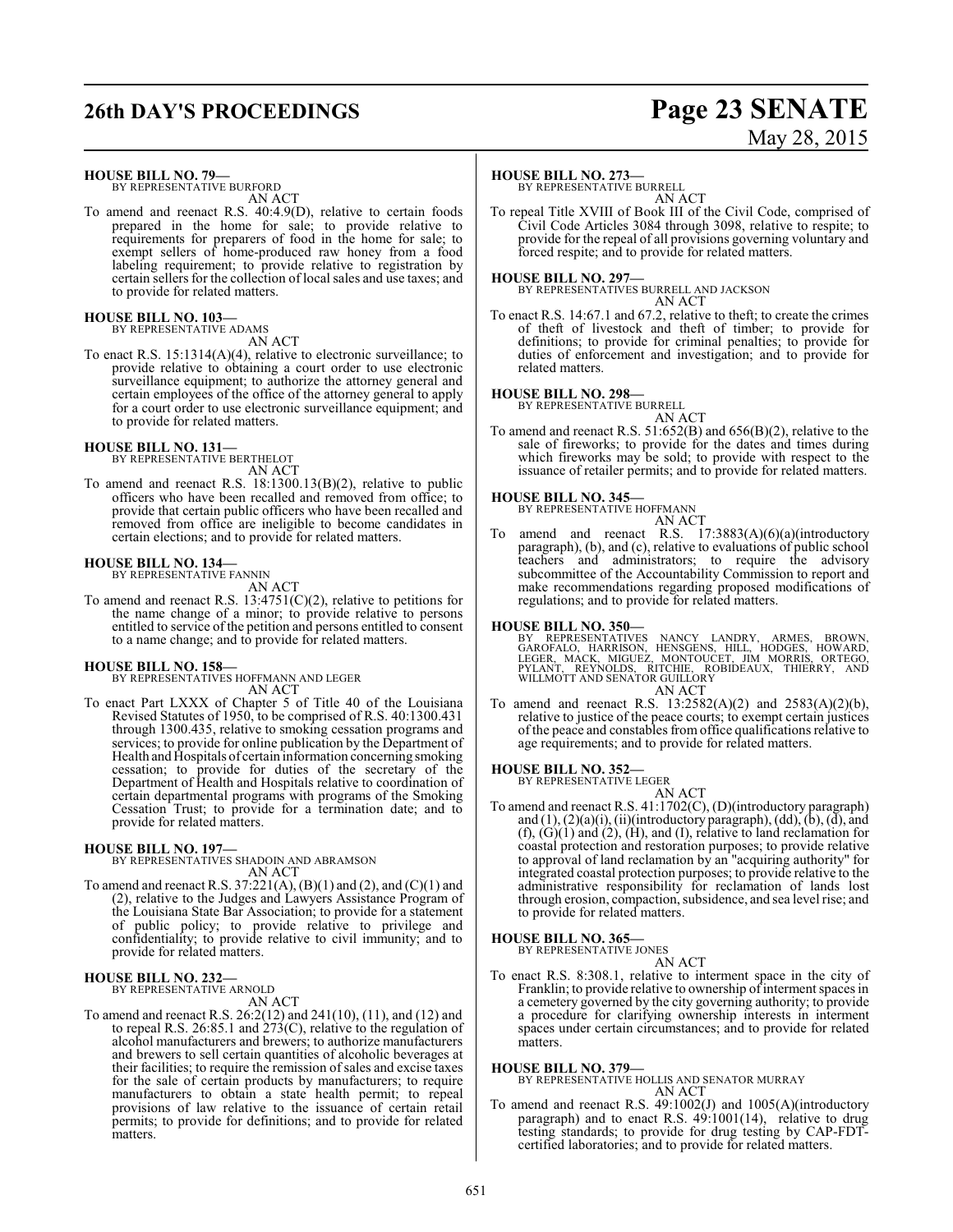## **26th DAY'S PROCEEDINGS Page 23 SENATE**

#### **HOUSE BILL NO. 79—**

BY REPRESENTATIVE BURFORD AN ACT

To amend and reenact R.S. 40:4.9(D), relative to certain foods prepared in the home for sale; to provide relative to requirements for preparers of food in the home for sale; to exempt sellers of home-produced raw honey from a food labeling requirement; to provide relative to registration by certain sellers for the collection of local sales and use taxes; and to provide for related matters.

### **HOUSE BILL NO. 103—** BY REPRESENTATIVE ADAMS

AN ACT

To enact R.S. 15:1314(A)(4), relative to electronic surveillance; to provide relative to obtaining a court order to use electronic surveillance equipment; to authorize the attorney general and certain employees of the office of the attorney general to apply for a court order to use electronic surveillance equipment; and to provide for related matters.

#### **HOUSE BILL NO. 131—**

BY REPRESENTATIVE BERTHELOT AN ACT

To amend and reenact R.S. 18:1300.13(B)(2), relative to public officers who have been recalled and removed from office; to provide that certain public officers who have been recalled and removed from office are ineligible to become candidates in certain elections; and to provide for related matters.

#### **HOUSE BILL NO. 134—**

BY REPRESENTATIVE FANNIN AN ACT

To amend and reenact R.S. 13:4751(C)(2), relative to petitions for the name change of a minor; to provide relative to persons entitled to service of the petition and persons entitled to consent to a name change; and to provide for related matters.

# **HOUSE BILL NO. 158—** BY REPRESENTATIVES HOFFMANN AND LEGER

AN ACT

To enact Part LXXX of Chapter 5 of Title 40 of the Louisiana Revised Statutes of 1950, to be comprised of R.S. 40:1300.431 through 1300.435, relative to smoking cessation programs and services; to provide for online publication by the Department of Health and Hospitals of certain information concerning smoking cessation; to provide for duties of the secretary of the Department of Health and Hospitals relative to coordination of certain departmental programs with programs of the Smoking Cessation Trust; to provide for a termination date; and to provide for related matters.

#### **HOUSE BILL NO. 197—**

BY REPRESENTATIVES SHADOIN AND ABRAMSON AN ACT

To amend and reenact R.S. 37:221(A), (B)(1) and (2), and (C)(1) and (2), relative to the Judges and Lawyers Assistance Program of the Louisiana State Bar Association; to provide for a statement of public policy; to provide relative to privilege and confidentiality; to provide relative to civil immunity; and to provide for related matters.

#### **HOUSE BILL NO. 232—**

BY REPRESENTATIVE ARNOLD

#### AN ACT

To amend and reenact R.S. 26:2(12) and 241(10), (11), and (12) and to repeal R.S. 26:85.1 and 273(C), relative to the regulation of alcohol manufacturers and brewers; to authorize manufacturers and brewers to sell certain quantities of alcoholic beverages at their facilities; to require the remission of sales and excise taxes for the sale of certain products by manufacturers; to require manufacturers to obtain a state health permit; to repeal provisions of law relative to the issuance of certain retail permits; to provide for definitions; and to provide for related matters.

# May 28, 2015

#### **HOUSE BILL NO. 273—**

BY REPRESENTATIVE BURRELL AN ACT

To repeal Title XVIII of Book III of the Civil Code, comprised of Civil Code Articles 3084 through 3098, relative to respite; to provide for the repeal of all provisions governing voluntary and forced respite; and to provide for related matters.

#### **HOUSE BILL NO. 297—**

BY REPRESENTATIVES BURRELL AND JACKSON AN ACT

To enact R.S. 14:67.1 and 67.2, relative to theft; to create the crimes of theft of livestock and theft of timber; to provide for definitions; to provide for criminal penalties; to provide for duties of enforcement and investigation; and to provide for related matters.

#### **HOUSE BILL NO. 298—**

BY REPRESENTATIVE BURRELL

AN ACT To amend and reenact R.S. 51:652(B) and 656(B)(2), relative to the sale of fireworks; to provide for the dates and times during which fireworks may be sold; to provide with respect to the issuance of retailer permits; and to provide for related matters.

#### **HOUSE BILL NO. 345—**

BY REPRESENTATIVE HOFFMANN

AN ACT

To amend and reenact R.S. 17:3883(A)(6)(a)(introductory paragraph), (b), and (c), relative to evaluations of public school teachers and administrators; to require the advisory subcommittee of the Accountability Commission to report and make recommendations regarding proposed modifications of regulations; and to provide for related matters.

#### **HOUSE BILL NO. 350—**

BY REPRESENTATIVES NANCY LANDRY, ARMES, BROWN,<br>GAROFALO, HARRISON, HENSGENS, HILL, HODGES, HOWARD,<br>LEGER, MACK, MIGUEZ, MONTOUCET, JIM MORRIS, ORTEGO,<br>PYLANT, REYNOLDS, RITCHIE, ROBIDEAUX, THIERRY, AND<br>WILLMOTT AND SENATOR

#### AN ACT

To amend and reenact R.S. 13:2582(A)(2) and 2583(A)(2)(b), relative to justice of the peace courts; to exempt certain justices of the peace and constables from office qualifications relative to age requirements; and to provide for related matters.

# **HOUSE BILL NO. 352—** BY REPRESENTATIVE LEGER

AN ACT

To amend and reenact R.S. 41:1702(C), (D)(introductory paragraph) and  $(1)$ ,  $(2)(a)(i)$ ,  $(ii)(introductory paragraph)$ ,  $(dd)$ ,  $(b)$ ,  $(d)$ , and  $(f), (G)(1)$  and  $(2), (H),$  and  $(I),$  relative to land reclamation for coastal protection and restoration purposes; to provide relative to approval of land reclamation by an "acquiring authority" for integrated coastal protection purposes; to provide relative to the administrative responsibility for reclamation of lands lost through erosion, compaction, subsidence, and sea level rise; and to provide for related matters.

### **HOUSE BILL NO. 365—**

BY REPRESENTATIVE JONES

AN ACT To enact R.S. 8:308.1, relative to interment space in the city of Franklin; to provide relative to ownership of interment spaces in a cemetery governed by the city governing authority; to provide a procedure for clarifying ownership interests in interment spaces under certain circumstances; and to provide for related matters.

### **HOUSE BILL NO. 379—**

BY REPRESENTATIVE HOLLIS AND SENATOR MURRAY AN ACT

To amend and reenact R.S. 49:1002(J) and 1005(A)(introductory paragraph) and to enact R.S. 49:1001(14), relative to drug testing standards; to provide for drug testing by CAP-FDTcertified laboratories; and to provide for related matters.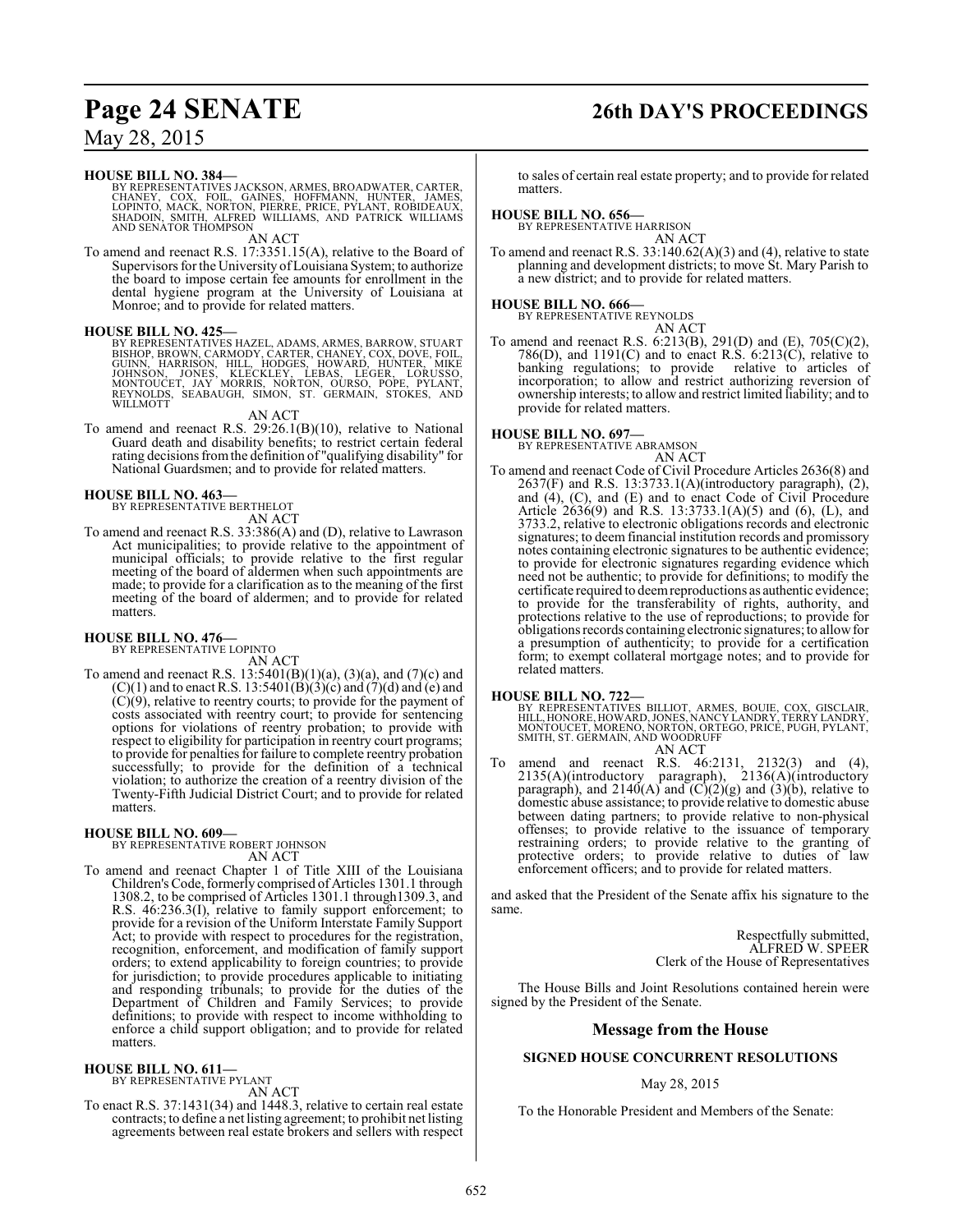## **Page 24 SENATE 26th DAY'S PROCEEDINGS**

### May 28, 2015

#### **HOUSE BILL NO. 384—**

BY REPRESENTATIVES JACKSON, ARMES, BROADWATER, CARTER,<br>CHANEY, COX, FOIL, GAINES, HOFFMANN, HUNTER, JAMES,<br>LOPINTO, MACK, NORTON, PIERRE, PRICE, PYLANT, ROBIDEAUX,<br>SHADOIN, SMITH, ALFRED WILLIAMS, AND PATR

AN ACT

To amend and reenact R.S. 17:3351.15(A), relative to the Board of Supervisors for the University ofLouisiana System; to authorize the board to impose certain fee amounts for enrollment in the dental hygiene program at the University of Louisiana at Monroe; and to provide for related matters.

#### **HOUSE BILL NO. 425—**

BY REPRESENTATIVES HAZEL, ADAMS, ARMES, BARROW, STUART<br>BISHOP, BROWN, CARMODY, CARTER, CHANEY, COX, DOVE, FOIL,<br>GUINN, HARRISON, HILL, HODGES, HOWARD, HUNTER, MIKE<br>JOHNSON, JONES, KLECKLEY, LEBAS, LEGER, LORUSSO,<br>MONTOUCET

AN ACT

To amend and reenact R.S. 29:26.1(B)(10), relative to National Guard death and disability benefits; to restrict certain federal rating decisions fromthe definition of "qualifying disability" for National Guardsmen; and to provide for related matters.

#### **HOUSE BILL NO. 463—**

BY REPRESENTATIVE BERTHELOT AN ACT

To amend and reenact R.S. 33:386(A) and (D), relative to Lawrason Act municipalities; to provide relative to the appointment of municipal officials; to provide relative to the first regular meeting of the board of aldermen when such appointments are made; to provide for a clarification as to the meaning of the first meeting of the board of aldermen; and to provide for related matters.

### **HOUSE BILL NO. 476—** BY REPRESENTATIVE LOPINTO

AN ACT

To amend and reenact R.S.  $13:5401(B)(1)(a)$ ,  $(3)(a)$ , and  $(7)(c)$  and  $(C)(1)$  and to enact R.S. 13:5401(B)(3)(c) and (7)(d) and (e) and  $(C)(9)$ , relative to reentry courts; to provide for the payment of costs associated with reentry court; to provide for sentencing options for violations of reentry probation; to provide with respect to eligibility for participation in reentry court programs; to provide for penalties for failure to complete reentry probation successfully; to provide for the definition of a technical violation; to authorize the creation of a reentry division of the Twenty-Fifth Judicial District Court; and to provide for related matters.

#### **HOUSE BILL NO. 609—**

BY REPRESENTATIVE ROBERT JOHNSON AN ACT

To amend and reenact Chapter 1 of Title XIII of the Louisiana Children's Code, formerly comprised of Articles 1301.1 through 1308.2, to be comprised of Articles 1301.1 through1309.3, and R.S. 46:236.3(I), relative to family support enforcement; to provide for a revision of the Uniform Interstate Family Support Act; to provide with respect to procedures for the registration, recognition, enforcement, and modification of family support orders; to extend applicability to foreign countries; to provide for jurisdiction; to provide procedures applicable to initiating and responding tribunals; to provide for the duties of the Department of Children and Family Services; to provide definitions; to provide with respect to income withholding to enforce a child support obligation; and to provide for related matters.

#### **HOUSE BILL NO. 611—**

BY REPRESENTATIVE PYLANT AN ACT

To enact R.S. 37:1431(34) and 1448.3, relative to certain real estate contracts; to define a net listing agreement; to prohibit net listing agreements between real estate brokers and sellers with respect

to sales of certain real estate property; and to provide for related matters.

#### **HOUSE BILL NO. 656—**

BY REPRESENTATIVE HARRISON

AN ACT To amend and reenact R.S. 33:140.62(A)(3) and (4), relative to state planning and development districts; to move St. Mary Parish to a new district; and to provide for related matters.

# **HOUSE BILL NO. 666—** BY REPRESENTATIVE REYNOLDS

AN ACT

To amend and reenact R.S. 6:213(B), 291(D) and (E), 705(C)(2),  $786(D)$ , and  $1191(C)$  and to enact R.S. 6:213(C), relative to articles of banking regulations; to provide relative to articles of banking regulations; to provide incorporation; to allow and restrict authorizing reversion of ownership interests; to allow and restrict limited liability; and to provide for related matters.

**HOUSE BILL NO. 697—** BY REPRESENTATIVE ABRAMSON AN ACT

To amend and reenact Code of Civil Procedure Articles 2636(8) and 2637(F) and R.S. 13:3733.1(A)(introductory paragraph), (2), and (4), (C), and (E) and to enact Code of Civil Procedure Article 2636(9) and R.S. 13:3733.1(A)(5) and (6), (L), and 3733.2, relative to electronic obligations records and electronic signatures; to deem financial institution records and promissory notes containing electronic signatures to be authentic evidence; to provide for electronic signatures regarding evidence which need not be authentic; to provide for definitions; to modify the certificate required to deemreproductions as authentic evidence; to provide for the transferability of rights, authority, and protections relative to the use of reproductions; to provide for obligations records containing electronic signatures; to allowfor a presumption of authenticity; to provide for a certification form; to exempt collateral mortgage notes; and to provide for related matters.

**HOUSE BILL NO. 722—** BY REPRESENTATIVES BILLIOT, ARMES, BOUIE, COX, GISCLAIR, HILL, HONORE, HOWARD,JONES, NANCY LANDRY, TERRY LANDRY, MONTOUCET, MORENO, NORTON, ORTEGO, PRICE, PUGH, PYLANT, SMITH, ST. GERMAIN, AND WOODRUFF AN ACT

To amend and reenact R.S. 46:2131, 2132(3) and (4), 2135(A)(introductory paragraph), 2136(A)(introductory paragraph), and  $2140(A)$  and  $(C)(2)(g)$  and  $(3)(b)$ , relative to domestic abuse assistance; to provide relative to domestic abuse between dating partners; to provide relative to non-physical offenses; to provide relative to the issuance of temporary restraining orders; to provide relative to the granting of protective orders; to provide relative to duties of law enforcement officers; and to provide for related matters.

and asked that the President of the Senate affix his signature to the same.

> Respectfully submitted, ALFRED W. SPEER Clerk of the House of Representatives

The House Bills and Joint Resolutions contained herein were signed by the President of the Senate.

#### **Message from the House**

#### **SIGNED HOUSE CONCURRENT RESOLUTIONS**

#### May 28, 2015

To the Honorable President and Members of the Senate: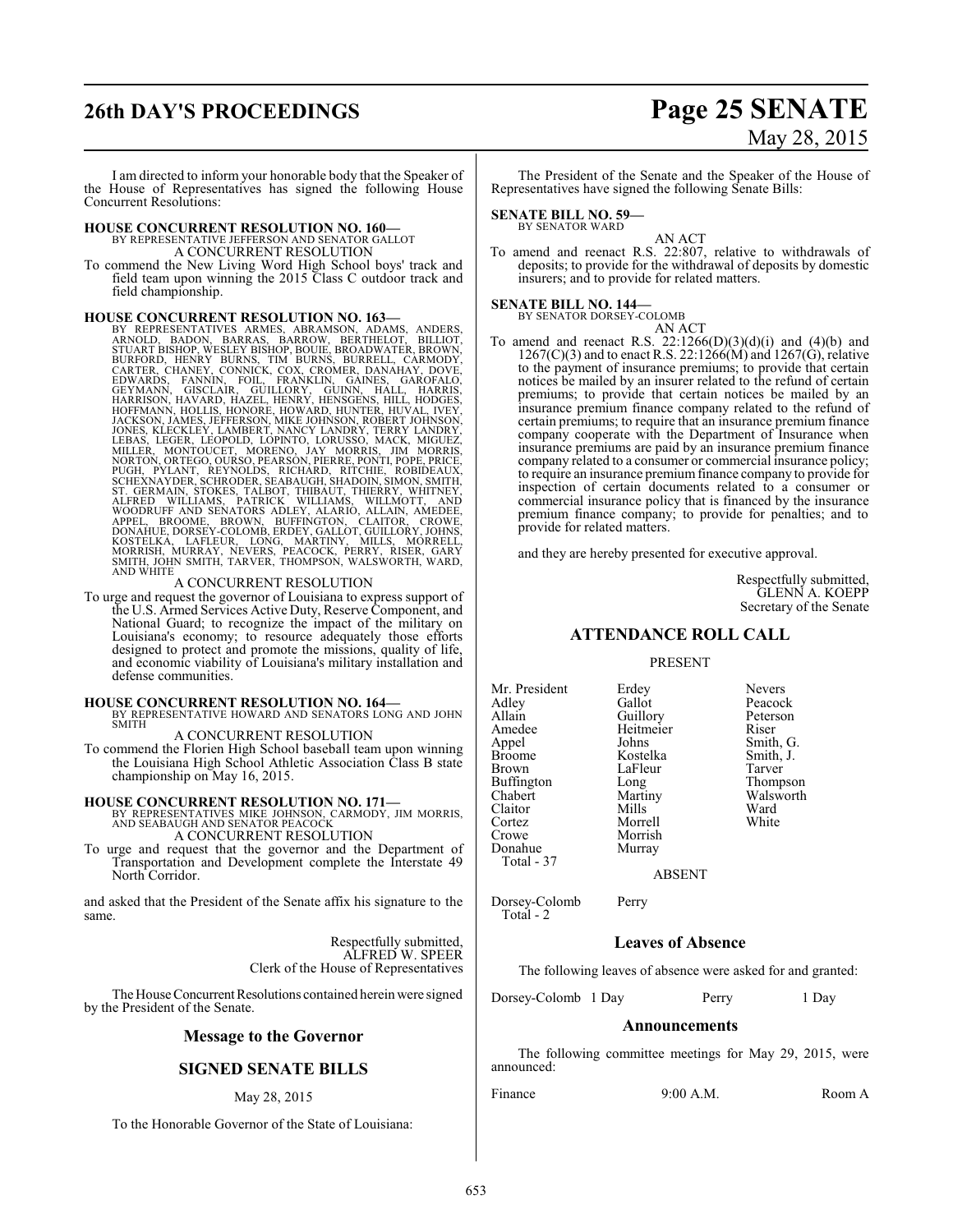# **26th DAY'S PROCEEDINGS Page 25 SENATE**

# May 28, 2015

I am directed to inform your honorable body that the Speaker of the House of Representatives has signed the following House Concurrent Resolutions:

# **HOUSE CONCURRENT RESOLUTION NO. 160—** BY REPRESENTATIVE JEFFERSON AND SENATOR GALLOT A CONCURRENT RESOLUTION

To commend the New Living Word High School boys' track and field team upon winning the 2015 Class C outdoor track and field championship.

### **HOUSE CONCURRENT RESOLUTION NO. 163—**

BY REPRESENTATIVES ARMES, ABRAMSON, ADAMS, ANDERS, ANDERS, ANDERS, STUART BISHOP, WESLEY BISHOP, BORNETHELOT, BILLIOT, STUART BISHOP, WESLEY BISHOP, BOUIE, BROADWATER, BROWN, CARTER, CHANGOY, CARTER, CHANGY BURNE, CONNICK,

To urge and request the governor of Louisiana to express support of the U.S. Armed Services Active Duty, Reserve Component, and National Guard; to recognize the impact of the military on Louisiana's economy; to resource adequately those efforts designed to protect and promote the missions, quality of life, and economic viability of Louisiana's military installation and defense communities.

#### **HOUSE CONCURRENT RESOLUTION NO. 164—**

BY REPRESENTATIVE HOWARD AND SENATORS LONG AND JOHN SMITH

A CONCURRENT RESOLUTION

To commend the Florien High School baseball team upon winning the Louisiana High School Athletic Association Class B state championship on May 16, 2015.

**HOUSE CONCURRENT RESOLUTION NO. 171—**<br>BY REPRESENTATIVES MIKE JOHNSON, CARMODY, JIM MORRIS,<br>AND SEABAUGH AND SENATOR PEACOCK A CONCURRENT RESOLUTION

To urge and request that the governor and the Department of Transportation and Development complete the Interstate 49 North Corridor.

and asked that the President of the Senate affix his signature to the same.

> Respectfully submitted, ALFRED W. SPEER Clerk of the House of Representatives

The House Concurrent Resolutions contained herein were signed by the President of the Senate.

#### **Message to the Governor**

### **SIGNED SENATE BILLS**

#### May 28, 2015

To the Honorable Governor of the State of Louisiana:

The President of the Senate and the Speaker of the House of Representatives have signed the following Senate Bills:

**SENATE BILL NO. 59—** BY SENATOR WARD

AN ACT

To amend and reenact R.S. 22:807, relative to withdrawals of deposits; to provide for the withdrawal of deposits by domestic insurers; and to provide for related matters.

#### **SENATE BILL NO. 144—** BY SENATOR DORSEY-COLOMB

AN ACT

To amend and reenact R.S.  $22:1266(D)(3)(d)(i)$  and  $(4)(b)$  and  $1267(C)(3)$  and to enact R.S. 22:1266(M) and 1267(G), relative to the payment of insurance premiums; to provide that certain notices be mailed by an insurer related to the refund of certain premiums; to provide that certain notices be mailed by an insurance premium finance company related to the refund of certain premiums; to require that an insurance premium finance company cooperate with the Department of Insurance when insurance premiums are paid by an insurance premium finance company related to a consumer or commercial insurance policy; to require an insurance premiumfinance company to provide for inspection of certain documents related to a consumer or commercial insurance policy that is financed by the insurance premium finance company; to provide for penalties; and to provide for related matters.

and they are hereby presented for executive approval.

Respectfully submitted, GLENN A. KOEPP Secretary of the Senate

#### **ATTENDANCE ROLL CALL**

#### PRESENT

Mr. President Erdey Nevers<br>
Adley Gallot Peacocl Adley Gallot Gallot Peacock<br>Allain Guillory Peterson Allain Guillory Peters<br>
Amedee Heitmeier Riser Amedee Heitmeier<br>Appel Johns Appel Johns Smith, G.<br>Broome Kostelka Smith, J. Broome Kostelka Smith,<br>Brown LaFleur Tarver Buffington Long Thompson<br>
Chabert Martiny Walsworth Chabert Martiny Walsworth<br>Claitor Mills Ward Claitor Mills Ward Cortez Morrell White Donahue Total - 37

LaFleur Morrish<br>Murray

ABSENT

Dorsey-Colomb Perry Total - 2

#### **Leaves of Absence**

The following leaves of absence were asked for and granted:

Dorsey-Colomb 1 Day Perry 1 Day

#### **Announcements**

The following committee meetings for May 29, 2015, were announced:

Finance 9:00 A.M. Room A